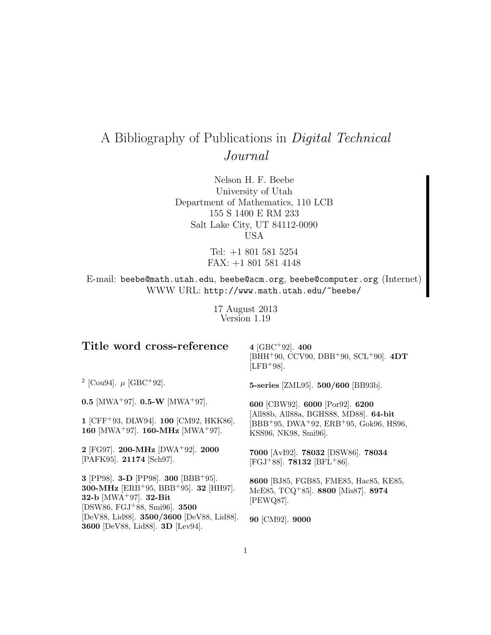# A Bibliography of Publications in Digital Technical Journal

Nelson H. F. Beebe University of Utah Department of Mathematics, 110 LCB 155 S 1400 E RM 233 Salt Lake City, UT 84112-0090 USA

> Tel: +1 801 581 5254 FAX: +1 801 581 4148

E-mail: beebe@math.utah.edu, beebe@acm.org, beebe@computer.org (Internet) WWW URL: http://www.math.utah.edu/~beebe/

> 17 August 2013 Version 1.19

| Title word cross-reference                                                                                                                                                                                                          | 4 [GBC <sup>+</sup> 92]. 400<br>[BHH <sup>+</sup> 90, CCV90, DBB <sup>+</sup> 90, SCL <sup>+</sup> 90]. $4DT$<br>$[{\rm LFB^+98}].$ |
|-------------------------------------------------------------------------------------------------------------------------------------------------------------------------------------------------------------------------------------|-------------------------------------------------------------------------------------------------------------------------------------|
| <sup>2</sup> [Cou94]. $\mu$ [GBC+92].                                                                                                                                                                                               | 5-series [ZML95]. 500/600 [BB93b].                                                                                                  |
| 0.5 [MWA <sup>+</sup> 97]. 0.5-W [MWA <sup>+</sup> 97].                                                                                                                                                                             | 600 [CBW92]. 6000 [Por92]. 6200                                                                                                     |
| 1 [CFF+93, DLW94]. 100 [CM92, HKK86].<br>160 [MWA <sup>+</sup> 97]. 160-MHz [MWA <sup>+</sup> 97].                                                                                                                                  | [All88b, All88a, BGHS88, MD88]. 64-bit<br>$[BBB+95, DWA+92, ERB+95, Gok96, HS96,$<br>KSS96, NK98, Smi96.                            |
| 2 [FG97]. 200-MHz [DWA+92]. 2000<br>[PAFK95]. 21174 [Sch97].                                                                                                                                                                        | 7000 [AvI92]. 78032 [DSW86]. 78034<br>[FGJ <sup>+</sup> 88]. <b>78132</b> [BFL <sup>+</sup> 86].                                    |
| 3 [PP98]. <b>3-D</b> [PP98]. <b>300</b> [BBB+95].<br>300-MHz [ERB+95, BBB+95]. 32 [HH97].<br>32-b [ $MWA$ <sup>+</sup> 97]. 32-Bit<br>[DSW86, FGJ <sup>+</sup> 88, Smi96]. <b>3500</b><br>[DeV88, Lid88]. 3500/3600 [DeV88, Lid88]. | 8600 [BJ85, FGB85, FME85, Hac85, KE85,<br>McE85, TCQ <sup>+</sup> 85]. 8800 [Mis87]. 8974<br>[PEWQ87].<br>90 [CM92]. 9000           |
| 3600 [DeV88, Lid88]. 3D [Lev94].                                                                                                                                                                                                    |                                                                                                                                     |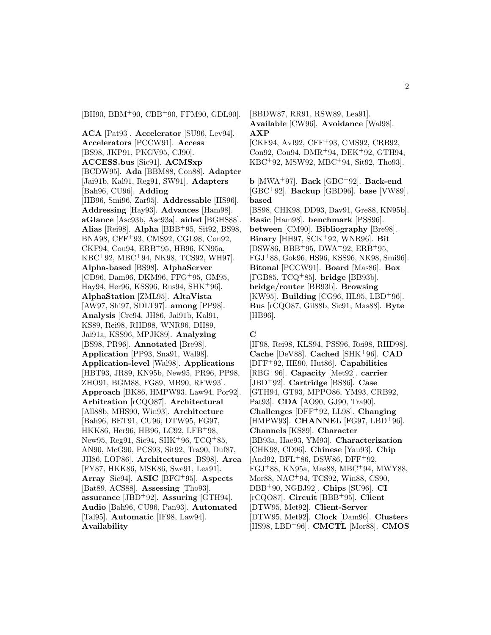[BH90, BBM<sup>+</sup>90, CBB<sup>+</sup>90, FFM90, GDL90].

**ACA** [Pat93]. **Accelerator** [SU96, Lev94]. **Accelerators** [PCCW91]. **Access** [BS98, JKP91, PKGV95, CJ90]. **ACCESS.bus** [Sic91]. **ACMSxp** [BCDW95]. **Ada** [BBM88, Con88]. **Adapter** [Jai91b, Kal91, Reg91, SW91]. **Adapters** [Bah96, CU96]. **Adding** [HB96, Smi96, Zar95]. **Addressable** [HS96]. **Addressing** [Hay93]. **Advances** [Ham98]. **aGlance** [Asc93b, Asc93a]. **aided** [BGHS88]. **Alias** [Rei98]. **Alpha** [BBB<sup>+</sup>95, Sit92, BS98, BNA98, CFF<sup>+</sup>93, CMS92, CGL98, Con92, CKF94, Cou94, ERB<sup>+</sup>95, HB96, KN95a, KBC<sup>+</sup>92, MBC<sup>+</sup>94, NK98, TCS92, WH97]. **Alpha-based** [BS98]. **AlphaServer** [CD96, Dam96, DKM96, FFG<sup>+</sup>95, GM95, Hay94, Her96, KSS96, Rus94, SHK<sup>+</sup>96]. **AlphaStation** [ZML95]. **AltaVista** [AW97, Shi97, SDLT97]. **among** [PP98]. **Analysis** [Cre94, JH86, Jai91b, Kal91, KS89, Rei98, RHD98, WNR96, DH89, Jai91a, KSS96, MPJK89]. **Analyzing** [BS98, PR96]. **Annotated** [Bre98]. **Application** [PP93, Sna91, Wal98]. **Application-level** [Wal98]. **Applications** [HBT93, JR89, KN95b, New95, PR96, PP98, ZHO91, BGM88, FG89, MB90, RFW93]. **Approach** [BK86, HMPW93, Law94, Por92]. **Arbitration** [rCQO87]. **Architectural** [All88b, MHS90, Win93]. **Architecture** [Bah96, BET91, CU96, DTW95, FG97, HKK86, Her96, HB96, LC92, LFB<sup>+</sup>98, New95, Reg91, Sic94, SHK<sup>+</sup>96, TCQ<sup>+</sup>85, AN90, McG90, PCS93, Sit92, Tra90, Duf87, JH86, LOP86]. **Architectures** [BS98]. **Area** [FY87, HKK86, MSK86, Swe91, Lea91]. **Array** [Sic94]. **ASIC** [BFG<sup>+</sup>95]. **Aspects** [Bat89, ACS88]. **Assessing** [Tho93]. **assurance** [JBD<sup>+</sup>92]. **Assuring** [GTH94]. **Audio** [Bah96, CU96, Pan93]. **Automated** [Tal95]. **Automatic** [IF98, Law94]. **Availability**

[BBDW87, RR91, RSW89, Lea91]. **Available** [CW96]. **Avoidance** [Wal98]. **AXP** [CKF94, AvI92, CFF<sup>+</sup>93, CMS92, CRB92, Con92, Cou94, DMR<sup>+</sup>94, DEK<sup>+</sup>92, GTH94, KBC<sup>+</sup>92, MSW92, MBC<sup>+</sup>94, Sit92, Tho93].

**b** [MWA<sup>+</sup>97]. **Back** [GBC<sup>+</sup>92]. **Back-end** [GBC<sup>+</sup>92]. **Backup** [GBD96]. **base** [VW89]. **based** [BS98, CHK98, DD93, Dav91, Gre88, KN95b]. **Basic** [Ham98]. **benchmark** [PSS96]. **between** [CM90]. **Bibliography** [Bre98]. **Binary** [HH97, SCK<sup>+</sup>92, WNR96]. **Bit** [DSW86, BBB<sup>+</sup>95, DWA<sup>+</sup>92, ERB<sup>+</sup>95, FGJ<sup>+</sup>88, Gok96, HS96, KSS96, NK98, Smi96]. **Bitonal** [PCCW91]. **Board** [Mas86]. **Box** [FGB85, TCQ<sup>+</sup>85]. **bridge** [BB93b]. **bridge/router** [BB93b]. **Browsing** [KW95]. **Building** [CG96, HL95, LBD<sup>+</sup>96]. **Bus** [rCQO87, Gil88b, Sic91, Mas88]. **Byte** [HB96].

#### **C**

[IF98, Rei98, KLS94, PSS96, Rei98, RHD98]. **Cache** [DeV88]. **Cached** [SHK<sup>+</sup>96]. **CAD** [DFF<sup>+</sup>92, HE90, Hut86]. **Capabilities** [RBG<sup>+</sup>96]. **Capacity** [Met92]. **carrier** [JBD<sup>+</sup>92]. **Cartridge** [BS86]. **Case** [GTH94, GT93, MPPO86, YM93, CRB92, Pat93]. **CDA** [AO90, GJ90, Tra90]. **Challenges** [DFF<sup>+</sup>92, LL98]. **Changing** [HMPW93]. **CHANNEL** [FG97, LBD+96]. **Channels** [KS89]. **Character** [BB93a, Hae93, YM93]. **Characterization** [CHK98, CD96]. **Chinese** [Yau93]. **Chip**  $[And92, BFL+86, DSW86, DFF+92,$ FGJ<sup>+</sup>88, KN95a, Mas88, MBC<sup>+</sup>94, MWY88, Mor88, NAC<sup>+</sup>94, TCS92, Win88, CS90, DBB<sup>+</sup>90, NGBJ92]. **Chips** [SU96]. **CI** [rCQO87]. **Circuit** [BBB<sup>+</sup>95]. **Client** [DTW95, Met92]. **Client-Server** [DTW95, Met92]. **Clock** [Dam96]. **Clusters** [HS98, LBD<sup>+</sup>96]. **CMCTL** [Mor88]. **CMOS**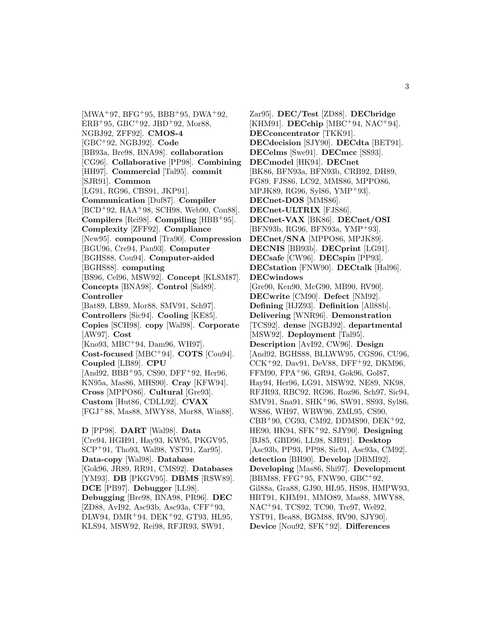$[MWA<sup>+</sup>97, BFG<sup>+</sup>95, BBB<sup>+</sup>95, DWA<sup>+</sup>92,$  $ERB+95, GBC+92, JBD+92, Mor88,$ NGBJ92, ZFF92]. **CMOS-4** [GBC<sup>+</sup>92, NGBJ92]. **Code** [BB93a, Bre98, BNA98]. **collaboration** [CG96]. **Collaborative** [PP98]. **Combining** [HH97]. **Commercial** [Tal95]. **commit** [SJR91]. **Common** [LG91, RG96, CBS91, JKP91]. **Communication** [Duf87]. **Compiler** [BCD<sup>+</sup>92, HAA<sup>+</sup>98, SCH98, Web90, Con88]. **Compilers** [Rei98]. **Compiling** [HBB<sup>+</sup>95]. **Complexity** [ZFF92]. **Compliance** [New95]. **compound** [Tra90]. **Compression** [BGU96, Cre94, Pan93]. **Computer** [BGHS88, Cou94]. **Computer-aided** [BGHS88]. **computing** [BS96, Cel96, MSW92]. **Concept** [KLSM87]. **Concepts** [BNA98]. **Control** [Sid89]. **Controller** [Bat89, LB89, Mor88, SMV91, Sch97]. **Controllers** [Sic94]. **Cooling** [KE85]. **Copies** [SCH98]. **copy** [Wal98]. **Corporate** [AW97]. **Cost** [Kno93, MBC<sup>+</sup>94, Dam96, WH97]. **Cost-focused** [MBC<sup>+</sup>94]. **COTS** [Cou94]. **Coupled** [LB89]. **CPU** [And92, BBB<sup>+</sup>95, CS90, DFF<sup>+</sup>92, Her96, KN95a, Mas86, MHS90]. **Cray** [KFW94]. **Cross** [MPPO86]. **Cultural** [Gre93]. **Custom** [Hut86, CDLL92]. **CVAX** [FGJ<sup>+</sup>88, Mas88, MWY88, Mor88, Win88]. **D** [PP98]. **DART** [Wal98]. **Data** [Cre94, HGH91, Hay93, KW95, PKGV95, SCP<sup>+</sup>91, Tho93, Wal98, YST91, Zar95]. **Data-copy** [Wal98]. **Database** [Gok96, JR89, RR91, CMS92]. **Databases** [YM93]. **DB** [PKGV95]. **DBMS** [RSW89]. **DCE** [PB97]. **Debugger** [LL98].

**Debugging** [Bre98, BNA98, PR96]. **DEC** [ZD88, AvI92, Asc93b, Asc93a, CFF<sup>+</sup>93, DLW94, DMR<sup>+</sup>94, DEK<sup>+</sup>92, GT93, HL95, KLS94, MSW92, Rei98, RFJR93, SW91,

Zar95]. **DEC/Test** [ZD88]. **DECbridge** [KHM91]. **DECchip** [MBC<sup>+</sup>94, NAC<sup>+</sup>94]. **DECconcentrator** [TKK91]. **DECdecision** [SJY90]. **DECdta** [BET91]. **DECelms** [Swe91]. **DECmcc** [SS93]. **DECmodel** [HK94]. **DECnet** [BK86, BFN93a, BFN93b, CRB92, DH89, FG89, FJS86, LC92, MMS86, MPPO86, MPJK89, RG96, Syl86, YMP<sup>+</sup>93]. **DECnet-DOS** [MMS86]. **DECnet-ULTRIX** [FJS86]. **DECnet-VAX** [BK86]. **DECnet/OSI** [BFN93b, RG96, BFN93a, YMP<sup>+</sup>93]. **DECnet/SNA** [MPPO86, MPJK89]. **DECNIS** [BB93b]. **DECprint** [LG91]. **DECsafe** [CW96]. **DECspin** [PP93]. **DECstation** [FNW90]. **DECtalk** [Hal96]. **DECwindows** [Gre90, Ken90, McG90, MB90, RV90]. **DECwrite** [CM90]. **Defect** [NM92]. **Defining** [HJZ93]. **Definition** [All88b]. **Delivering** [WNR96]. **Demonstration** [TCS92]. **dense** [NGBJ92]. **departmental** [MSW92]. **Deployment** [Tal95]. **Description** [AvI92, CW96]. **Design** [And92, BGHS88, BLLWW95, CGS96, CU96, CCK<sup>+</sup>92, Dav91, DeV88, DFF<sup>+</sup>92, DKM96, FFM90, FPA<sup>+</sup>96, GR94, Gok96, Gol87, Hay94, Her96, LG91, MSW92, NE89, NK98, RFJR93, RBC92, RG96, Roz96, Sch97, Sic94, SMV91, Sna91, SHK<sup>+</sup>96, SW91, SS93, Syl86, WS86, WH97, WBW96, ZML95, CS90, CBB<sup>+</sup>90, CG93, CM92, DDMS90, DEK<sup>+</sup>92, HE90, HK94, SFK<sup>+</sup>92, SJY90]. **Designing** [BJ85, GBD96, LL98, SJR91]. **Desktop** [Asc93b, PP93, PP98, Sic91, Asc93a, CM92]. **detection** [BH90]. **Develop** [DBMI92]. **Developing** [Mas86, Shi97]. **Development** [BBM88, FFG<sup>+</sup>95, FNW90, GBC<sup>+</sup>92, Gil88a, Gra88, GJ90, HL95, HS98, HMPW93, HBT91, KHM91, MMO89, Mas88, MWY88, NAC<sup>+</sup>94, TCS92, TC90, Tre97, Wel92, YST91, Bea88, BGM88, RV90, SJY90]. **Device** [Nou92, SFK<sup>+</sup>92]. **Differences**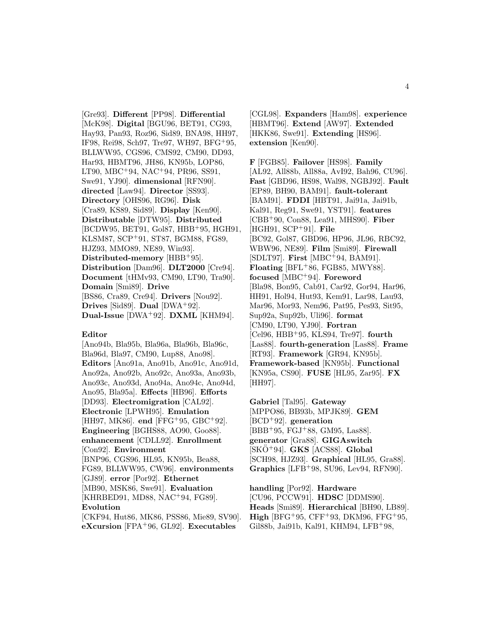[Gre93]. **Different** [PP98]. **Differential** [McK98]. **Digital** [BGU96, BET91, CG93, Hay93, Pan93, Roz96, Sid89, BNA98, HH97, IF98, Rei98, Sch97, Tre97, WH97, BFG<sup>+</sup>95, BLLWW95, CGS96, CMS92, CM90, DD93, Har93, HBMT96, JH86, KN95b, LOP86, LT90, MBC<sup>+</sup>94, NAC<sup>+</sup>94, PR96, SS91, Swe91, YJ90]. **dimensional** [RFN90]. **directed** [Law94]. **Director** [SS93]. **Directory** [OHS96, RG96]. **Disk** [Cra89, KS89, Sid89]. **Display** [Ken90]. **Distributable** [DTW95]. **Distributed** [BCDW95, BET91, Gol87, HBB<sup>+</sup>95, HGH91, KLSM87, SCP<sup>+</sup>91, ST87, BGM88, FG89, HJZ93, MMO89, NE89, Win93]. **Distributed-memory** [HBB<sup>+</sup>95]. **Distribution** [Dam96]. **DLT2000** [Cre94]. **Document** [tHMv93, CM90, LT90, Tra90]. **Domain** [Smi89]. **Drive** [BS86, Cra89, Cre94]. **Drivers** [Nou92]. **Drives** [Sid89]. **Dual** [DWA<sup>+</sup>92]. **Dual-Issue** [DWA<sup>+</sup>92]. **DXML** [KHM94].

#### **Editor**

[Ano94b, Bla95b, Bla96a, Bla96b, Bla96c, Bla96d, Bla97, CM90, Lup88, Ano98]. **Editors** [Ano91a, Ano91b, Ano91c, Ano91d, Ano92a, Ano92b, Ano92c, Ano93a, Ano93b, Ano93c, Ano93d, Ano94a, Ano94c, Ano94d, Ano95, Bla95a]. **Effects** [HB96]. **Efforts** [DD93]. **Electromigration** [CAL92]. **Electronic** [LPWH95]. **Emulation** [HH97, MK86]. **end** [FFG<sup>+</sup>95, GBC<sup>+</sup>92]. **Engineering** [BGHS88, AO90, Goo88]. **enhancement** [CDLL92]. **Enrollment** [Con92]. **Environment** [BNP96, CGS96, HL95, KN95b, Bea88, FG89, BLLWW95, CW96]. **environments** [GJ89]. **error** [Por92]. **Ethernet** [MB90, MSK86, Swe91]. **Evaluation** [KHRBED91, MD88, NAC<sup>+</sup>94, FG89]. **Evolution** [CKF94, Hut86, MK86, PSS86, Mie89, SV90].

**eXcursion** [FPA<sup>+</sup>96, GL92]. **Executables**

[CGL98]. **Expanders** [Ham98]. **experience** [HBMT96]. **Extend** [AW97]. **Extended** [HKK86, Swe91]. **Extending** [HS96]. **extension** [Ken90].

**F** [FGB85]. **Failover** [HS98]. **Family** [AL92, All88b, All88a, AvI92, Bah96, CU96]. **Fast** [GBD96, HS98, Wal98, NGBJ92]. **Fault** [EP89, BH90, BAM91]. **fault-tolerant** [BAM91]. **FDDI** [HBT91, Jai91a, Jai91b, Kal91, Reg91, Swe91, YST91]. **features** [CBB<sup>+</sup>90, Con88, Lea91, MHS90]. **Fiber** [HGH91, SCP<sup>+</sup>91]. **File** [BC92, Gol87, GBD96, HP96, JL96, RBC92, WBW96, NE89]. **Film** [Smi89]. **Firewall** [SDLT97]. **First** [MBC<sup>+</sup>94, BAM91]. **Floating** [BFL<sup>+</sup>86, FGB85, MWY88]. **focused** [MBC<sup>+</sup>94]. **Foreword** [Bla98, Bon95, Cab91, Car92, Gor94, Har96, HH91, Hol94, Hut93, Kem91, Lar98, Lau93, Mar96, Mor93, Nem96, Pat95, Pes93, Sit95, Sup92a, Sup92b, Uli96]. **format** [CM90, LT90, YJ90]. **Fortran** [Cel96, HBB<sup>+</sup>95, KLS94, Tre97]. **fourth** [Las88]. **fourth-generation** [Las88]. **Frame** [RT93]. **Framework** [GR94, KN95b]. **Framework-based** [KN95b]. **Functional** [KN95a, CS90]. **FUSE** [HL95, Zar95]. **FX** [HH97].

**Gabriel** [Tal95]. **Gateway** [MPPO86, BB93b, MPJK89]. **GEM** [BCD<sup>+</sup>92]. **generation** [BBB<sup>+</sup>95, FGJ<sup>+</sup>88, GM95, Las88]. **generator** [Gra88]. **GIGAswitch** [SKO¨ <sup>+</sup>94]. **GKS** [ACS88]. **Global** [SCH98, HJZ93]. **Graphical** [HL95, Gra88]. **Graphics** [LFB<sup>+</sup>98, SU96, Lev94, RFN90].

**handling** [Por92]. **Hardware** [CU96, PCCW91]. **HDSC** [DDMS90]. **Heads** [Smi89]. **Hierarchical** [BH90, LB89]. **High** [BFG<sup>+95</sup>, CFF<sup>+93</sup>, DKM96, FFG<sup>+95</sup>, Gil88b, Jai91b, Kal91, KHM94, LFB<sup>+</sup>98,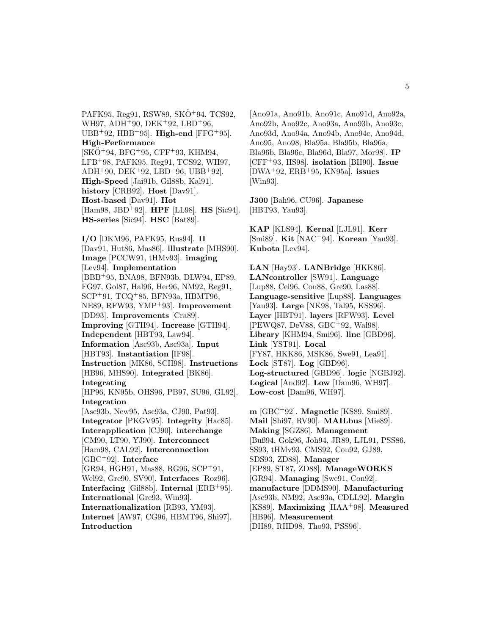PAFK95, Reg91, RSW89, SKO<sup>+</sup>94, TCS92, WH97, ADH<sup>+</sup>90, DEK<sup>+</sup>92, LBD<sup>+</sup>96, UBB<sup>+</sup>92, HBB<sup>+</sup>95]. **High-end** [FFG<sup>+</sup>95]. **High-Performance**  $[SKO+94, BFG+95, CFF+93, KHM94,$ LFB<sup>+</sup>98, PAFK95, Reg91, TCS92, WH97,  $ADH+90$ ,  $DEK+92$ ,  $LBD+96$ ,  $UBB+92$ . **High-Speed** [Jai91b, Gil88b, Kal91]. **history** [CRB92]. **Host** [Dav91]. **Host-based** [Dav91]. **Hot** [Ham98, JBD<sup>+</sup>92]. **HPF** [LL98]. **HS** [Sic94]. **HS-series** [Sic94]. **HSC** [Bat89].

**I/O** [DKM96, PAFK95, Rus94]. **II** [Dav91, Hut86, Mas86]. **illustrate** [MHS90]. **Image** [PCCW91, tHMv93]. **imaging** [Lev94]. **Implementation** [BBB<sup>+</sup>95, BNA98, BFN93b, DLW94, EP89, FG97, Gol87, Hal96, Her96, NM92, Reg91, SCP<sup>+</sup>91, TCQ<sup>+</sup>85, BFN93a, HBMT96, NE89, RFW93, YMP<sup>+</sup>93]. **Improvement** [DD93]. **Improvements** [Cra89]. **Improving** [GTH94]. **Increase** [GTH94]. **Independent** [HBT93, Law94]. **Information** [Asc93b, Asc93a]. **Input** [HBT93]. **Instantiation** [IF98]. **Instruction** [MK86, SCH98]. **Instructions** [HB96, MHS90]. **Integrated** [BK86]. **Integrating** [HP96, KN95b, OHS96, PB97, SU96, GL92]. **Integration** [Asc93b, New95, Asc93a, CJ90, Pat93]. **Integrator** [PKGV95]. **Integrity** [Hac85]. **Interapplication** [CJ90]. **interchange** [CM90, LT90, YJ90]. **Interconnect** [Ham98, CAL92]. **Interconnection** [GBC<sup>+</sup>92]. **Interface** [GR94, HGH91, Mas88, RG96, SCP<sup>+</sup>91, Wel92, Gre90, SV90]. **Interfaces** [Roz96]. **Interfacing** [Gil88b]. **Internal** [ERB<sup>+</sup>95]. **International** [Gre93, Win93]. **Internationalization** [RB93, YM93]. **Internet** [AW97, CG96, HBMT96, Shi97]. **Introduction**

[Ano91a, Ano91b, Ano91c, Ano91d, Ano92a, Ano92b, Ano92c, Ano93a, Ano93b, Ano93c, Ano93d, Ano94a, Ano94b, Ano94c, Ano94d, Ano95, Ano98, Bla95a, Bla95b, Bla96a, Bla96b, Bla96c, Bla96d, Bla97, Mor98]. **IP** [CFF<sup>+</sup>93, HS98]. **isolation** [BH90]. **Issue** [DWA<sup>+</sup>92, ERB<sup>+</sup>95, KN95a]. **issues** [Win93].

**J300** [Bah96, CU96]. **Japanese** [HBT93, Yau93].

**KAP** [KLS94]. **Kernal** [LJL91]. **Kerr** [Smi89]. **Kit** [NAC<sup>+</sup>94]. **Korean** [Yau93]. **Kubota** [Lev94].

**LAN** [Hay93]. **LANBridge** [HKK86]. **LANcontroller** [SW91]. **Language** [Lup88, Cel96, Con88, Gre90, Las88]. **Language-sensitive** [Lup88]. **Languages** [Yau93]. **Large** [NK98, Tal95, KSS96]. **Layer** [HBT91]. **layers** [RFW93]. **Level** [PEWQ87, DeV88, GBC<sup>+</sup>92, Wal98]. **Library** [KHM94, Smi96]. **line** [GBD96]. **Link** [YST91]. **Local** [FY87, HKK86, MSK86, Swe91, Lea91]. **Lock** [ST87]. **Log** [GBD96]. **Log-structured** [GBD96]. **logic** [NGBJ92]. **Logical** [And92]. **Low** [Dam96, WH97]. **Low-cost** [Dam96, WH97].

**m** [GBC<sup>+</sup>92]. **Magnetic** [KS89, Smi89]. **Mail** [Shi97, RV90]. **MAILbus** [Mie89]. **Making** [SGZ86]. **Management** [Buß94, Gok96, Joh94, JR89, LJL91, PSS86, SS93, tHMv93, CMS92, Con92, GJ89, SDS93, ZD88]. **Manager** [EP89, ST87, ZD88]. **ManageWORKS** [GR94]. **Managing** [Swe91, Con92]. **manufacture** [DDMS90]. **Manufacturing** [Asc93b, NM92, Asc93a, CDLL92]. **Margin** [KS89]. **Maximizing** [HAA<sup>+</sup>98]. **Measured** [HB96]. **Measurement** [DH89, RHD98, Tho93, PSS96].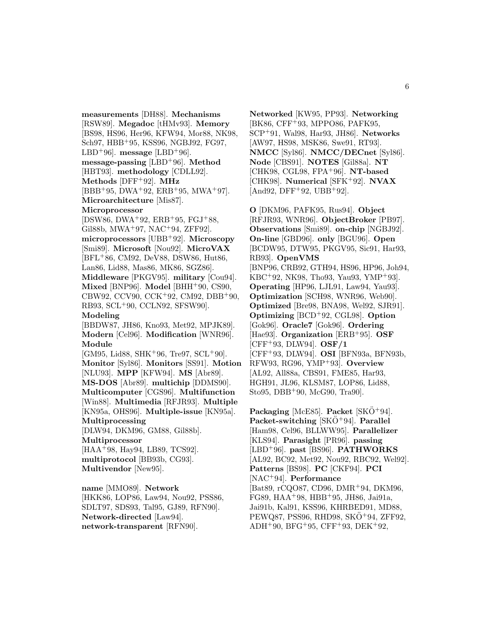**measurements** [DH88]. **Mechanisms** [RSW89]. **Megadoc** [tHMv93]. **Memory** [BS98, HS96, Her96, KFW94, Mor88, NK98, Sch97, HBB<sup>+</sup>95, KSS96, NGBJ92, FG97, LBD<sup>+96</sup>. message [LBD<sup>+96].</sup> **message-passing** [LBD<sup>+</sup>96]. **Method** [HBT93]. **methodology** [CDLL92]. **Methods** [DFF<sup>+</sup>92]. **MHz** [BBB<sup>+</sup>95, DWA<sup>+</sup>92, ERB<sup>+</sup>95, MWA<sup>+</sup>97]. **Microarchitecture** [Mis87]. **Microprocessor** [DSW86, DWA<sup>+</sup>92, ERB<sup>+</sup>95, FGJ<sup>+</sup>88, Gil88b, MWA<sup>+</sup>97, NAC<sup>+</sup>94, ZFF92]. **microprocessors** [UBB<sup>+</sup>92]. **Microscopy** [Smi89]. **Microsoft** [Nou92]. **MicroVAX** [BFL<sup>+</sup>86, CM92, DeV88, DSW86, Hut86, Lan86, Lid88, Mas86, MK86, SGZ86]. **Middleware** [PKGV95]. **military** [Cou94]. **Mixed** [BNP96]. **Model** [BHH<sup>+</sup>90, CS90, CBW92, CCV90, CCK<sup>+</sup>92, CM92, DBB<sup>+</sup>90, RB93, SCL<sup>+</sup>90, CCLN92, SFSW90]. **Modeling** [BBDW87, JH86, Kno93, Met92, MPJK89]. **Modern** [Cel96]. **Modification** [WNR96]. **Module** [GM95, Lid88, SHK<sup>+</sup>96, Tre97, SCL<sup>+</sup>90]. **Monitor** [Syl86]. **Monitors** [SS91]. **Motion** [NLU93]. **MPP** [KFW94]. **MS** [Abr89]. **MS-DOS** [Abr89]. **multichip** [DDMS90]. **Multicomputer** [CGS96]. **Multifunction** [Win88]. **Multimedia** [RFJR93]. **Multiple** [KN95a, OHS96]. **Multiple-issue** [KN95a]. **Multiprocessing** [DLW94, DKM96, GM88, Gil88b]. **Multiprocessor** [HAA<sup>+</sup>98, Hay94, LB89, TCS92]. **multiprotocol** [BB93b, CG93]. **Multivendor** [New95]. **name** [MMO89]. **Network**

[HKK86, LOP86, Law94, Nou92, PSS86, SDLT97, SDS93, Tal95, GJ89, RFN90]. **Network-directed** [Law94]. **network-transparent** [RFN90].

**Networked** [KW95, PP93]. **Networking** [BK86, CFF<sup>+</sup>93, MPPO86, PAFK95, SCP<sup>+</sup>91, Wal98, Har93, JH86]. **Networks** [AW97, HS98, MSK86, Swe91, RT93]. **NMCC** [Syl86]. **NMCC/DECnet** [Syl86]. **Node** [CBS91]. **NOTES** [Gil88a]. **NT** [CHK98, CGL98, FPA<sup>+</sup>96]. **NT-based** [CHK98]. **Numerical** [SFK<sup>+</sup>92]. **NVAX**  $[And92, DFF<sup>+</sup>92, UBB<sup>+</sup>92].$ 

**O** [DKM96, PAFK95, Rus94]. **Object** [RFJR93, WNR96]. **ObjectBroker** [PB97]. **Observations** [Smi89]. **on-chip** [NGBJ92]. **On-line** [GBD96]. **only** [BGU96]. **Open** [BCDW95, DTW95, PKGV95, Sic91, Har93, RB93]. **OpenVMS** [BNP96, CRB92, GTH94, HS96, HP96, Joh94, KBC<sup>+</sup>92, NK98, Tho93, Yau93, YMP<sup>+</sup>93]. **Operating** [HP96, LJL91, Law94, Yau93]. **Optimization** [SCH98, WNR96, Web90]. **Optimized** [Bre98, BNA98, Wel92, SJR91]. **Optimizing** [BCD<sup>+</sup>92, CGL98]. **Option** [Gok96]. **Oracle7** [Gok96]. **Ordering** [Hae93]. **Organization** [ERB<sup>+</sup>95]. **OSF** [CFF<sup>+</sup>93, DLW94]. **OSF/1** [CFF<sup>+</sup>93, DLW94]. **OSI** [BFN93a, BFN93b, RFW93, RG96, YMP<sup>+</sup>93]. **Overview** [AL92, All88a, CBS91, FME85, Har93, HGH91, JL96, KLSM87, LOP86, Lid88, Sto95, DBB<sup>+</sup>90, McG90, Tra90].

**Packaging** [McE85]. **Packet** [SKO<sup>+</sup>94]. **Packet-switching** [SKO<sup>+</sup>94]. **Parallel** [Ham98, Cel96, BLLWW95]. **Parallelizer** [KLS94]. **Parasight** [PR96]. **passing** [LBD<sup>+</sup>96]. **past** [BS96]. **PATHWORKS** [AL92, BC92, Met92, Nou92, RBC92, Wel92]. **Patterns** [BS98]. **PC** [CKF94]. **PCI** [NAC<sup>+</sup>94]. **Performance** [Bat89, rCQO87, CD96, DMR<sup>+</sup>94, DKM96, FG89, HAA<sup>+</sup>98, HBB<sup>+</sup>95, JH86, Jai91a, Jai91b, Kal91, KSS96, KHRBED91, MD88, PEWQ87, PSS96, RHD98, SKO<sup>+</sup>94, ZFF92, ADH<sup>+</sup>90, BFG<sup>+</sup>95, CFF<sup>+</sup>93, DEK<sup>+</sup>92,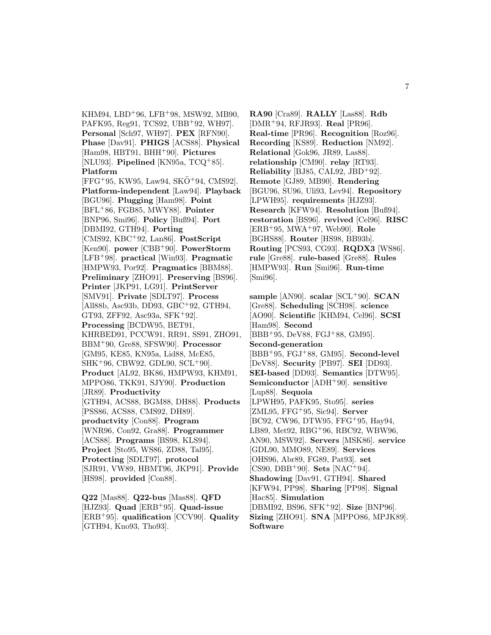KHM94, LBD<sup>+</sup>96, LFB<sup>+</sup>98, MSW92, MB90, PAFK95, Reg91, TCS92, UBB<sup>+</sup>92, WH97]. **Personal** [Sch97, WH97]. **PEX** [RFN90]. **Phase** [Dav91]. **PHIGS** [ACS88]. **Physical** [Ham98, HBT91, BHH<sup>+</sup>90]. **Pictures** [NLU93]. **Pipelined** [KN95a, TCQ<sup>+</sup>85]. **Platform**  $[FFG+95, KW95, Law94, SKO+94, CMS92].$ **Platform-independent** [Law94]. **Playback** [BGU96]. **Plugging** [Ham98]. **Point** [BFL<sup>+</sup>86, FGB85, MWY88]. **Pointer** [BNP96, Smi96]. **Policy** [Buß94]. **Port** [DBMI92, GTH94]. **Porting** [CMS92, KBC<sup>+</sup>92, Lan86]. **PostScript** [Ken90]. **power** [CBB<sup>+</sup>90]. **PowerStorm** [LFB<sup>+</sup>98]. **practical** [Win93]. **Pragmatic** [HMPW93, Por92]. **Pragmatics** [BBM88]. **Preliminary** [ZHO91]. **Preserving** [BS96]. **Printer** [JKP91, LG91]. **PrintServer** [SMV91]. **Private** [SDLT97]. **Process** [All88b, Asc93b, DD93, GBC<sup>+</sup>92, GTH94, GT93, ZFF92, Asc $93a$ , SFK<sup>+</sup>92. **Processing** [BCDW95, BET91, KHRBED91, PCCW91, RR91, SS91, ZHO91, BBM<sup>+</sup>90, Gre88, SFSW90]. **Processor** [GM95, KE85, KN95a, Lid88, McE85, SHK<sup>+</sup>96, CBW92, GDL90, SCL<sup>+</sup>90]. **Product** [AL92, BK86, HMPW93, KHM91, MPPO86, TKK91, SJY90]. **Production** [JR89]. **Productivity** [GTH94, ACS88, BGM88, DH88]. **Products** [PSS86, ACS88, CMS92, DH89]. **productvity** [Con88]. **Program** [WNR96, Con92, Gra88]. **Programmer** [ACS88]. **Programs** [BS98, KLS94]. **Project** [Sto95, WS86, ZD88, Tal95]. **Protecting** [SDLT97]. **protocol** [SJR91, VW89, HBMT96, JKP91]. **Provide** [HS98]. **provided** [Con88]. **Q22** [Mas88]. **Q22-bus** [Mas88]. **QFD**

[HJZ93]. **Quad** [ERB<sup>+</sup>95]. **Quad-issue** [ERB<sup>+</sup>95]. **qualification** [CCV90]. **Quality** [GTH94, Kno93, Tho93].

**RA90** [Cra89]. **RALLY** [Las88]. **Rdb** [DMR<sup>+</sup>94, RFJR93]. **Real** [PR96]. **Real-time** [PR96]. **Recognition** [Roz96]. **Recording** [KS89]. **Reduction** [NM92]. **Relational** [Gok96, JR89, Las88]. **relationship** [CM90]. **relay** [RT93]. **Reliability** [BJ85, CAL92, JBD<sup>+</sup>92]. **Remote** [GJ89, MB90]. **Rendering** [BGU96, SU96, Uli93, Lev94]. **Repository** [LPWH95]. **requirements** [HJZ93]. **Research** [KFW94]. **Resolution** [Buß94]. **restoration** [BS96]. **revived** [Cel96]. **RISC** [ERB<sup>+</sup>95, MWA<sup>+</sup>97, Web90]. **Role** [BGHS88]. **Router** [HS98, BB93b]. **Routing** [PCS93, CG93]. **RQDX3** [WS86]. **rule** [Gre88]. **rule-based** [Gre88]. **Rules** [HMPW93]. **Run** [Smi96]. **Run-time** [Smi96].

**sample** [AN90]. **scalar** [SCL<sup>+</sup>90]. **SCAN** [Gre88]. **Scheduling** [SCH98]. **science** [AO90]. **Scientific** [KHM94, Cel96]. **SCSI** [Ham98]. **Second** [BBB<sup>+</sup>95, DeV88, FGJ<sup>+</sup>88, GM95]. **Second-generation** [BBB<sup>+</sup>95, FGJ<sup>+</sup>88, GM95]. **Second-level** [DeV88]. **Security** [PB97]. **SEI** [DD93]. **SEI-based** [DD93]. **Semantics** [DTW95]. **Semiconductor** [ADH<sup>+</sup>90]. **sensitive** [Lup88]. **Sequoia** [LPWH95, PAFK95, Sto95]. **series** [ZML95, FFG<sup>+</sup>95, Sic94]. **Server** [BC92, CW96, DTW95, FFG<sup>+</sup>95, Hay94, LB89, Met92, RBG<sup>+</sup>96, RBC92, WBW96, AN90, MSW92]. **Servers** [MSK86]. **service** [GDL90, MMO89, NE89]. **Services** [OHS96, Abr89, FG89, Pat93]. **set** [CS90, DBB<sup>+</sup>90]. **Sets** [NAC<sup>+</sup>94]. **Shadowing** [Dav91, GTH94]. **Shared** [KFW94, PP98]. **Sharing** [PP98]. **Signal** [Hac85]. **Simulation** [DBMI92, BS96, SFK<sup>+</sup>92]. **Size** [BNP96]. **Sizing** [ZHO91]. **SNA** [MPPO86, MPJK89]. **Software**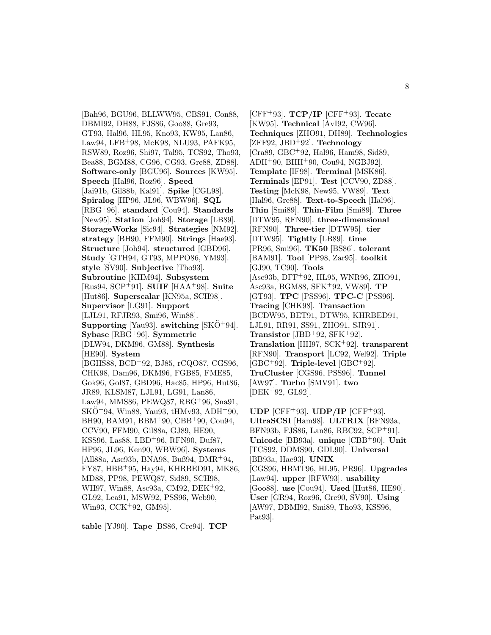[Bah96, BGU96, BLLWW95, CBS91, Con88, DBMI92, DH88, FJS86, Goo88, Gre93, GT93, Hal96, HL95, Kno93, KW95, Lan86, Law94, LFB<sup>+</sup>98, McK98, NLU93, PAFK95, RSW89, Roz96, Shi97, Tal95, TCS92, Tho93, Bea88, BGM88, CG96, CG93, Gre88, ZD88]. **Software-only** [BGU96]. **Sources** [KW95]. **Speech** [Hal96, Roz96]. **Speed** [Jai91b, Gil88b, Kal91]. **Spike** [CGL98]. **Spiralog** [HP96, JL96, WBW96]. **SQL** [RBG<sup>+</sup>96]. **standard** [Cou94]. **Standards** [New95]. **Station** [Joh94]. **Storage** [LB89]. **StorageWorks** [Sic94]. **Strategies** [NM92]. **strategy** [BH90, FFM90]. **Strings** [Hae93]. **Structure** [Joh94]. **structured** [GBD96]. **Study** [GTH94, GT93, MPPO86, YM93]. **style** [SV90]. **Subjective** [Tho93]. **Subroutine** [KHM94]. **Subsystem** [Rus94, SCP<sup>+</sup>91]. **SUIF** [HAA<sup>+</sup>98]. **Suite** [Hut86]. **Superscalar** [KN95a, SCH98]. **Supervisor** [LG91]. **Support** [LJL91, RFJR93, Smi96, Win88]. **Supporting** [Yau93]. **switching** [SKO<sup>+</sup>94]. **Sybase** [RBG<sup>+</sup>96]. **Symmetric** [DLW94, DKM96, GM88]. **Synthesis** [HE90]. **System** [BGHS88, BCD<sup>+</sup>92, BJ85, rCQO87, CGS96, CHK98, Dam96, DKM96, FGB85, FME85, Gok96, Gol87, GBD96, Hac85, HP96, Hut86, JR89, KLSM87, LJL91, LG91, Lan86, Law94, MMS86, PEWQ87, RBG<sup>+</sup>96, Sna91,  $SKO+94$ , Win88, Yau93, tHMv93, ADH+90, BH90, BAM91, BBM<sup>+</sup>90, CBB<sup>+</sup>90, Cou94, CCV90, FFM90, Gil88a, GJ89, HE90, KSS96, Las88, LBD<sup>+</sup>96, RFN90, Duf87, HP96, JL96, Ken90, WBW96]. **Systems** [All88a, Asc93b, BNA98, Buß94, DMR<sup>+</sup>94, FY87, HBB<sup>+</sup>95, Hay94, KHRBED91, MK86, MD88, PP98, PEWQ87, Sid89, SCH98, WH97, Win88, Asc93a, CM92, DEK<sup>+</sup>92, GL92, Lea91, MSW92, PSS96, Web90, Win93, CCK<sup>+</sup>92, GM95].

**table** [YJ90]. **Tape** [BS86, Cre94]. **TCP**

[CFF<sup>+</sup>93]. **TCP/IP** [CFF<sup>+</sup>93]. **Tecate** [KW95]. **Technical** [AvI92, CW96]. **Techniques** [ZHO91, DH89]. **Technologies** [ZFF92, JBD<sup>+</sup>92]. **Technology** [Cra89, GBC<sup>+</sup>92, Hal96, Ham98, Sid89,  $ADH<sup>+</sup>90$ ,  $BHH<sup>+</sup>90$ ,  $Cou94$ ,  $NGBJ92$ ]. **Template** [IF98]. **Terminal** [MSK86]. **Terminals** [EP91]. **Test** [CCV90, ZD88]. **Testing** [McK98, New95, VW89]. **Text** [Hal96, Gre88]. **Text-to-Speech** [Hal96]. **Thin** [Smi89]. **Thin-Film** [Smi89]. **Three** [DTW95, RFN90]. **three-dimensional** [RFN90]. **Three-tier** [DTW95]. **tier** [DTW95]. **Tightly** [LB89]. **time** [PR96, Smi96]. **TK50** [BS86]. **tolerant** [BAM91]. **Tool** [PP98, Zar95]. **toolkit** [GJ90, TC90]. **Tools** [Asc93b, DFF<sup>+</sup>92, HL95, WNR96, ZHO91, Asc93a, BGM88, SFK<sup>+</sup>92, VW89]. **TP** [GT93]. **TPC** [PSS96]. **TPC-C** [PSS96]. **Tracing** [CHK98]. **Transaction** [BCDW95, BET91, DTW95, KHRBED91, LJL91, RR91, SS91, ZHO91, SJR91]. **Transistor** [JBD<sup>+</sup>92, SFK<sup>+</sup>92]. **Translation** [HH97, SCK<sup>+</sup>92]. **transparent** [RFN90]. **Transport** [LC92, Wel92]. **Triple**  $[GBC+92]$ . **Triple-level**  $[GBC+92]$ . **TruCluster** [CGS96, PSS96]. **Tunnel** [AW97]. **Turbo** [SMV91]. **two** [DEK<sup>+</sup>92, GL92].

**UDP** [CFF<sup>+</sup>93]. **UDP/IP** [CFF<sup>+</sup>93]. **UltraSCSI** [Ham98]. **ULTRIX** [BFN93a, BFN93b, FJS86, Lan86, RBC92, SCP<sup>+</sup>91]. **Unicode** [BB93a]. **unique** [CBB<sup>+</sup>90]. **Unit** [TCS92, DDMS90, GDL90]. **Universal** [BB93a, Hae93]. **UNIX** [CGS96, HBMT96, HL95, PR96]. **Upgrades** [Law94]. **upper** [RFW93]. **usability** [Goo88]. **use** [Cou94]. **Used** [Hut86, HE90]. **User** [GR94, Roz96, Gre90, SV90]. **Using** [AW97, DBMI92, Smi89, Tho93, KSS96, Pat93].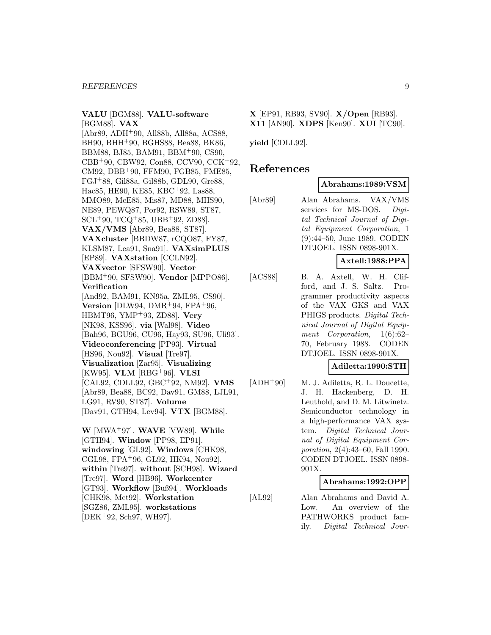#### **VALU** [BGM88]. **VALU-software** [BGM88]. **VAX**

[Abr89, ADH<sup>+</sup>90, All88b, All88a, ACS88, BH90, BHH<sup>+</sup>90, BGHS88, Bea88, BK86, BBM88, BJ85, BAM91, BBM<sup>+</sup>90, CS90, CBB<sup>+</sup>90, CBW92, Con88, CCV90, CCK<sup>+</sup>92, CM92, DBB<sup>+</sup>90, FFM90, FGB85, FME85, FGJ<sup>+</sup>88, Gil88a, Gil88b, GDL90, Gre88, Hac85, HE90, KE85, KBC<sup>+</sup>92, Las88, MMO89, McE85, Mis87, MD88, MHS90, NE89, PEWQ87, Por92, RSW89, ST87, SCL<sup>+</sup>90, TCQ<sup>+</sup>85, UBB<sup>+</sup>92, ZD88]. **VAX/VMS** [Abr89, Bea88, ST87]. **VAXcluster** [BBDW87, rCQO87, FY87, KLSM87, Lea91, Sna91]. **VAXsimPLUS** [EP89]. **VAXstation** [CCLN92]. **VAXvector** [SFSW90]. **Vector** [BBM<sup>+</sup>90, SFSW90]. **Vendor** [MPPO86]. **Verification** [And92, BAM91, KN95a, ZML95, CS90]. **Version** [DLW94, DMR<sup>+</sup>94, FPA<sup>+</sup>96, HBMT96, YMP<sup>+</sup>93, ZD88]. **Very** [NK98, KSS96]. **via** [Wal98]. **Video** [Bah96, BGU96, CU96, Hay93, SU96, Uli93]. **Videoconferencing** [PP93]. **Virtual** [HS96, Nou92]. **Visual** [Tre97]. **Visualization** [Zar95]. **Visualizing** [KW95]. **VLM** [RBG<sup>+</sup>96]. **VLSI** [CAL92, CDLL92, GBC<sup>+</sup>92, NM92]. **VMS** [Abr89, Bea88, BC92, Dav91, GM88, LJL91, LG91, RV90, ST87]. **Volume** [Dav91, GTH94, Lev94]. **VTX** [BGM88].

**W** [MWA<sup>+</sup>97]. **WAVE** [VW89]. **While** [GTH94]. **Window** [PP98, EP91]. **windowing** [GL92]. **Windows** [CHK98, CGL98, FPA<sup>+</sup>96, GL92, HK94, Nou92]. **within** [Tre97]. **without** [SCH98]. **Wizard** [Tre97]. **Word** [HB96]. **Workcenter** [GT93]. **Workflow** [Buß94]. **Workloads** [CHK98, Met92]. **Workstation** [SGZ86, ZML95]. **workstations** [DEK<sup>+</sup>92, Sch97, WH97].

**X** [EP91, RB93, SV90]. **X/Open** [RB93]. **X11** [AN90]. **XDPS** [Ken90]. **XUI** [TC90].

**yield** [CDLL92].

# **References**

#### **Abrahams:1989:VSM**

[Abr89] Alan Abrahams. VAX/VMS services for MS-DOS. Digital Technical Journal of Digital Equipment Corporation, 1 (9):44–50, June 1989. CODEN DTJOEL. ISSN 0898-901X.

## **Axtell:1988:PPA**

[ACS88] B. A. Axtell, W. H. Clifford, and J. S. Saltz. Programmer productivity aspects of the VAX GKS and VAX PHIGS products. Digital Technical Journal of Digital Equipment Corporation, 1(6):62– 70, February 1988. CODEN DTJOEL. ISSN 0898-901X.

#### **Adiletta:1990:STH**

[ADH<sup>+</sup>90] M. J. Adiletta, R. L. Doucette, J. H. Hackenberg, D. H. Leuthold, and D. M. Litwinetz. Semiconductor technology in a high-performance VAX system. Digital Technical Journal of Digital Equipment Corporation, 2(4):43–60, Fall 1990. CODEN DTJOEL. ISSN 0898- 901X.

#### **Abrahams:1992:OPP**

[AL92] Alan Abrahams and David A. Low. An overview of the PATHWORKS product family. Digital Technical Jour-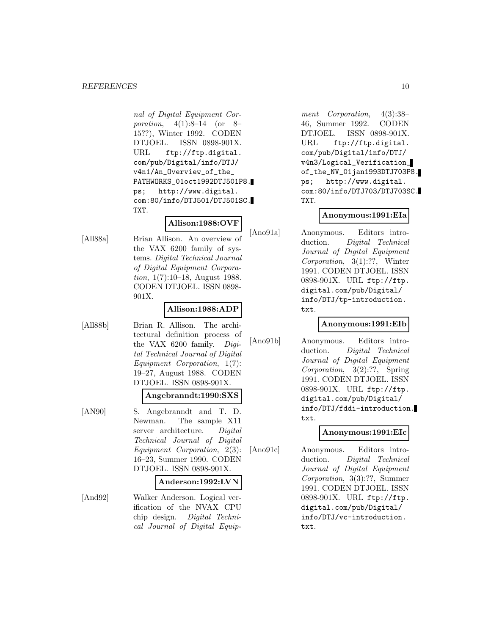nal of Digital Equipment Corporation, 4(1):8–14 (or 8– 15??), Winter 1992. CODEN DTJOEL. ISSN 0898-901X. URL ftp://ftp.digital. com/pub/Digital/info/DTJ/ v4n1/An\_Overview\_of\_the\_ PATHWORKS\_01oct1992DTJ501P8. ps; http://www.digital. com:80/info/DTJ501/DTJ501SC. TXT.

# **Allison:1988:OVF**

[All88a] Brian Allison. An overview of the VAX 6200 family of systems. Digital Technical Journal of Digital Equipment Corporation, 1(7):10–18, August 1988. CODEN DTJOEL. ISSN 0898- 901X.

#### **Allison:1988:ADP**

[All88b] Brian R. Allison. The architectural definition process of the VAX 6200 family. Digital Technical Journal of Digital Equipment Corporation, 1(7): 19–27, August 1988. CODEN DTJOEL. ISSN 0898-901X.

# **Angebranndt:1990:SXS**

[AN90] S. Angebranndt and T. D. Newman. The sample X11 server architecture. Digital Technical Journal of Digital Equipment Corporation, 2(3): 16–23, Summer 1990. CODEN DTJOEL. ISSN 0898-901X.

#### **Anderson:1992:LVN**

[And92] Walker Anderson. Logical verification of the NVAX CPU chip design. Digital Technical Journal of Digital Equipment Corporation, 4(3):38– 46, Summer 1992. CODEN DTJOEL. ISSN 0898-901X. URL ftp://ftp.digital. com/pub/Digital/info/DTJ/ v4n3/Logical\_Verification\_ of\_the\_NV\_01jan1993DTJ703P8. ps; http://www.digital. com:80/info/DTJ703/DTJ703SC. TXT.

## **Anonymous:1991:EIa**

[Ano91a] Anonymous. Editors introduction. Digital Technical Journal of Digital Equipment Corporation, 3(1):??, Winter 1991. CODEN DTJOEL. ISSN 0898-901X. URL ftp://ftp. digital.com/pub/Digital/ info/DTJ/tp-introduction. txt.

#### **Anonymous:1991:EIb**

[Ano91b] Anonymous. Editors introduction. Digital Technical Journal of Digital Equipment Corporation, 3(2):??, Spring 1991. CODEN DTJOEL. ISSN 0898-901X. URL ftp://ftp. digital.com/pub/Digital/ info/DTJ/fddi-introduction. txt.

#### **Anonymous:1991:EIc**

[Ano91c] Anonymous. Editors introduction. Digital Technical Journal of Digital Equipment Corporation, 3(3):??, Summer 1991. CODEN DTJOEL. ISSN 0898-901X. URL ftp://ftp. digital.com/pub/Digital/ info/DTJ/vc-introduction. txt.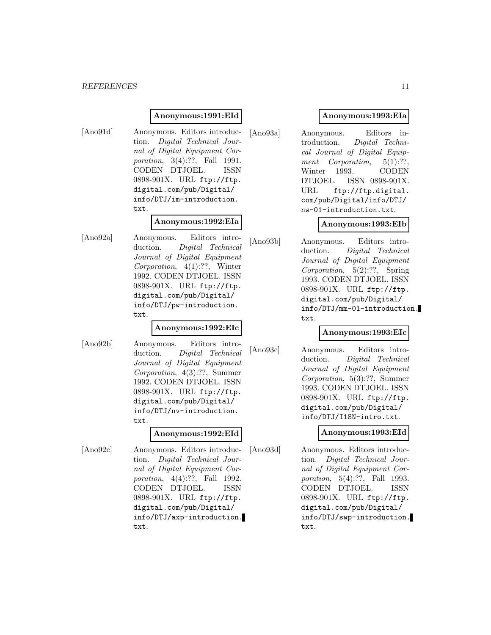#### **Anonymous:1991:EId**

[Ano91d] Anonymous. Editors introduction. Digital Technical Journal of Digital Equipment Corporation, 3(4):??, Fall 1991. CODEN DTJOEL. ISSN 0898-901X. URL ftp://ftp. digital.com/pub/Digital/ info/DTJ/im-introduction. txt.

#### **Anonymous:1992:EIa**

[Ano92a] Anonymous. Editors introduction. Digital Technical Journal of Digital Equipment Corporation, 4(1):??, Winter 1992. CODEN DTJOEL. ISSN 0898-901X. URL ftp://ftp. digital.com/pub/Digital/ info/DTJ/pw-introduction. txt.

#### **Anonymous:1992:EIc**

[Ano92b] Anonymous. Editors introduction. Digital Technical Journal of Digital Equipment Corporation, 4(3):??, Summer 1992. CODEN DTJOEL. ISSN 0898-901X. URL ftp://ftp. digital.com/pub/Digital/ info/DTJ/nv-introduction. txt.

#### **Anonymous:1992:EId**

[Ano92c] Anonymous. Editors introduction. Digital Technical Journal of Digital Equipment Corporation, 4(4):??, Fall 1992. CODEN DTJOEL. ISSN 0898-901X. URL ftp://ftp. digital.com/pub/Digital/ info/DTJ/axp-introduction. txt.

# **Anonymous:1993:EIa**

[Ano93a] Anonymous. Editors introduction. Digital Technical Journal of Digital Equipment Corporation, 5(1):??, Winter 1993. CODEN DTJOEL. ISSN 0898-901X. URL ftp://ftp.digital. com/pub/Digital/info/DTJ/ nw-01-introduction.txt.

## **Anonymous:1993:EIb**

[Ano93b] Anonymous. Editors introduction. Digital Technical Journal of Digital Equipment Corporation, 5(2):??, Spring 1993. CODEN DTJOEL. ISSN 0898-901X. URL ftp://ftp. digital.com/pub/Digital/ info/DTJ/mm-01-introduction. txt.

#### **Anonymous:1993:EIc**

[Ano93c] Anonymous. Editors introduction. Digital Technical Journal of Digital Equipment Corporation, 5(3):??, Summer 1993. CODEN DTJOEL. ISSN 0898-901X. URL ftp://ftp. digital.com/pub/Digital/ info/DTJ/I18N-intro.txt.

#### **Anonymous:1993:EId**

[Ano93d] Anonymous. Editors introduction. Digital Technical Journal of Digital Equipment Corporation, 5(4):??, Fall 1993. CODEN DTJOEL. ISSN 0898-901X. URL ftp://ftp. digital.com/pub/Digital/ info/DTJ/swp-introduction. txt.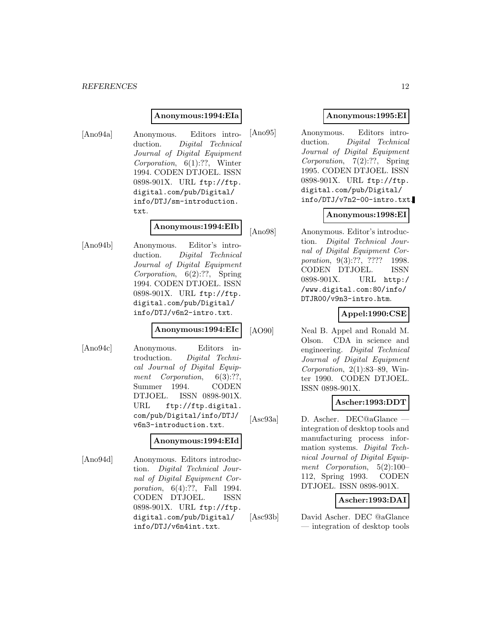#### **Anonymous:1994:EIa**

[Ano94a] Anonymous. Editors introduction. Digital Technical Journal of Digital Equipment Corporation, 6(1):??, Winter 1994. CODEN DTJOEL. ISSN 0898-901X. URL ftp://ftp. digital.com/pub/Digital/ info/DTJ/sm-introduction. txt.

#### **Anonymous:1994:EIb**

[Ano94b] Anonymous. Editor's introduction. Digital Technical Journal of Digital Equipment Corporation, 6(2):??, Spring 1994. CODEN DTJOEL. ISSN 0898-901X. URL ftp://ftp. digital.com/pub/Digital/ info/DTJ/v6n2-intro.txt.

#### **Anonymous:1994:EIc**

[Ano94c] Anonymous. Editors introduction. Digital Technical Journal of Digital Equipment Corporation, 6(3):??, Summer 1994. CODEN DTJOEL. ISSN 0898-901X. URL ftp://ftp.digital. com/pub/Digital/info/DTJ/ v6n3-introduction.txt.

#### **Anonymous:1994:EId**

[Ano94d] Anonymous. Editors introduction. Digital Technical Journal of Digital Equipment Corporation, 6(4):??, Fall 1994. CODEN DTJOEL. ISSN 0898-901X. URL ftp://ftp. digital.com/pub/Digital/ info/DTJ/v6n4int.txt.

# **Anonymous:1995:EI**

[Ano95] Anonymous. Editors introduction. Digital Technical Journal of Digital Equipment Corporation, 7(2):??, Spring 1995. CODEN DTJOEL. ISSN 0898-901X. URL ftp://ftp. digital.com/pub/Digital/ info/DTJ/v7n2-00-intro.txt.

## **Anonymous:1998:EI**

[Ano98] Anonymous. Editor's introduction. Digital Technical Journal of Digital Equipment Corporation, 9(3):??, ???? 1998. CODEN DTJOEL. ISSN 0898-901X. URL http:/ /www.digital.com:80/info/ DTJR00/v9n3-intro.htm.

# **Appel:1990:CSE**

[AO90] Neal B. Appel and Ronald M. Olson. CDA in science and engineering. Digital Technical Journal of Digital Equipment Corporation, 2(1):83–89, Winter 1990. CODEN DTJOEL. ISSN 0898-901X.

# **Ascher:1993:DDT**

[Asc93a] D. Ascher. DEC@aGlance integration of desktop tools and manufacturing process information systems. Digital Technical Journal of Digital Equipment Corporation, 5(2):100– 112, Spring 1993. CODEN DTJOEL. ISSN 0898-901X.

## **Ascher:1993:DAI**

[Asc93b] David Ascher. DEC @aGlance — integration of desktop tools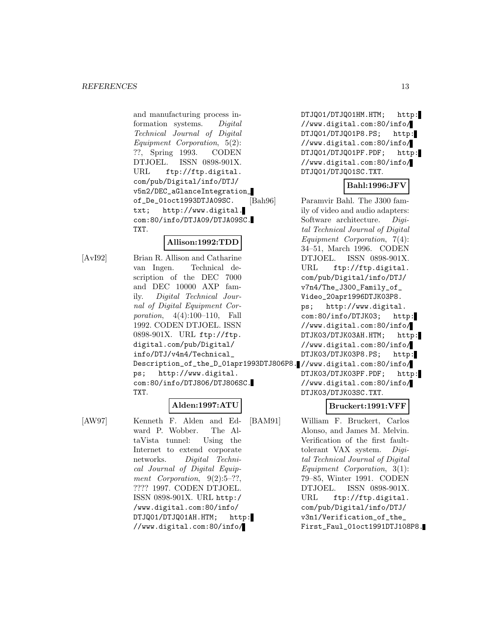and manufacturing process information systems. Digital Technical Journal of Digital Equipment Corporation, 5(2): ??, Spring 1993. CODEN DTJOEL. ISSN 0898-901X. URL ftp://ftp.digital. com/pub/Digital/info/DTJ/ v5n2/DEC\_aGlanceIntegration\_ of\_De\_01oct1993DTJA09SC. txt; http://www.digital. com:80/info/DTJA09/DTJA09SC. TXT.

# **Allison:1992:TDD**

[AvI92] Brian R. Allison and Catharine van Ingen. Technical description of the DEC 7000 and DEC 10000 AXP family. Digital Technical Journal of Digital Equipment Corporation, 4(4):100–110, Fall 1992. CODEN DTJOEL. ISSN 0898-901X. URL ftp://ftp. digital.com/pub/Digital/ info/DTJ/v4n4/Technical\_ Description\_of\_the\_D\_01apr1993DTJ806P8. //www.digital.com:80/info/ ps; http://www.digital. com:80/info/DTJ806/DTJ806SC. TXT.

# **Alden:1997:ATU**

[AW97] Kenneth F. Alden and Edward P. Wobber. The AltaVista tunnel: Using the Internet to extend corporate networks. Digital Technical Journal of Digital Equipment Corporation,  $9(2):5-$ ??, ???? 1997. CODEN DTJOEL. ISSN 0898-901X. URL http:/ /www.digital.com:80/info/ DTJQ01/DTJQ01AH.HTM; http: //www.digital.com:80/info/

DTJQ01/DTJQ01HM.HTM; http: //www.digital.com:80/info/ DTJQ01/DTJQ01P8.PS; http: //www.digital.com:80/info/ DTJQ01/DTJQ01PF.PDF; http: //www.digital.com:80/info/ DTJQ01/DTJQ01SC.TXT.

# **Bahl:1996:JFV**

[Bah96] Paramvir Bahl. The J300 family of video and audio adapters: Software architecture. Digital Technical Journal of Digital Equipment Corporation, 7(4): 34–51, March 1996. CODEN DTJOEL. ISSN 0898-901X. URL ftp://ftp.digital. com/pub/Digital/info/DTJ/ v7n4/The\_J300\_Family\_of\_ Video\_20apr1996DTJK03P8. ps; http://www.digital. com:80/info/DTJK03; http: //www.digital.com:80/info/ DTJK03/DTJK03AH.HTM; http: //www.digital.com:80/info/ DTJK03/DTJK03P8.PS; http: DTJK03/DTJK03PF.PDF; http: //www.digital.com:80/info/

# **Bruckert:1991:VFF**

DTJK03/DTJK03SC.TXT.

[BAM91] William F. Bruckert, Carlos Alonso, and James M. Melvin. Verification of the first faulttolerant VAX system. Digital Technical Journal of Digital Equipment Corporation, 3(1): 79–85, Winter 1991. CODEN DTJOEL. ISSN 0898-901X. URL ftp://ftp.digital. com/pub/Digital/info/DTJ/ v3n1/Verification\_of\_the\_ First\_Faul\_01oct1991DTJ108P8.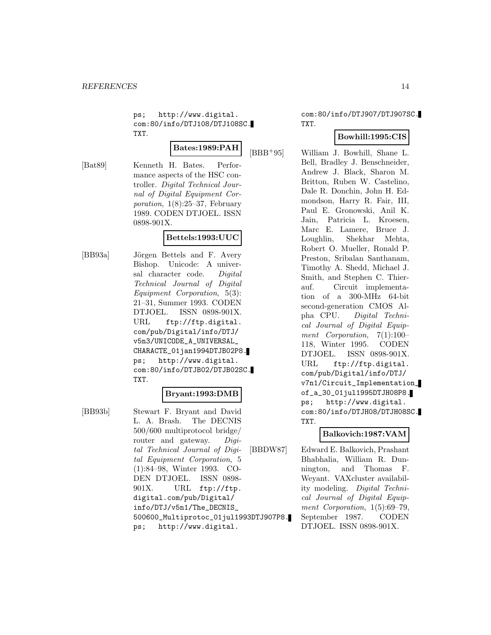ps; http://www.digital. com:80/info/DTJ108/DTJ108SC. TXT.

**Bates:1989:PAH**

[Bat89] Kenneth H. Bates. Performance aspects of the HSC controller. Digital Technical Journal of Digital Equipment Corporation, 1(8):25–37, February 1989. CODEN DTJOEL. ISSN

0898-901X.

# **Bettels:1993:UUC**

[BB93a] Jörgen Bettels and F. Avery Bishop. Unicode: A universal character code. Digital Technical Journal of Digital Equipment Corporation, 5(3): 21–31, Summer 1993. CODEN DTJOEL. ISSN 0898-901X. URL ftp://ftp.digital. com/pub/Digital/info/DTJ/ v5n3/UNICODE\_A\_UNIVERSAL\_ CHARACTE\_01jan1994DTJB02P8. ps; http://www.digital. com:80/info/DTJB02/DTJB02SC. TXT.

#### **Bryant:1993:DMB**

[BB93b] Stewart F. Bryant and David L. A. Brash. The DECNIS 500/600 multiprotocol bridge/ router and gateway. Digital Technical Journal of Digital Equipment Corporation, 5 (1):84–98, Winter 1993. CO-DEN DTJOEL. ISSN 0898- 901X. URL ftp://ftp. digital.com/pub/Digital/ info/DTJ/v5n1/The\_DECNIS\_ 500600\_Multiprotoc\_01jul1993DTJ907P8. ps; http://www.digital.

com:80/info/DTJ907/DTJ907SC. TXT.

## **Bowhill:1995:CIS**

[BBB<sup>+</sup>95] William J. Bowhill, Shane L. Bell, Bradley J. Benschneider, Andrew J. Black, Sharon M. Britton, Ruben W. Castelino, Dale R. Donchin, John H. Edmondson, Harry R. Fair, III, Paul E. Gronowski, Anil K. Jain, Patricia L. Kroesen, Marc E. Lamere, Bruce J. Loughlin, Shekhar Mehta, Robert O. Mueller, Ronald P. Preston, Sribalan Santhanam, Timothy A. Shedd, Michael J. Smith, and Stephen C. Thierauf. Circuit implementation of a 300-MHz 64-bit second-generation CMOS Alpha CPU. Digital Technical Journal of Digital Equipment Corporation, 7(1):100– 118, Winter 1995. CODEN DTJOEL. ISSN 0898-901X. URL ftp://ftp.digital. com/pub/Digital/info/DTJ/ v7n1/Circuit\_Implementation\_ of\_a\_30\_01jul1995DTJH08P8. ps; http://www.digital. com:80/info/DTJH08/DTJH08SC. TXT.

#### **Balkovich:1987:VAM**

[BBDW87] Edward E. Balkovich, Prashant Bhabhalia, William R. Dunnington, and Thomas F. Weyant. VAXcluster availability modeling. Digital Technical Journal of Digital Equipment Corporation,  $1(5):69-79$ , September 1987. CODEN DTJOEL. ISSN 0898-901X.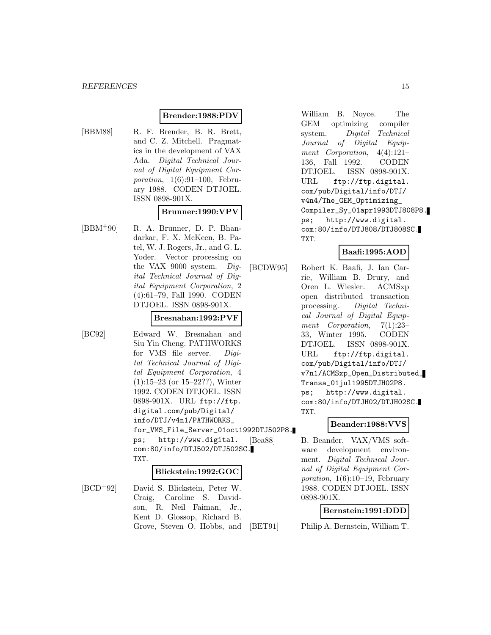# **Brender:1988:PDV**

# [BBM88] R. F. Brender, B. R. Brett, and C. Z. Mitchell. Pragmatics in the development of VAX Ada. Digital Technical Journal of Digital Equipment Corporation, 1(6):91–100, February 1988. CODEN DTJOEL. ISSN 0898-901X.

# **Brunner:1990:VPV**

[BBM<sup>+</sup>90] R. A. Brunner, D. P. Bhandarkar, F. X. McKeen, B. Patel, W. J. Rogers, Jr., and G. L. Yoder. Vector processing on the VAX 9000 system. Digital Technical Journal of Digital Equipment Corporation, 2 (4):61–79, Fall 1990. CODEN DTJOEL. ISSN 0898-901X.

# **Bresnahan:1992:PVF**

[BC92] Edward W. Bresnahan and Siu Yin Cheng. PATHWORKS for VMS file server. Digital Technical Journal of Digital Equipment Corporation, 4 (1):15–23 (or 15–22??), Winter 1992. CODEN DTJOEL. ISSN 0898-901X. URL ftp://ftp. digital.com/pub/Digital/ info/DTJ/v4n1/PATHWORKS\_ for\_VMS\_File\_Server\_01oct1992DTJ502P8. ps; http://www.digital. com:80/info/DTJ502/DTJ502SC. TXT.

#### **Blickstein:1992:GOC**

[BCD<sup>+</sup>92] David S. Blickstein, Peter W. Craig, Caroline S. Davidson, R. Neil Faiman, Jr., Kent D. Glossop, Richard B. Grove, Steven O. Hobbs, and William B. Noyce. The GEM optimizing compiler system. Digital Technical Journal of Digital Equipment Corporation, 4(4):121– 136, Fall 1992. CODEN DTJOEL. ISSN 0898-901X. URL ftp://ftp.digital. com/pub/Digital/info/DTJ/ v4n4/The\_GEM\_Optimizing\_ Compiler\_Sy\_01apr1993DTJ808P8. ps; http://www.digital. com:80/info/DTJ808/DTJ808SC. TXT.

# **Baafi:1995:AOD**

[BCDW95] Robert K. Baafi, J. Ian Carrie, William B. Drury, and Oren L. Wiesler. ACMSxp open distributed transaction processing. Digital Technical Journal of Digital Equipment Corporation, 7(1):23– 33, Winter 1995. CODEN DTJOEL. ISSN 0898-901X. URL ftp://ftp.digital. com/pub/Digital/info/DTJ/ v7n1/ACMSxp\_Open\_Distributed\_ Transa\_01jul1995DTJH02P8. ps; http://www.digital. com:80/info/DTJH02/DTJH02SC. TXT.

# **Beander:1988:VVS**

[Bea88] B. Beander. VAX/VMS software development environment. Digital Technical Journal of Digital Equipment Corporation,  $1(6):10-19$ , February 1988. CODEN DTJOEL. ISSN 0898-901X.

#### **Bernstein:1991:DDD**

[BET91] Philip A. Bernstein, William T.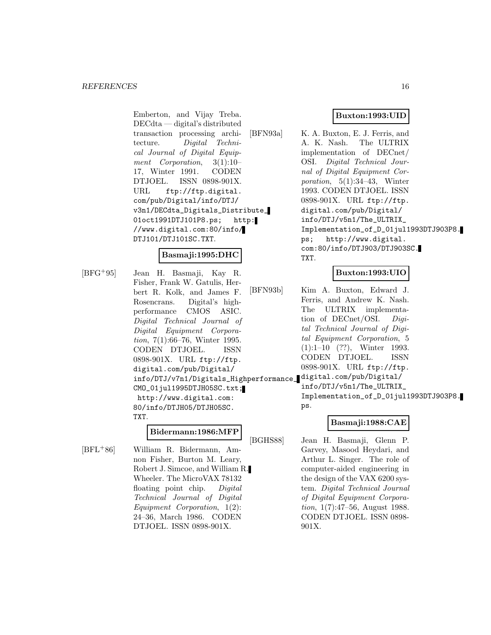Emberton, and Vijay Treba. DECdta — digital's distributed transaction processing architecture. Digital Technical Journal of Digital Equipment Corporation, 3(1):10– 17, Winter 1991. CODEN DTJOEL. ISSN 0898-901X. URL ftp://ftp.digital. com/pub/Digital/info/DTJ/ v3n1/DECdta\_Digitals\_Distribute\_ 01oct1991DTJ101P8.ps; http: //www.digital.com:80/info/ DTJ101/DTJ101SC.TXT.

# **Basmaji:1995:DHC**

[BFG<sup>+</sup>95] Jean H. Basmaji, Kay R. Fisher, Frank W. Gatulis, Herbert R. Kolk, and James F. Rosencrans. Digital's highperformance CMOS ASIC. Digital Technical Journal of Digital Equipment Corporation, 7(1):66–76, Winter 1995. CODEN DTJOEL. ISSN 0898-901X. URL ftp://ftp. digital.com/pub/Digital/ info/DTJ/v7n1/Digitals\_Highperformance\_ digital.com/pub/Digital/ CMO\_01jul1995DTJH05SC.txt; http://www.digital.com: 80/info/DTJH05/DTJH05SC. TXT.

## **Bidermann:1986:MFP**

[BFL<sup>+</sup>86] William R. Bidermann, Amnon Fisher, Burton M. Leary, Robert J. Simcoe, and William R. Wheeler. The MicroVAX 78132 floating point chip. Digital Technical Journal of Digital Equipment Corporation, 1(2): 24–36, March 1986. CODEN DTJOEL. ISSN 0898-901X.

# **Buxton:1993:UID**

[BFN93a] K. A. Buxton, E. J. Ferris, and A. K. Nash. The ULTRIX implementation of DECnet/ OSI. Digital Technical Journal of Digital Equipment Corporation, 5(1):34–43, Winter 1993. CODEN DTJOEL. ISSN 0898-901X. URL ftp://ftp. digital.com/pub/Digital/ info/DTJ/v5n1/The\_ULTRIX\_ Implementation\_of\_D\_01jul1993DTJ903P8. ps; http://www.digital. com:80/info/DTJ903/DTJ903SC. TXT.

# **Buxton:1993:UIO**

[BFN93b] Kim A. Buxton, Edward J. Ferris, and Andrew K. Nash. The ULTRIX implementation of DECnet/OSI. Digital Technical Journal of Digital Equipment Corporation, 5 (1):1–10 (??), Winter 1993. CODEN DTJOEL. ISSN 0898-901X. URL ftp://ftp.

info/DTJ/v5n1/The\_ULTRIX\_

Implementation\_of\_D\_01jul1993DTJ903P8. ps.

# **Basmaji:1988:CAE**

[BGHS88] Jean H. Basmaji, Glenn P. Garvey, Masood Heydari, and Arthur L. Singer. The role of computer-aided engineering in the design of the VAX 6200 system. Digital Technical Journal of Digital Equipment Corporation, 1(7):47–56, August 1988. CODEN DTJOEL. ISSN 0898- 901X.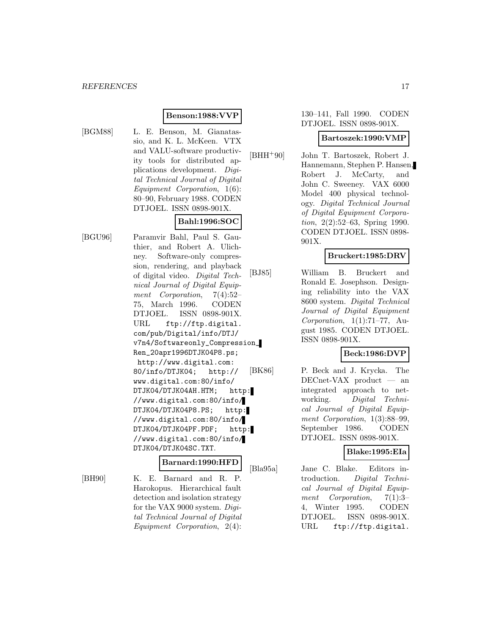#### **Benson:1988:VVP**

- 
- [BGM88] L. E. Benson, M. Gianatassio, and K. L. McKeen. VTX and VALU-software productivity tools for distributed applications development. Digital Technical Journal of Digital Equipment Corporation, 1(6): 80–90, February 1988. CODEN DTJOEL. ISSN 0898-901X.

# **Bahl:1996:SOC**

[BGU96] Paramvir Bahl, Paul S. Gauthier, and Robert A. Ulichney. Software-only compression, rendering, and playback of digital video. Digital Technical Journal of Digital Equipment Corporation, 7(4):52– 75, March 1996. CODEN DTJOEL. ISSN 0898-901X. URL ftp://ftp.digital. com/pub/Digital/info/DTJ/ v7n4/Softwareonly\_Compression\_ Ren\_20apr1996DTJK04P8.ps; http://www.digital.com: 80/info/DTJK04; http:// www.digital.com:80/info/ DTJK04/DTJK04AH.HTM; http: //www.digital.com:80/info/ DTJK04/DTJK04P8.PS; http: //www.digital.com:80/info/ DTJK04/DTJK04PF.PDF; http: //www.digital.com:80/info/ DTJK04/DTJK04SC.TXT.

#### **Barnard:1990:HFD**

[BH90] K. E. Barnard and R. P. Harokopus. Hierarchical fault detection and isolation strategy for the VAX 9000 system. Digital Technical Journal of Digital Equipment Corporation, 2(4):

#### 130–141, Fall 1990. CODEN DTJOEL. ISSN 0898-901X.

#### **Bartoszek:1990:VMP**

[BHH<sup>+</sup>90] John T. Bartoszek, Robert J. Hannemann, Stephen P. Hansen, Robert J. McCarty, and John C. Sweeney. VAX 6000 Model 400 physical technology. Digital Technical Journal of Digital Equipment Corporation, 2(2):52–63, Spring 1990. CODEN DTJOEL. ISSN 0898- 901X.

#### **Bruckert:1985:DRV**

[BJ85] William B. Bruckert and Ronald E. Josephson. Designing reliability into the VAX 8600 system. Digital Technical Journal of Digital Equipment Corporation,  $1(1):71-77$ , August 1985. CODEN DTJOEL. ISSN 0898-901X.

# **Beck:1986:DVP**

[BK86] P. Beck and J. Krycka. The DECnet-VAX product — an integrated approach to networking. Digital Technical Journal of Digital Equipment Corporation, 1(3):88–99, September 1986. CODEN DTJOEL. ISSN 0898-901X.

# **Blake:1995:EIa**

[Bla95a] Jane C. Blake. Editors introduction. Digital Technical Journal of Digital Equipment Corporation, 7(1):3-4, Winter 1995. CODEN DTJOEL. ISSN 0898-901X. URL ftp://ftp.digital.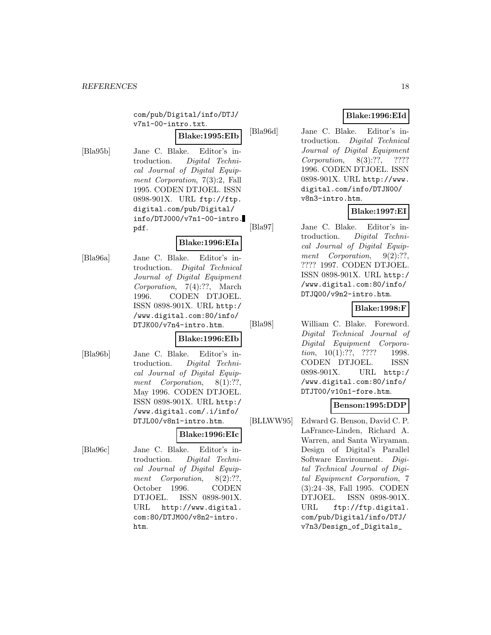com/pub/Digital/info/DTJ/ v7n1-00-intro.txt.

**Blake:1995:EIb**

[Bla95b] Jane C. Blake. Editor's introduction. Digital Technical Journal of Digital Equipment Corporation, 7(3):2, Fall 1995. CODEN DTJOEL. ISSN 0898-901X. URL ftp://ftp. digital.com/pub/Digital/ info/DTJ000/v7n1-00-intro. pdf.

# **Blake:1996:EIa**

[Bla96a] Jane C. Blake. Editor's introduction. Digital Technical Journal of Digital Equipment Corporation, 7(4):??, March 1996. CODEN DTJOEL. ISSN 0898-901X. URL http:/ /www.digital.com:80/info/ DTJK00/v7n4-intro.htm.

# **Blake:1996:EIb**

[Bla96b] Jane C. Blake. Editor's introduction. Digital Technical Journal of Digital Equipment Corporation, 8(1):??, May 1996. CODEN DTJOEL. ISSN 0898-901X. URL http:/ /www.digital.com/.i/info/ DTJL00/v8n1-intro.htm.

# **Blake:1996:EIc**

[Bla96c] Jane C. Blake. Editor's introduction. Digital Technical Journal of Digital Equipment Corporation,  $8(2):??$ October 1996. CODEN DTJOEL. ISSN 0898-901X. URL http://www.digital. com:80/DTJM00/v8n2-intro. htm.

# **Blake:1996:EId**

[Bla96d] Jane C. Blake. Editor's introduction. Digital Technical Journal of Digital Equipment Corporation, 8(3):??, ???? 1996. CODEN DTJOEL. ISSN 0898-901X. URL http://www. digital.com/info/DTJN00/ v8n3-intro.htm.

# **Blake:1997:EI**

[Bla97] Jane C. Blake. Editor's introduction. Digital Technical Journal of Digital Equipment Corporation,  $9(2)$ :??, ???? 1997. CODEN DTJOEL. ISSN 0898-901X. URL http:/ /www.digital.com:80/info/ DTJQ00/v9n2-intro.htm.

# **Blake:1998:F**

[Bla98] William C. Blake. Foreword. Digital Technical Journal of Digital Equipment Corporation, 10(1):??, ???? 1998. CODEN DTJOEL. ISSN 0898-901X. URL http:/ /www.digital.com:80/info/ DTJT00/v10n1-fore.htm.

# **Benson:1995:DDP**

[BLLWW95] Edward G. Benson, David C. P. LaFrance-Linden, Richard A. Warren, and Santa Wiryaman. Design of Digital's Parallel Software Environment. Digital Technical Journal of Digital Equipment Corporation, 7 (3):24–38, Fall 1995. CODEN DTJOEL. ISSN 0898-901X. URL ftp://ftp.digital. com/pub/Digital/info/DTJ/ v7n3/Design\_of\_Digitals\_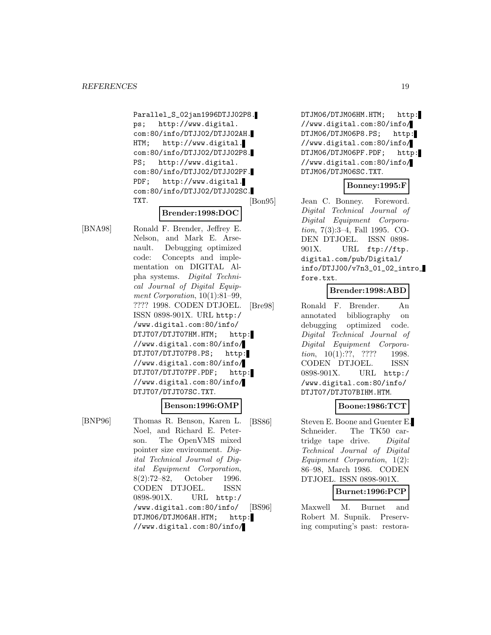Parallel\_S\_02jan1996DTJJ02P8. ps; http://www.digital. com:80/info/DTJJ02/DTJJ02AH. HTM; http://www.digital. com:80/info/DTJJ02/DTJJ02P8. PS; http://www.digital. com:80/info/DTJJ02/DTJJ02PF. PDF; http://www.digital. com:80/info/DTJJ02/DTJJ02SC. TXT.

## **Brender:1998:DOC**

[BNA98] Ronald F. Brender, Jeffrey E. Nelson, and Mark E. Arsenault. Debugging optimized code: Concepts and implementation on DIGITAL Alpha systems. Digital Technical Journal of Digital Equipment Corporation,  $10(1):81-99$ , ???? 1998. CODEN DTJOEL. ISSN 0898-901X. URL http:/ /www.digital.com:80/info/ DTJT07/DTJT07HM.HTM; http: //www.digital.com:80/info/ DTJT07/DTJT07P8.PS; http: //www.digital.com:80/info/ DTJT07/DTJT07PF.PDF; http: //www.digital.com:80/info/ DTJT07/DTJT07SC.TXT.

#### **Benson:1996:OMP**

[BNP96] Thomas R. Benson, Karen L. Noel, and Richard E. Peterson. The OpenVMS mixed pointer size environment. Digital Technical Journal of Digital Equipment Corporation, 8(2):72–82, October 1996. CODEN DTJOEL. ISSN 0898-901X. URL http:/ /www.digital.com:80/info/ DTJM06/DTJM06AH.HTM; http: //www.digital.com:80/info/

DTJM06/DTJM06HM.HTM; http: //www.digital.com:80/info/ DTJM06/DTJM06P8.PS; http: //www.digital.com:80/info/ DTJM06/DTJM06PF.PDF; http: //www.digital.com:80/info/ DTJM06/DTJM06SC.TXT.

## **Bonney:1995:F**

[Bon95] Jean C. Bonney. Foreword. Digital Technical Journal of Digital Equipment Corporation, 7(3):3–4, Fall 1995. CO-DEN DTJOEL. ISSN 0898- 901X. URL ftp://ftp. digital.com/pub/Digital/ info/DTJJ00/v7n3\_01\_02\_intro\_ fore.txt.

# **Brender:1998:ABD**

[Bre98] Ronald F. Brender. An annotated bibliography on debugging optimized code. Digital Technical Journal of Digital Equipment Corporation,  $10(1):??$ ,  $????$  1998. CODEN DTJOEL. ISSN 0898-901X. URL http:/ /www.digital.com:80/info/ DTJT07/DTJT07BIHM.HTM.

#### **Boone:1986:TCT**

[BS86] Steven E. Boone and Guenter E. Schneider. The TK50 cartridge tape drive. Digital Technical Journal of Digital Equipment Corporation, 1(2): 86–98, March 1986. CODEN DTJOEL. ISSN 0898-901X.

# **Burnet:1996:PCP**

[BS96] Maxwell M. Burnet and Robert M. Supnik. Preserving computing's past: restora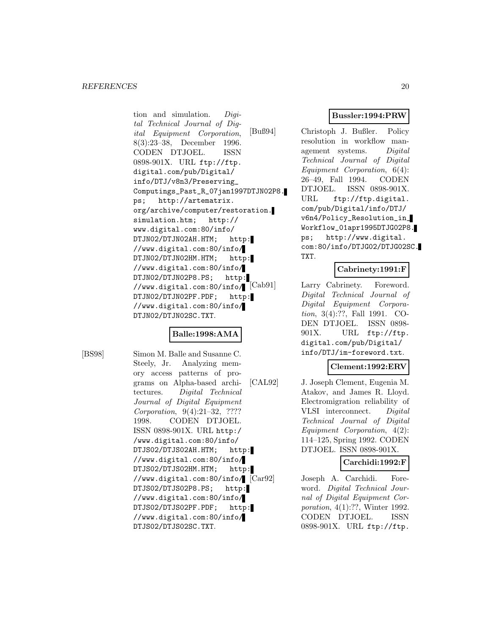tion and simulation. Digital Technical Journal of Digital Equipment Corporation, 8(3):23–38, December 1996. CODEN DTJOEL. ISSN 0898-901X. URL ftp://ftp. digital.com/pub/Digital/ info/DTJ/v8n3/Preserving\_ Computings\_Past\_R\_07jan1997DTJN02P8. ps; http://artematrix. org/archive/computer/restoration. simulation.htm; http:// www.digital.com:80/info/ DTJN02/DTJN02AH.HTM; http: //www.digital.com:80/info/ DTJN02/DTJN02HM.HTM; http: //www.digital.com:80/info/ DTJN02/DTJN02P8.PS; http: //www.digital.com:80/info/ [Cab91] DTJN02/DTJN02PF.PDF; http: //www.digital.com:80/info/ DTJN02/DTJN02SC.TXT.

# **Balle:1998:AMA**

[BS98] Simon M. Balle and Susanne C. Steely, Jr. Analyzing memory access patterns of programs on Alpha-based architectures. Digital Technical Journal of Digital Equipment Corporation, 9(4):21–32, ???? 1998. CODEN DTJOEL. ISSN 0898-901X. URL http:/ /www.digital.com:80/info/ DTJS02/DTJS02AH.HTM; http: //www.digital.com:80/info/ DTJS02/DTJS02HM.HTM; http: //www.digital.com:80/info/ DTJS02/DTJS02P8.PS; http: //www.digital.com:80/info/ DTJS02/DTJS02PF.PDF; http: //www.digital.com:80/info/ DTJS02/DTJS02SC.TXT.

# **Bussler:1994:PRW**

[Buß94] Christoph J. Bußler. Policy resolution in workflow management systems. Digital Technical Journal of Digital Equipment Corporation, 6(4): 26–49, Fall 1994. CODEN DTJOEL. ISSN 0898-901X. URL ftp://ftp.digital. com/pub/Digital/info/DTJ/ v6n4/Policy\_Resolution\_in\_ Workflow\_01apr1995DTJG02P8. ps; http://www.digital. com:80/info/DTJG02/DTJG02SC. TXT.

# **Cabrinety:1991:F**

Larry Cabrinety. Foreword. Digital Technical Journal of Digital Equipment Corporation, 3(4):??, Fall 1991. CO-DEN DTJOEL. ISSN 0898- 901X. URL ftp://ftp. digital.com/pub/Digital/ info/DTJ/im-foreword.txt.

# **Clement:1992:ERV**

[CAL92] J. Joseph Clement, Eugenia M. Atakov, and James R. Lloyd. Electromigration reliability of VLSI interconnect. Digital Technical Journal of Digital Equipment Corporation, 4(2): 114–125, Spring 1992. CODEN DTJOEL. ISSN 0898-901X.

#### **Carchidi:1992:F**

Joseph A. Carchidi. Foreword. Digital Technical Journal of Digital Equipment Corporation, 4(1):??, Winter 1992. CODEN DTJOEL. ISSN 0898-901X. URL ftp://ftp.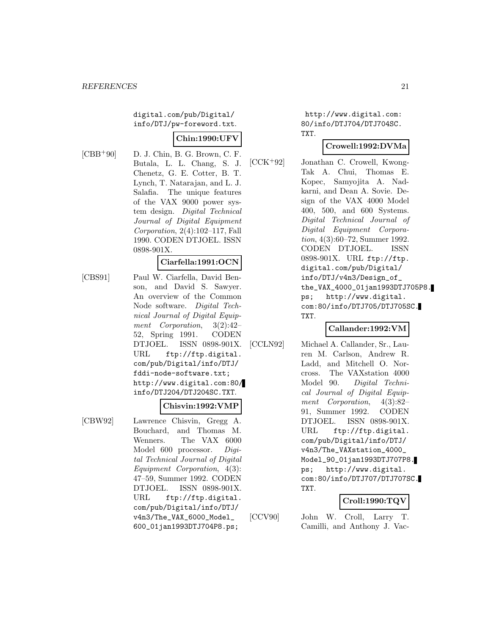digital.com/pub/Digital/ info/DTJ/pw-foreword.txt.

## **Chin:1990:UFV**

 $[CBB+90]$  D. J. Chin, B. G. Brown, C. F. Butala, L. L. Chang, S. J. Chenetz, G. E. Cotter, B. T. Lynch, T. Natarajan, and L. J. Salafia. The unique features of the VAX 9000 power system design. Digital Technical Journal of Digital Equipment Corporation, 2(4):102–117, Fall 1990. CODEN DTJOEL. ISSN 0898-901X.

#### **Ciarfella:1991:OCN**

[CBS91] Paul W. Ciarfella, David Benson, and David S. Sawyer. An overview of the Common Node software. Digital Technical Journal of Digital Equipment Corporation, 3(2):42– 52, Spring 1991. CODEN DTJOEL. ISSN 0898-901X. URL ftp://ftp.digital. com/pub/Digital/info/DTJ/ fddi-node-software.txt; http://www.digital.com:80/ info/DTJ204/DTJ204SC.TXT.

### **Chisvin:1992:VMP**

[CBW92] Lawrence Chisvin, Gregg A. Bouchard, and Thomas M. Wenners. The VAX 6000 Model 600 processor. Digital Technical Journal of Digital Equipment Corporation, 4(3): 47–59, Summer 1992. CODEN DTJOEL. ISSN 0898-901X. URL ftp://ftp.digital. com/pub/Digital/info/DTJ/ v4n3/The\_VAX\_6000\_Model\_ 600\_01jan1993DTJ704P8.ps;

http://www.digital.com: 80/info/DTJ704/DTJ704SC. TXT.

# **Crowell:1992:DVMa**

[CCK<sup>+</sup>92] Jonathan C. Crowell, Kwong-Tak A. Chui, Thomas E. Kopec, Samyojita A. Nadkarni, and Dean A. Sovie. Design of the VAX 4000 Model 400, 500, and 600 Systems. Digital Technical Journal of Digital Equipment Corporation, 4(3):60–72, Summer 1992. CODEN DTJOEL. ISSN 0898-901X. URL ftp://ftp. digital.com/pub/Digital/ info/DTJ/v4n3/Design\_of\_ the\_VAX\_4000\_01jan1993DTJ705P8. ps; http://www.digital. com:80/info/DTJ705/DTJ705SC. TXT.

# **Callander:1992:VM**

[CCLN92] Michael A. Callander, Sr., Lauren M. Carlson, Andrew R. Ladd, and Mitchell O. Norcross. The VAXstation 4000 Model 90. Digital Technical Journal of Digital Equipment Corporation, 4(3):82– 91, Summer 1992. CODEN DTJOEL. ISSN 0898-901X. URL ftp://ftp.digital. com/pub/Digital/info/DTJ/ v4n3/The\_VAXstation\_4000\_ Model\_90\_01jan1993DTJ707P8. ps; http://www.digital. com:80/info/DTJ707/DTJ707SC. TXT.

# **Croll:1990:TQV**

[CCV90] John W. Croll, Larry T. Camilli, and Anthony J. Vac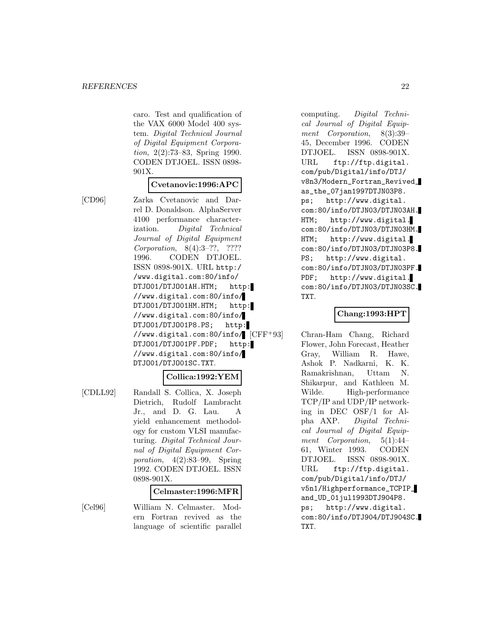caro. Test and qualification of the VAX 6000 Model 400 system. Digital Technical Journal of Digital Equipment Corporation, 2(2):73–83, Spring 1990. CODEN DTJOEL. ISSN 0898- 901X.

## **Cvetanovic:1996:APC**

[CD96] Zarka Cvetanovic and Darrel D. Donaldson. AlphaServer 4100 performance characterization. Digital Technical Journal of Digital Equipment Corporation, 8(4):3–??, ???? 1996. CODEN DTJOEL. ISSN 0898-901X. URL http:/ /www.digital.com:80/info/ DTJO01/DTJO01AH.HTM; http: //www.digital.com:80/info/ DTJO01/DTJO01HM.HTM; http: //www.digital.com:80/info/ DTJO01/DTJO01P8.PS; http: //www.digital.com:80/info/ DTJO01/DTJO01PF.PDF; http: //www.digital.com:80/info/ DTJO01/DTJO01SC.TXT.

#### **Collica:1992:YEM**

[CDLL92] Randall S. Collica, X. Joseph Dietrich, Rudolf Lambracht Jr., and D. G. Lau. A yield enhancement methodology for custom VLSI manufacturing. Digital Technical Journal of Digital Equipment Corporation, 4(2):83–99, Spring 1992. CODEN DTJOEL. ISSN 0898-901X.

## **Celmaster:1996:MFR**

[Cel96] William N. Celmaster. Modern Fortran revived as the language of scientific parallel

computing. Digital Technical Journal of Digital Equipment Corporation, 8(3):39– 45, December 1996. CODEN DTJOEL. ISSN 0898-901X. URL ftp://ftp.digital. com/pub/Digital/info/DTJ/ v8n3/Modern\_Fortran\_Revived\_ as\_the\_07jan1997DTJN03P8. ps; http://www.digital. com:80/info/DTJN03/DTJN03AH. HTM; http://www.digital. com:80/info/DTJN03/DTJN03HM. HTM; http://www.digital. com:80/info/DTJN03/DTJN03P8. PS; http://www.digital. com:80/info/DTJN03/DTJN03PF. PDF; http://www.digital. com:80/info/DTJN03/DTJN03SC. TXT.

#### **Chang:1993:HPT**

Chran-Ham Chang, Richard Flower, John Forecast, Heather Gray, William R. Hawe, Ashok P. Nadkarni, K. K. Ramakrishnan, Uttam N. Shikarpur, and Kathleen M. Wilde. High-performance TCP/IP and UDP/IP networking in DEC OSF/1 for Alpha AXP. Digital Technical Journal of Digital Equipment Corporation, 5(1):44– 61, Winter 1993. CODEN DTJOEL. ISSN 0898-901X. URL ftp://ftp.digital. com/pub/Digital/info/DTJ/ v5n1/Highperformance\_TCPIP\_ and\_UD\_01jul1993DTJ904P8. ps; http://www.digital. com:80/info/DTJ904/DTJ904SC. TXT.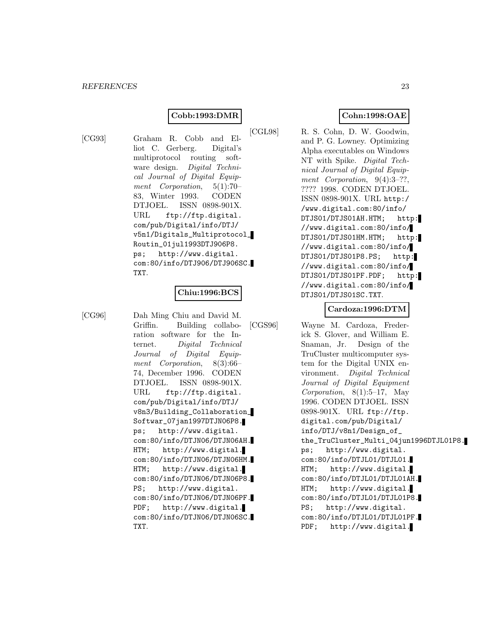# **Cobb:1993:DMR**

[CG93] Graham R. Cobb and Elliot C. Gerberg. Digital's multiprotocol routing software design. Digital Technical Journal of Digital Equipment Corporation, 5(1):70– 83, Winter 1993. CODEN DTJOEL. ISSN 0898-901X. URL ftp://ftp.digital. com/pub/Digital/info/DTJ/ v5n1/Digitals\_Multiprotocol\_ Routin\_01jul1993DTJ906P8. ps; http://www.digital. com:80/info/DTJ906/DTJ906SC. TXT.

#### **Chiu:1996:BCS**

[CG96] Dah Ming Chiu and David M. Griffin. Building collaboration software for the Internet. Digital Technical Journal of Digital Equipment Corporation, 8(3):66– 74, December 1996. CODEN DTJOEL. ISSN 0898-901X. URL ftp://ftp.digital. com/pub/Digital/info/DTJ/ v8n3/Building\_Collaboration\_ Softwar\_07jan1997DTJN06P8. ps; http://www.digital. com:80/info/DTJN06/DTJN06AH. HTM; http://www.digital. com:80/info/DTJN06/DTJN06HM. HTM; http://www.digital. com:80/info/DTJN06/DTJN06P8. PS; http://www.digital. com:80/info/DTJN06/DTJN06PF. PDF; http://www.digital. com:80/info/DTJN06/DTJN06SC. TXT.

## **Cohn:1998:OAE**

[CGL98] R. S. Cohn, D. W. Goodwin, and P. G. Lowney. Optimizing Alpha executables on Windows NT with Spike. Digital Technical Journal of Digital Equipment Corporation, 9(4):3-??, ???? 1998. CODEN DTJOEL. ISSN 0898-901X. URL http:/ /www.digital.com:80/info/ DTJS01/DTJS01AH.HTM; http: //www.digital.com:80/info/ DTJS01/DTJS01HM.HTM; http: //www.digital.com:80/info/ DTJS01/DTJS01P8.PS; http: //www.digital.com:80/info/ DTJS01/DTJS01PF.PDF; http: //www.digital.com:80/info/ DTJS01/DTJS01SC.TXT.

## **Cardoza:1996:DTM**

[CGS96] Wayne M. Cardoza, Frederick S. Glover, and William E. Snaman, Jr. Design of the TruCluster multicomputer system for the Digital UNIX environment. Digital Technical Journal of Digital Equipment Corporation, 8(1):5–17, May 1996. CODEN DTJOEL. ISSN 0898-901X. URL ftp://ftp. digital.com/pub/Digital/ info/DTJ/v8n1/Design\_of\_ the\_TruCluster\_Multi\_04jun1996DTJL01P8. ps; http://www.digital. com:80/info/DTJL01/DTJL01. HTM; http://www.digital. com:80/info/DTJL01/DTJL01AH. HTM; http://www.digital. com:80/info/DTJL01/DTJL01P8. PS; http://www.digital. com:80/info/DTJL01/DTJL01PF. PDF; http://www.digital.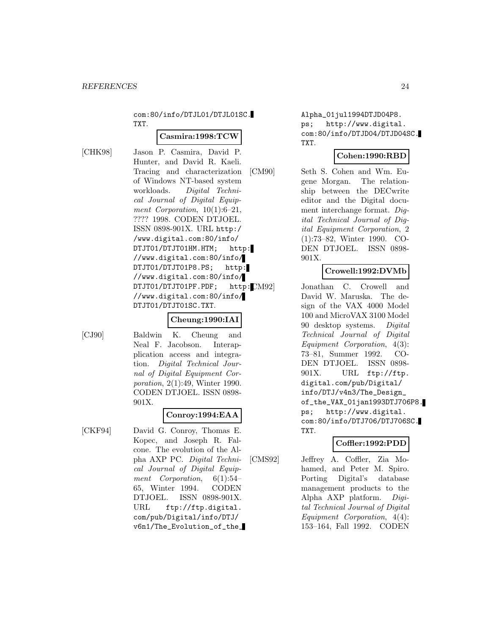com:80/info/DTJL01/DTJL01SC. TXT.

## **Casmira:1998:TCW**

[CHK98] Jason P. Casmira, David P. Hunter, and David R. Kaeli. Tracing and characterization of Windows NT-based system workloads. Digital Technical Journal of Digital Equipment Corporation,  $10(1):6-21$ , ???? 1998. CODEN DTJOEL. ISSN 0898-901X. URL http:/ /www.digital.com:80/info/ DTJT01/DTJT01HM.HTM; http: //www.digital.com:80/info/ DTJT01/DTJT01P8.PS; http: //www.digital.com:80/info/ DTJT01/DTJT01PF.PDF; http: CM92 //www.digital.com:80/info/ DTJT01/DTJT01SC.TXT.

# **Cheung:1990:IAI**

[CJ90] Baldwin K. Cheung and Neal F. Jacobson. Interapplication access and integration. Digital Technical Journal of Digital Equipment Corporation, 2(1):49, Winter 1990. CODEN DTJOEL. ISSN 0898- 901X.

# **Conroy:1994:EAA**

[CKF94] David G. Conroy, Thomas E. Kopec, and Joseph R. Falcone. The evolution of the Alpha AXP PC. Digital Technical Journal of Digital Equipment Corporation, 6(1):54– 65, Winter 1994. CODEN DTJOEL. ISSN 0898-901X. URL ftp://ftp.digital. com/pub/Digital/info/DTJ/ v6n1/The\_Evolution\_of\_the\_ Alpha\_01jul1994DTJD04P8. ps; http://www.digital. com:80/info/DTJD04/DTJD04SC. TXT.

# **Cohen:1990:RBD**

[CM90] Seth S. Cohen and Wm. Eugene Morgan. The relationship between the DECwrite editor and the Digital document interchange format. Digital Technical Journal of Digital Equipment Corporation, 2 (1):73–82, Winter 1990. CO-DEN DTJOEL. ISSN 0898- 901X.

# **Crowell:1992:DVMb**

Jonathan C. Crowell and David W. Maruska. The design of the VAX 4000 Model 100 and MicroVAX 3100 Model 90 desktop systems. Digital Technical Journal of Digital Equipment Corporation, 4(3): 73–81, Summer 1992. CO-DEN DTJOEL. ISSN 0898- 901X. URL ftp://ftp. digital.com/pub/Digital/ info/DTJ/v4n3/The\_Design\_ of\_the\_VAX\_01jan1993DTJ706P8. ps; http://www.digital. com:80/info/DTJ706/DTJ706SC. TXT.

# **Coffler:1992:PDD**

[CMS92] Jeffrey A. Coffler, Zia Mohamed, and Peter M. Spiro. Porting Digital's database management products to the Alpha AXP platform. Digital Technical Journal of Digital Equipment Corporation, 4(4): 153–164, Fall 1992. CODEN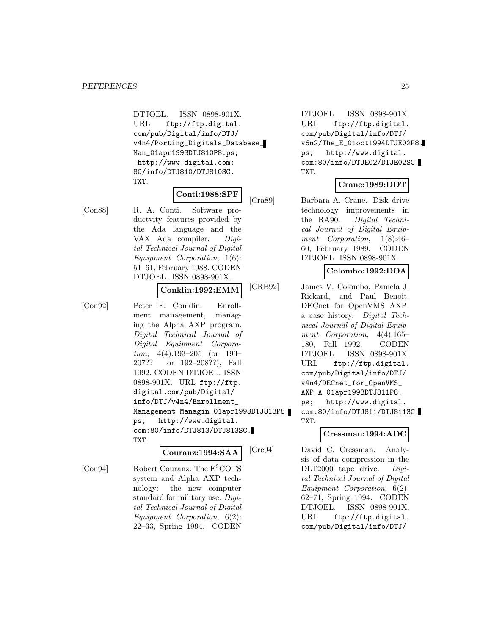DTJOEL. ISSN 0898-901X. URL ftp://ftp.digital. com/pub/Digital/info/DTJ/ v4n4/Porting\_Digitals\_Database\_ Man\_01apr1993DTJ810P8.ps; http://www.digital.com: 80/info/DTJ810/DTJ810SC. TXT.

#### **Conti:1988:SPF**

[Con88] R. A. Conti. Software productvity features provided by the Ada language and the VAX Ada compiler. Digital Technical Journal of Digital Equipment Corporation, 1(6): 51–61, February 1988. CODEN DTJOEL. ISSN 0898-901X.

#### **Conklin:1992:EMM**

[Con92] Peter F. Conklin. Enrollment management, managing the Alpha AXP program. Digital Technical Journal of Digital Equipment Corporation, 4(4):193–205 (or 193– 207?? or 192–208??), Fall 1992. CODEN DTJOEL. ISSN 0898-901X. URL ftp://ftp. digital.com/pub/Digital/ info/DTJ/v4n4/Enrollment\_ Management\_Managin\_01apr1993DTJ813P8. ps; http://www.digital. com:80/info/DTJ813/DTJ813SC. TXT.

#### **Couranz:1994:SAA**

[Cou94] Robert Couranz. The E<sup>2</sup>COTS system and Alpha AXP technology: the new computer standard for military use. Digital Technical Journal of Digital Equipment Corporation, 6(2): 22–33, Spring 1994. CODEN

DTJOEL. ISSN 0898-901X. URL ftp://ftp.digital. com/pub/Digital/info/DTJ/ v6n2/The\_E\_01oct1994DTJE02P8. ps; http://www.digital. com:80/info/DTJE02/DTJE02SC. TXT.

# **Crane:1989:DDT**

[Cra89] Barbara A. Crane. Disk drive technology improvements in the RA90. Digital Technical Journal of Digital Equipment Corporation, 1(8):46– 60, February 1989. CODEN DTJOEL. ISSN 0898-901X.

# **Colombo:1992:DOA**

[CRB92] James V. Colombo, Pamela J. Rickard, and Paul Benoit. DECnet for OpenVMS AXP: a case history. Digital Technical Journal of Digital Equipment Corporation, 4(4):165– 180, Fall 1992. CODEN DTJOEL. ISSN 0898-901X. URL ftp://ftp.digital. com/pub/Digital/info/DTJ/ v4n4/DECnet\_for\_OpenVMS\_ AXP\_A\_01apr1993DTJ811P8. ps; http://www.digital. com:80/info/DTJ811/DTJ811SC. TXT.

#### **Cressman:1994:ADC**

[Cre94] David C. Cressman. Analysis of data compression in the DLT2000 tape drive. Digital Technical Journal of Digital Equipment Corporation, 6(2): 62–71, Spring 1994. CODEN DTJOEL. ISSN 0898-901X. URL ftp://ftp.digital. com/pub/Digital/info/DTJ/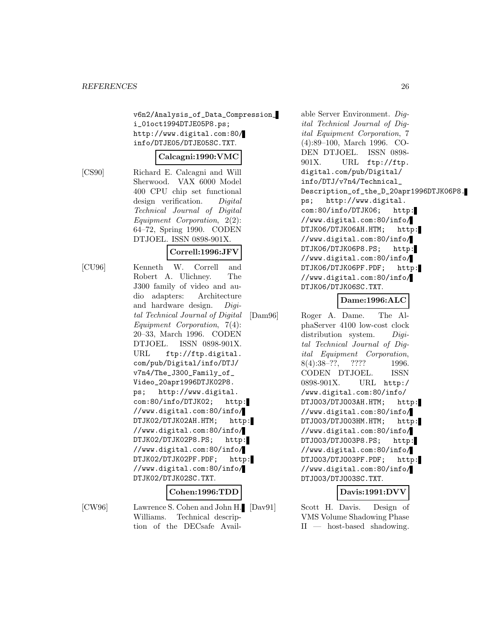v6n2/Analysis\_of\_Data\_Compression\_ i\_01oct1994DTJE05P8.ps; http://www.digital.com:80/ info/DTJE05/DTJE05SC.TXT.

#### **Calcagni:1990:VMC**

[CS90] Richard E. Calcagni and Will Sherwood. VAX 6000 Model 400 CPU chip set functional design verification. Digital Technical Journal of Digital Equipment Corporation, 2(2): 64–72, Spring 1990. CODEN DTJOEL. ISSN 0898-901X.

#### **Correll:1996:JFV**

[CU96] Kenneth W. Correll and Robert A. Ulichney. The J300 family of video and audio adapters: Architecture and hardware design. Digital Technical Journal of Digital Equipment Corporation, 7(4): 20–33, March 1996. CODEN DTJOEL. ISSN 0898-901X. URL ftp://ftp.digital. com/pub/Digital/info/DTJ/ v7n4/The\_J300\_Family\_of\_ Video\_20apr1996DTJK02P8. ps; http://www.digital. com:80/info/DTJK02; http: //www.digital.com:80/info/ DTJK02/DTJK02AH.HTM; http: //www.digital.com:80/info/ DTJK02/DTJK02P8.PS; http: //www.digital.com:80/info/ DTJK02/DTJK02PF.PDF; http: //www.digital.com:80/info/ DTJK02/DTJK02SC.TXT.

#### **Cohen:1996:TDD**

[CW96] Lawrence S. Cohen and John H. Williams. Technical description of the DECsafe Available Server Environment. Digital Technical Journal of Digital Equipment Corporation, 7 (4):89–100, March 1996. CO-DEN DTJOEL. ISSN 0898- 901X. URL ftp://ftp. digital.com/pub/Digital/ info/DTJ/v7n4/Technical\_ Description\_of\_the\_D\_20apr1996DTJK06P8. ps; http://www.digital. com:80/info/DTJK06; http: //www.digital.com:80/info/ DTJK06/DTJK06AH.HTM; http: //www.digital.com:80/info/ DTJK06/DTJK06P8.PS; http: //www.digital.com:80/info/ DTJK06/DTJK06PF.PDF; http: //www.digital.com:80/info/ DTJK06/DTJK06SC.TXT.

## **Dame:1996:ALC**

[Dam96] Roger A. Dame. The AlphaServer 4100 low-cost clock distribution system. Digital Technical Journal of Digital Equipment Corporation, 8(4):38–??, ???? 1996. CODEN DTJOEL. ISSN 0898-901X. URL http:/ /www.digital.com:80/info/ DTJO03/DTJO03AH.HTM; http: //www.digital.com:80/info/ DTJO03/DTJO03HM.HTM; http: //www.digital.com:80/info/ DTJO03/DTJO03P8.PS; http: //www.digital.com:80/info/ DTJO03/DTJO03PF.PDF; http: //www.digital.com:80/info/ DTJO03/DTJO03SC.TXT.

# **Davis:1991:DVV**

Scott H. Davis. Design of VMS Volume Shadowing Phase II — host-based shadowing.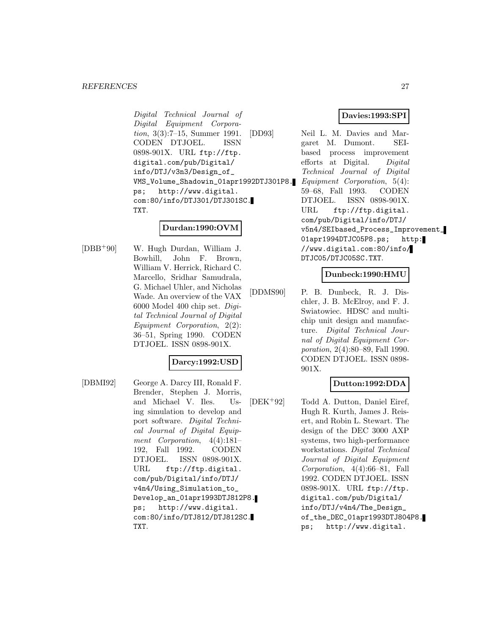#### *REFERENCES* 27

Digital Technical Journal of Digital Equipment Corporation, 3(3):7–15, Summer 1991. CODEN DTJOEL. ISSN 0898-901X. URL ftp://ftp. digital.com/pub/Digital/ info/DTJ/v3n3/Design\_of\_ VMS\_Volume\_Shadowin\_01apr1992DTJ301P8. ps; http://www.digital. com:80/info/DTJ301/DTJ301SC. TXT.

## **Durdan:1990:OVM**

[DBB<sup>+</sup>90] W. Hugh Durdan, William J. Bowhill, John F. Brown, William V. Herrick, Richard C. Marcello, Sridhar Samudrala, G. Michael Uhler, and Nicholas Wade. An overview of the VAX 6000 Model 400 chip set. Digital Technical Journal of Digital Equipment Corporation, 2(2): 36–51, Spring 1990. CODEN DTJOEL. ISSN 0898-901X.

#### **Darcy:1992:USD**

[DBMI92] George A. Darcy III, Ronald F. Brender, Stephen J. Morris, and Michael V. Iles. Using simulation to develop and port software. Digital Technical Journal of Digital Equipment Corporation, 4(4):181– 192, Fall 1992. CODEN DTJOEL. ISSN 0898-901X. URL ftp://ftp.digital. com/pub/Digital/info/DTJ/ v4n4/Using\_Simulation\_to\_ Develop\_an\_01apr1993DTJ812P8. ps; http://www.digital. com:80/info/DTJ812/DTJ812SC. TXT.

# **Davies:1993:SPI**

[DD93] Neil L. M. Davies and Margaret M. Dumont. SEIbased process improvement efforts at Digital. Digital Technical Journal of Digital Equipment Corporation, 5(4): 59–68, Fall 1993. CODEN DTJOEL. ISSN 0898-901X. URL ftp://ftp.digital. com/pub/Digital/info/DTJ/ v5n4/SEIbased\_Process\_Improvement\_ 01apr1994DTJC05P8.ps; http: //www.digital.com:80/info/ DTJC05/DTJC05SC.TXT.

# **Dunbeck:1990:HMU**

[DDMS90] P. B. Dunbeck, R. J. Dischler, J. B. McElroy, and F. J. Swiatowiec. HDSC and multichip unit design and manufacture. Digital Technical Journal of Digital Equipment Corporation, 2(4):80–89, Fall 1990. CODEN DTJOEL. ISSN 0898- 901X.

# **Dutton:1992:DDA**

[DEK<sup>+</sup>92] Todd A. Dutton, Daniel Eiref, Hugh R. Kurth, James J. Reisert, and Robin L. Stewart. The design of the DEC 3000 AXP systems, two high-performance workstations. Digital Technical Journal of Digital Equipment Corporation, 4(4):66–81, Fall 1992. CODEN DTJOEL. ISSN 0898-901X. URL ftp://ftp. digital.com/pub/Digital/ info/DTJ/v4n4/The\_Design\_ of\_the\_DEC\_01apr1993DTJ804P8. ps; http://www.digital.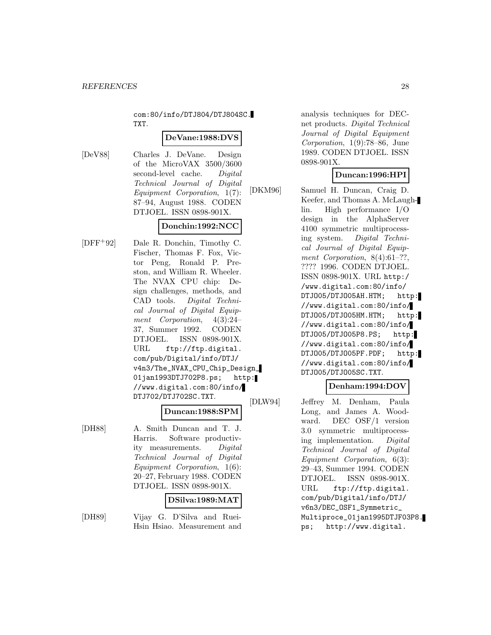com:80/info/DTJ804/DTJ804SC. TXT.

#### **DeVane:1988:DVS**

[DeV88] Charles J. DeVane. Design of the MicroVAX 3500/3600 second-level cache. Digital Technical Journal of Digital Equipment Corporation, 1(7): 87–94, August 1988. CODEN DTJOEL. ISSN 0898-901X.

# **Donchin:1992:NCC**

[DFF<sup>+</sup>92] Dale R. Donchin, Timothy C. Fischer, Thomas F. Fox, Victor Peng, Ronald P. Preston, and William R. Wheeler. The NVAX CPU chip: Design challenges, methods, and CAD tools. Digital Technical Journal of Digital Equipment Corporation, 4(3):24– 37, Summer 1992. CODEN DTJOEL. ISSN 0898-901X. URL ftp://ftp.digital. com/pub/Digital/info/DTJ/ v4n3/The\_NVAX\_CPU\_Chip\_Design\_ 01jan1993DTJ702P8.ps; http: //www.digital.com:80/info/ DTJ702/DTJ702SC.TXT.

# **Duncan:1988:SPM**

[DH88] A. Smith Duncan and T. J. Harris. Software productivity measurements. Digital Technical Journal of Digital Equipment Corporation, 1(6): 20–27, February 1988. CODEN DTJOEL. ISSN 0898-901X.

# **DSilva:1989:MAT**

[DH89] Vijay G. D'Silva and Ruei-Hsin Hsiao. Measurement and analysis techniques for DECnet products. Digital Technical Journal of Digital Equipment Corporation, 1(9):78–86, June 1989. CODEN DTJOEL. ISSN 0898-901X.

# **Duncan:1996:HPI**

[DKM96] Samuel H. Duncan, Craig D. Keefer, and Thomas A. McLaughlin. High performance I/O design in the AlphaServer 4100 symmetric multiprocessing system. Digital Technical Journal of Digital Equipment Corporation, 8(4):61-??, ???? 1996. CODEN DTJOEL. ISSN 0898-901X. URL http:/ /www.digital.com:80/info/ DTJO05/DTJO05AH.HTM; http: //www.digital.com:80/info/ DTJO05/DTJO05HM.HTM; http: //www.digital.com:80/info/ DTJO05/DTJO05P8.PS; http: //www.digital.com:80/info/ DTJO05/DTJO05PF.PDF; http: //www.digital.com:80/info/ DTJO05/DTJO05SC.TXT.

#### **Denham:1994:DOV**

[DLW94] Jeffrey M. Denham, Paula Long, and James A. Woodward. DEC OSF/1 version 3.0 symmetric multiprocessing implementation. Digital Technical Journal of Digital Equipment Corporation, 6(3): 29–43, Summer 1994. CODEN DTJOEL. ISSN 0898-901X. URL ftp://ftp.digital. com/pub/Digital/info/DTJ/ v6n3/DEC\_OSF1\_Symmetric\_ Multiproce\_01jan1995DTJF03P8. ps; http://www.digital.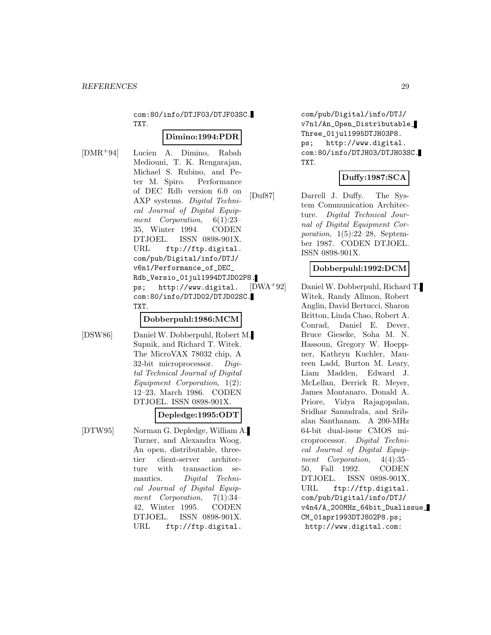com:80/info/DTJF03/DTJF03SC. TXT.

#### **Dimino:1994:PDR**

[DMR<sup>+</sup>94] Lucien A. Dimino, Rabah Mediouni, T. K. Rengarajan, Michael S. Rubino, and Peter M. Spiro. Performance of DEC Rdb version 6.0 on AXP systems. Digital Technical Journal of Digital Equipment Corporation, 6(1):23– 35, Winter 1994. CODEN DTJOEL. ISSN 0898-901X. URL ftp://ftp.digital. com/pub/Digital/info/DTJ/ v6n1/Performance\_of\_DEC\_ Rdb\_Versio\_01jul1994DTJD02P8. ps; http://www.digital. com:80/info/DTJD02/DTJD02SC. TXT.

#### **Dobberpuhl:1986:MCM**

[DSW86] Daniel W. Dobberpuhl, Robert M. Supnik, and Richard T. Witek. The MicroVAX 78032 chip, A 32-bit microprocessor. Digital Technical Journal of Digital Equipment Corporation, 1(2): 12–23, March 1986. CODEN DTJOEL. ISSN 0898-901X.

## **Depledge:1995:ODT**

[DTW95] Norman G. Depledge, William A. Turner, and Alexandra Woog. An open, distributable, threetier client-server architecture with transaction semantics. Digital Technical Journal of Digital Equipment Corporation, 7(1):34– 42, Winter 1995. CODEN DTJOEL. ISSN 0898-901X. URL ftp://ftp.digital.

com/pub/Digital/info/DTJ/ v7n1/An\_Open\_Distributable\_ Three\_01jul1995DTJH03P8. ps; http://www.digital. com:80/info/DTJH03/DTJH03SC. TXT.

# **Duffy:1987:SCA**

[Duf87] Darrell J. Duffy. The System Communication Architecture. Digital Technical Journal of Digital Equipment Corporation, 1(5):22–28, September 1987. CODEN DTJOEL. ISSN 0898-901X.

## **Dobberpuhl:1992:DCM**

[DWA<sup>+</sup>92] Daniel W. Dobberpuhl, Richard T. Witek, Randy Allmon, Robert Anglin, David Bertucci, Sharon Britton, Linda Chao, Robert A. Conrad, Daniel E. Dever, Bruce Gieseke, Soha M. N. Hassoun, Gregory W. Hoeppner, Kathryn Kuchler, Maureen Ladd, Burton M. Leary, Liam Madden, Edward J. McLellan, Derrick R. Meyer, James Montanaro, Donald A. Priore, Vidya Rajagopalan, Sridhar Samudrala, and Sribalan Santhanam. A 200-MHz 64-bit dual-issue CMOS microprocessor. Digital Technical Journal of Digital Equipment Corporation, 4(4):35– 50, Fall 1992. CODEN DTJOEL. ISSN 0898-901X. URL ftp://ftp.digital. com/pub/Digital/info/DTJ/ v4n4/A\_200MHz\_64bit\_Dualissue\_ CM\_01apr1993DTJ802P8.ps; http://www.digital.com: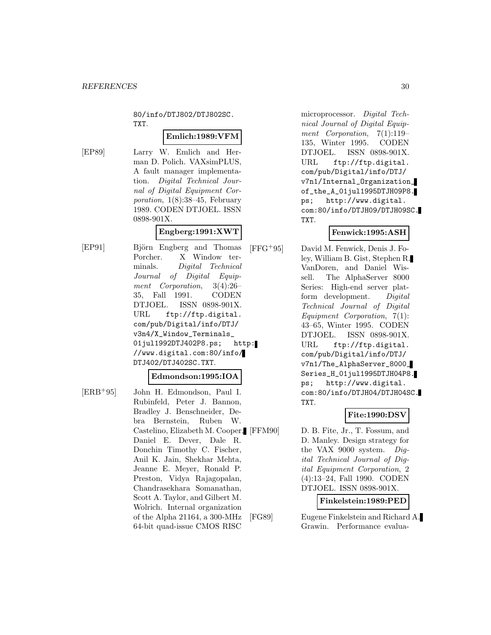80/info/DTJ802/DTJ802SC. TXT.

## **Emlich:1989:VFM**

[EP89] Larry W. Emlich and Herman D. Polich. VAXsimPLUS, A fault manager implementation. Digital Technical Journal of Digital Equipment Corporation, 1(8):38–45, February 1989. CODEN DTJOEL. ISSN 0898-901X.

# **Engberg:1991:XWT**

[EP91] Björn Engberg and Thomas Porcher. X Window terminals. Digital Technical Journal of Digital Equipment Corporation, 3(4):26– 35, Fall 1991. CODEN DTJOEL. ISSN 0898-901X. URL ftp://ftp.digital. com/pub/Digital/info/DTJ/ v3n4/X\_Window\_Terminals\_ 01jul1992DTJ402P8.ps; http: //www.digital.com:80/info/ DTJ402/DTJ402SC.TXT.

#### **Edmondson:1995:IOA**

[ERB<sup>+</sup>95] John H. Edmondson, Paul I. Rubinfeld, Peter J. Bannon, Bradley J. Benschneider, Debra Bernstein, Ruben W. Castelino, Elizabeth M. Cooper, Daniel E. Dever, Dale R. Donchin Timothy C. Fischer, Anil K. Jain, Shekhar Mehta, Jeanne E. Meyer, Ronald P. Preston, Vidya Rajagopalan, Chandrasekhara Somanathan, Scott A. Taylor, and Gilbert M. Wolrich. Internal organization of the Alpha 21164, a 300-MHz 64-bit quad-issue CMOS RISC

microprocessor. Digital Technical Journal of Digital Equipment Corporation, 7(1):119– 135, Winter 1995. CODEN DTJOEL. ISSN 0898-901X. URL ftp://ftp.digital. com/pub/Digital/info/DTJ/ v7n1/Internal\_Organization\_ of\_the\_A\_01jul1995DTJH09P8. ps; http://www.digital. com:80/info/DTJH09/DTJH09SC. TXT.

# **Fenwick:1995:ASH**

[FFG<sup>+</sup>95] David M. Fenwick, Denis J. Foley, William B. Gist, Stephen R. VanDoren, and Daniel Wissell. The AlphaServer 8000 Series: High-end server platform development. Digital Technical Journal of Digital Equipment Corporation, 7(1): 43–65, Winter 1995. CODEN DTJOEL. ISSN 0898-901X. URL ftp://ftp.digital. com/pub/Digital/info/DTJ/ v7n1/The\_AlphaServer\_8000\_ Series\_H\_01jul1995DTJH04P8. ps; http://www.digital. com:80/info/DTJH04/DTJH04SC. TXT.

#### **Fite:1990:DSV**

D. B. Fite, Jr., T. Fossum, and D. Manley. Design strategy for the VAX 9000 system. Digital Technical Journal of Digital Equipment Corporation, 2 (4):13–24, Fall 1990. CODEN DTJOEL. ISSN 0898-901X.

**Finkelstein:1989:PED**

[FG89] Eugene Finkelstein and Richard A. Grawin. Performance evalua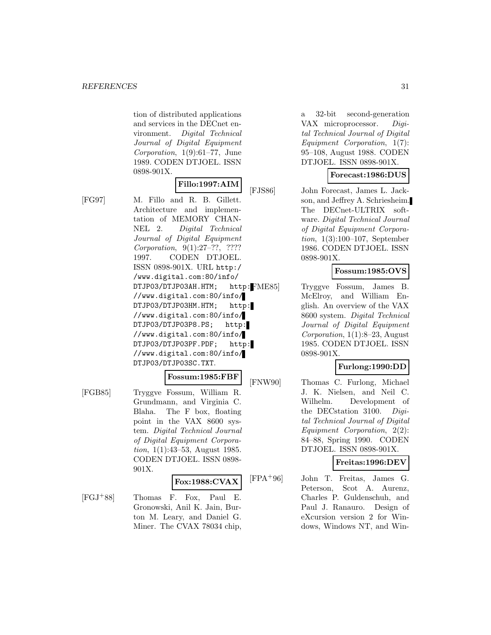tion of distributed applications and services in the DECnet environment. Digital Technical Journal of Digital Equipment Corporation, 1(9):61–77, June 1989. CODEN DTJOEL. ISSN 0898-901X.

# **Fillo:1997:AIM**

[FG97] M. Fillo and R. B. Gillett. Architecture and implementation of MEMORY CHAN-NEL 2. Digital Technical Journal of Digital Equipment Corporation, 9(1):27–??, ???? 1997. CODEN DTJOEL. ISSN 0898-901X. URL http:/ /www.digital.com:80/info/ DTJP03/DTJP03AH.HTM; http: FME85] //www.digital.com:80/info/ DTJP03/DTJP03HM.HTM; http: //www.digital.com:80/info/ DTJP03/DTJP03P8.PS; http: //www.digital.com:80/info/ DTJP03/DTJP03PF.PDF; http: //www.digital.com:80/info/ DTJP03/DTJP03SC.TXT.

#### **Fossum:1985:FBF**

[FGB85] Tryggve Fossum, William R. Grundmann, and Virginia C. Blaha. The F box, floating point in the VAX 8600 system. Digital Technical Journal of Digital Equipment Corporation, 1(1):43–53, August 1985. CODEN DTJOEL. ISSN 0898- 901X.

#### **Fox:1988:CVAX**

[FGJ<sup>+</sup>88] Thomas F. Fox, Paul E. Gronowski, Anil K. Jain, Burton M. Leary, and Daniel G. Miner. The CVAX 78034 chip, a 32-bit second-generation VAX microprocessor. Digital Technical Journal of Digital Equipment Corporation, 1(7): 95–108, August 1988. CODEN DTJOEL. ISSN 0898-901X.

# **Forecast:1986:DUS**

[FJS86] John Forecast, James L. Jackson, and Jeffrey A. Schriesheim. The DECnet-ULTRIX software. Digital Technical Journal of Digital Equipment Corporation, 1(3):100–107, September 1986. CODEN DTJOEL. ISSN 0898-901X.

# **Fossum:1985:OVS**

Tryggve Fossum, James B. McElroy, and William English. An overview of the VAX 8600 system. Digital Technical Journal of Digital Equipment Corporation, 1(1):8–23, August 1985. CODEN DTJOEL. ISSN 0898-901X.

# **Furlong:1990:DD**

[FNW90] Thomas C. Furlong, Michael J. K. Nielsen, and Neil C. Wilhelm. Development of the DECstation 3100. Digital Technical Journal of Digital Equipment Corporation, 2(2): 84–88, Spring 1990. CODEN DTJOEL. ISSN 0898-901X.

# **Freitas:1996:DEV**

[FPA<sup>+</sup>96] John T. Freitas, James G. Peterson, Scot A. Aurenz, Charles P. Guldenschuh, and Paul J. Ranauro. Design of eXcursion version 2 for Windows, Windows NT, and Win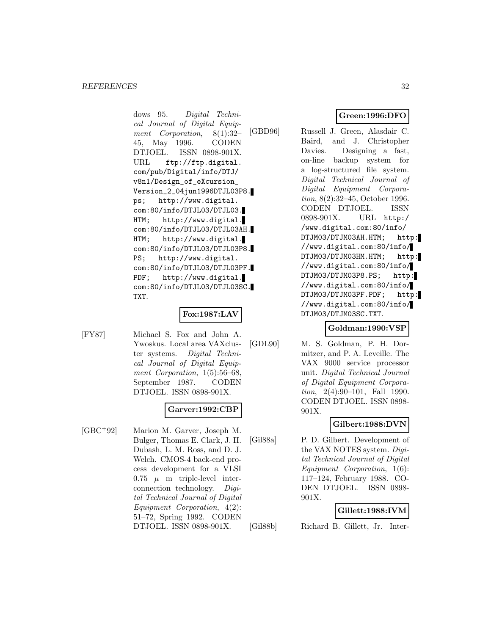dows 95. Digital Technical Journal of Digital Equipment Corporation, 8(1):32– 45, May 1996. CODEN DTJOEL. ISSN 0898-901X. URL ftp://ftp.digital. com/pub/Digital/info/DTJ/ v8n1/Design\_of\_eXcursion\_ Version\_2\_04jun1996DTJL03P8. ps; http://www.digital. com:80/info/DTJL03/DTJL03. HTM; http://www.digital. com:80/info/DTJL03/DTJL03AH. HTM; http://www.digital. com:80/info/DTJL03/DTJL03P8. PS; http://www.digital. com:80/info/DTJL03/DTJL03PF. PDF; http://www.digital. com:80/info/DTJL03/DTJL03SC. TXT.

# **Fox:1987:LAV**

[FY87] Michael S. Fox and John A. Ywoskus. Local area VAXcluster systems. Digital Technical Journal of Digital Equipment Corporation,  $1(5):56-68$ , September 1987. CODEN DTJOEL. ISSN 0898-901X.

# **Garver:1992:CBP**

[GBC<sup>+</sup>92] Marion M. Garver, Joseph M. Bulger, Thomas E. Clark, J. H. Dubash, L. M. Ross, and D. J. Welch. CMOS-4 back-end process development for a VLSI 0.75  $\mu$  m triple-level interconnection technology. Digital Technical Journal of Digital Equipment Corporation, 4(2): 51–72, Spring 1992. CODEN DTJOEL. ISSN 0898-901X.

**Green:1996:DFO**

[GBD96] Russell J. Green, Alasdair C. Baird, and J. Christopher Davies. Designing a fast, on-line backup system for a log-structured file system. Digital Technical Journal of Digital Equipment Corporation, 8(2):32–45, October 1996. CODEN DTJOEL. ISSN 0898-901X. URL http:/ /www.digital.com:80/info/ DTJM03/DTJM03AH.HTM; http: //www.digital.com:80/info/ DTJM03/DTJM03HM.HTM; http: //www.digital.com:80/info/ DTJM03/DTJM03P8.PS; http: //www.digital.com:80/info/ DTJM03/DTJM03PF.PDF; http: //www.digital.com:80/info/ DTJM03/DTJM03SC.TXT.

#### **Goldman:1990:VSP**

[GDL90] M. S. Goldman, P. H. Dormitzer, and P. A. Leveille. The VAX 9000 service processor unit. Digital Technical Journal of Digital Equipment Corporation, 2(4):90–101, Fall 1990. CODEN DTJOEL. ISSN 0898- 901X.

# **Gilbert:1988:DVN**

[Gil88a] P. D. Gilbert. Development of the VAX NOTES system. Digital Technical Journal of Digital Equipment Corporation, 1(6): 117–124, February 1988. CO-DEN DTJOEL. ISSN 0898- 901X.

# **Gillett:1988:IVM**

[Gil88b] Richard B. Gillett, Jr. Inter-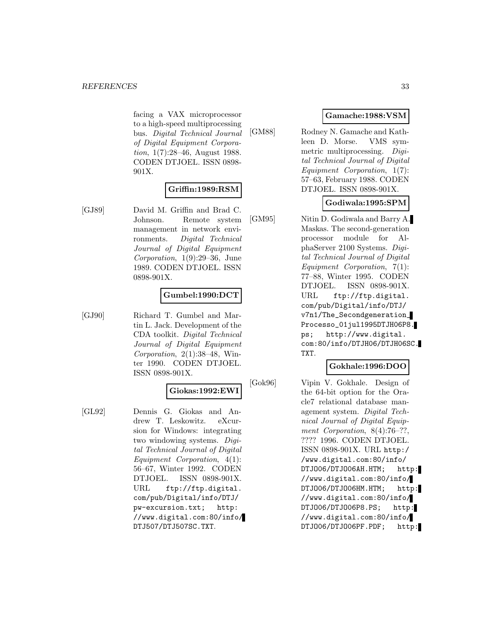facing a VAX microprocessor to a high-speed multiprocessing bus. Digital Technical Journal of Digital Equipment Corporation, 1(7):28–46, August 1988. CODEN DTJOEL. ISSN 0898- 901X.

# **Griffin:1989:RSM**

[GJ89] David M. Griffin and Brad C. Johnson. Remote system management in network environments. Digital Technical Journal of Digital Equipment Corporation, 1(9):29–36, June 1989. CODEN DTJOEL. ISSN 0898-901X.

# **Gumbel:1990:DCT**

[GJ90] Richard T. Gumbel and Martin L. Jack. Development of the CDA toolkit. Digital Technical Journal of Digital Equipment Corporation, 2(1):38–48, Winter 1990. CODEN DTJOEL. ISSN 0898-901X.

#### **Giokas:1992:EWI**

[GL92] Dennis G. Giokas and Andrew T. Leskowitz. eXcursion for Windows: integrating two windowing systems. Digital Technical Journal of Digital Equipment Corporation, 4(1): 56–67, Winter 1992. CODEN DTJOEL. ISSN 0898-901X. URL ftp://ftp.digital. com/pub/Digital/info/DTJ/ pw-excursion.txt; http: //www.digital.com:80/info/ DTJ507/DTJ507SC.TXT.

# **Gamache:1988:VSM**

[GM88] Rodney N. Gamache and Kathleen D. Morse. VMS symmetric multiprocessing. Digital Technical Journal of Digital Equipment Corporation, 1(7): 57–63, February 1988. CODEN DTJOEL. ISSN 0898-901X.

# **Godiwala:1995:SPM**

[GM95] Nitin D. Godiwala and Barry A. Maskas. The second-generation processor module for AlphaServer 2100 Systems. Digital Technical Journal of Digital Equipment Corporation, 7(1): 77–88, Winter 1995. CODEN DTJOEL. ISSN 0898-901X. URL ftp://ftp.digital. com/pub/Digital/info/DTJ/ v7n1/The\_Secondgeneration\_ Processo\_01jul1995DTJH06P8. ps; http://www.digital. com:80/info/DTJH06/DTJH06SC. TXT.

#### **Gokhale:1996:DOO**

[Gok96] Vipin V. Gokhale. Design of the 64-bit option for the Oracle7 relational database management system. Digital Technical Journal of Digital Equipment Corporation, 8(4):76–??, ???? 1996. CODEN DTJOEL. ISSN 0898-901X. URL http:/ /www.digital.com:80/info/ DTJO06/DTJO06AH.HTM; http: //www.digital.com:80/info/ DTJO06/DTJO06HM.HTM; http: //www.digital.com:80/info/ DTJO06/DTJO06P8.PS; http: //www.digital.com:80/info/ DTJO06/DTJO06PF.PDF; http: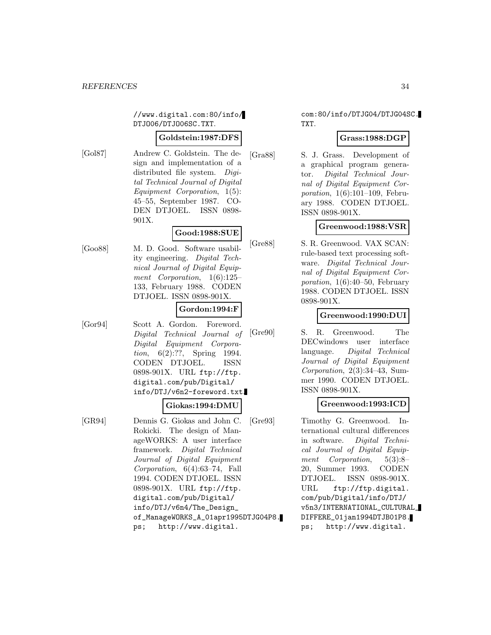//www.digital.com:80/info/ DTJO06/DTJO06SC.TXT.

#### **Goldstein:1987:DFS**

[Gol87] Andrew C. Goldstein. The design and implementation of a distributed file system. Digital Technical Journal of Digital Equipment Corporation, 1(5): 45–55, September 1987. CO-DEN DTJOEL. ISSN 0898- 901X.

# **Good:1988:SUE**

[Goo88] M. D. Good. Software usability engineering. Digital Technical Journal of Digital Equipment Corporation, 1(6):125– 133, February 1988. CODEN DTJOEL. ISSN 0898-901X.

## **Gordon:1994:F**

[Gor94] Scott A. Gordon. Foreword. Digital Technical Journal of Digital Equipment Corporation, 6(2):??, Spring 1994. CODEN DTJOEL. ISSN 0898-901X. URL ftp://ftp. digital.com/pub/Digital/ info/DTJ/v6n2-foreword.txt.

#### **Giokas:1994:DMU**

[GR94] Dennis G. Giokas and John C. Rokicki. The design of ManageWORKS: A user interface framework. Digital Technical Journal of Digital Equipment Corporation, 6(4):63–74, Fall 1994. CODEN DTJOEL. ISSN 0898-901X. URL ftp://ftp. digital.com/pub/Digital/ info/DTJ/v6n4/The\_Design\_ of\_ManageWORKS\_A\_01apr1995DTJG04P8. ps; http://www.digital.

## com:80/info/DTJG04/DTJG04SC. TXT.

## **Grass:1988:DGP**

[Gra88] S. J. Grass. Development of a graphical program generator. Digital Technical Journal of Digital Equipment Corporation, 1(6):101–109, February 1988. CODEN DTJOEL. ISSN 0898-901X.

## **Greenwood:1988:VSR**

[Gre88] S. R. Greenwood. VAX SCAN: rule-based text processing software. Digital Technical Journal of Digital Equipment Corporation, 1(6):40–50, February 1988. CODEN DTJOEL. ISSN 0898-901X.

# **Greenwood:1990:DUI**

[Gre90] S. R. Greenwood. The DECwindows user interface language. Digital Technical Journal of Digital Equipment Corporation, 2(3):34–43, Summer 1990. CODEN DTJOEL. ISSN 0898-901X.

#### **Greenwood:1993:ICD**

[Gre93] Timothy G. Greenwood. International cultural differences in software. Digital Technical Journal of Digital Equipment Corporation, 5(3):8– 20, Summer 1993. CODEN DTJOEL. ISSN 0898-901X. URL ftp://ftp.digital. com/pub/Digital/info/DTJ/ v5n3/INTERNATIONAL\_CULTURAL\_ DIFFERE\_01jan1994DTJB01P8. ps; http://www.digital.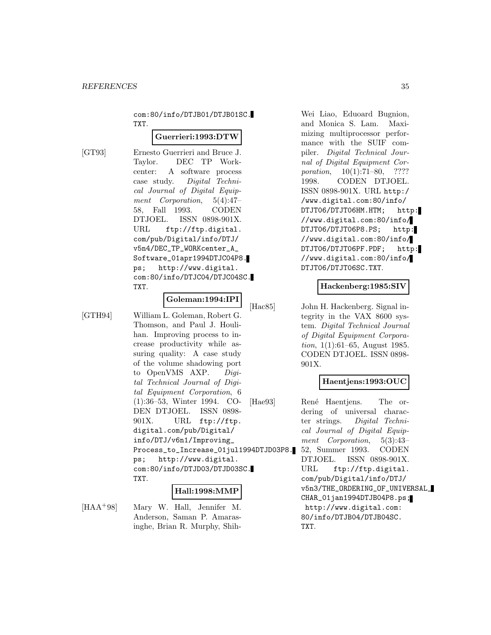com:80/info/DTJB01/DTJB01SC. TXT.

#### **Guerrieri:1993:DTW**

[GT93] Ernesto Guerrieri and Bruce J. Taylor. DEC TP Workcenter: A software process case study. Digital Technical Journal of Digital Equipment Corporation, 5(4):47– 58, Fall 1993. CODEN DTJOEL. ISSN 0898-901X. URL ftp://ftp.digital. com/pub/Digital/info/DTJ/ v5n4/DEC\_TP\_WORKcenter\_A\_ Software\_01apr1994DTJC04P8. ps; http://www.digital. com:80/info/DTJC04/DTJC04SC. TXT.

## **Goleman:1994:IPI**

[GTH94] William L. Goleman, Robert G. Thomson, and Paul J. Houlihan. Improving process to increase productivity while assuring quality: A case study of the volume shadowing port to OpenVMS AXP. Digital Technical Journal of Digital Equipment Corporation, 6 (1):36–53, Winter 1994. CO-DEN DTJOEL. ISSN 0898- 901X. URL ftp://ftp. digital.com/pub/Digital/ info/DTJ/v6n1/Improving\_ Process\_to\_Increase\_01jul1994DTJD03P8. ps; http://www.digital. com:80/info/DTJD03/DTJD03SC. TXT.

#### **Hall:1998:MMP**

[HAA<sup>+</sup>98] Mary W. Hall, Jennifer M. Anderson, Saman P. Amarasinghe, Brian R. Murphy, ShihWei Liao, Eduoard Bugnion, and Monica S. Lam. Maximizing multiprocessor performance with the SUIF compiler. Digital Technical Journal of Digital Equipment Corporation, 10(1):71–80, ???? 1998. CODEN DTJOEL. ISSN 0898-901X. URL http:/ /www.digital.com:80/info/ DTJT06/DTJT06HM.HTM; http: //www.digital.com:80/info/ DTJT06/DTJT06P8.PS; http: //www.digital.com:80/info/ DTJT06/DTJT06PF.PDF; http: //www.digital.com:80/info/ DTJT06/DTJT06SC.TXT.

#### **Hackenberg:1985:SIV**

[Hac85] John H. Hackenberg. Signal integrity in the VAX 8600 system. Digital Technical Journal of Digital Equipment Corporation, 1(1):61–65, August 1985. CODEN DTJOEL. ISSN 0898- 901X.

#### **Haentjens:1993:OUC**

[Hae93] René Haentjens. The ordering of universal character strings. Digital Technical Journal of Digital Equipment Corporation, 5(3):43– 52, Summer 1993. CODEN DTJOEL. ISSN 0898-901X. URL ftp://ftp.digital. com/pub/Digital/info/DTJ/ v5n3/THE\_ORDERING\_OF\_UNIVERSAL\_ CHAR\_01jan1994DTJB04P8.ps; http://www.digital.com: 80/info/DTJB04/DTJB04SC. TXT.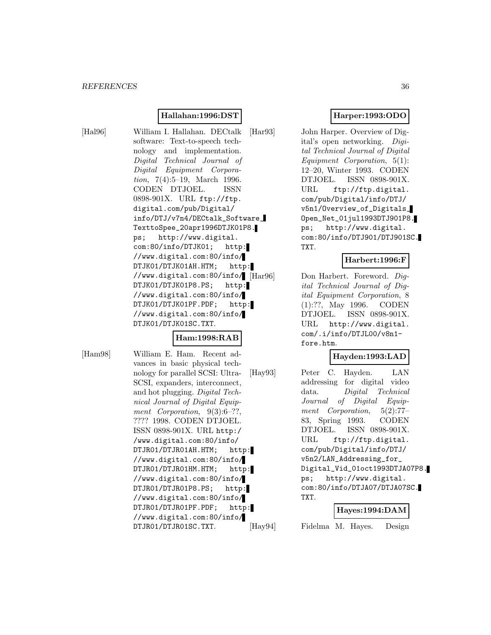# **Hallahan:1996:DST**

[Hal96] William I. Hallahan. DECtalk software: Text-to-speech technology and implementation. Digital Technical Journal of Digital Equipment Corporation, 7(4):5–19, March 1996. CODEN DTJOEL. ISSN 0898-901X. URL ftp://ftp. digital.com/pub/Digital/ info/DTJ/v7n4/DECtalk\_Software\_ TexttoSpee\_20apr1996DTJK01P8. ps; http://www.digital. com:80/info/DTJK01; http: //www.digital.com:80/info/ DTJK01/DTJK01AH.HTM; http: //www.digital.com:80/info/ DTJK01/DTJK01P8.PS; http: //www.digital.com:80/info/ DTJK01/DTJK01PF.PDF; http: //www.digital.com:80/info/ DTJK01/DTJK01SC.TXT.

#### **Ham:1998:RAB**

[Ham98] William E. Ham. Recent ad-

vances in basic physical technology for parallel SCSI: Ultra-SCSI, expanders, interconnect, and hot plugging. Digital Technical Journal of Digital Equipment Corporation,  $9(3):6-??$ , ???? 1998. CODEN DTJOEL. ISSN 0898-901X. URL http:/ /www.digital.com:80/info/ DTJR01/DTJR01AH.HTM; http: //www.digital.com:80/info/ DTJR01/DTJR01HM.HTM; http: //www.digital.com:80/info/ DTJR01/DTJR01P8.PS; http: //www.digital.com:80/info/ DTJR01/DTJR01PF.PDF; http: //www.digital.com:80/info/ DTJR01/DTJR01SC.TXT.

# **Harper:1993:ODO**

[Har93] John Harper. Overview of Digital's open networking. Digital Technical Journal of Digital Equipment Corporation, 5(1): 12–20, Winter 1993. CODEN DTJOEL. ISSN 0898-901X. URL ftp://ftp.digital. com/pub/Digital/info/DTJ/ v5n1/Overview\_of\_Digitals\_ Open\_Net\_01jul1993DTJ901P8. ps; http://www.digital. com:80/info/DTJ901/DTJ901SC. TXT.

# **Harbert:1996:F**

Don Harbert. Foreword. Digital Technical Journal of Digital Equipment Corporation, 8 (1):??, May 1996. CODEN DTJOEL. ISSN 0898-901X. URL http://www.digital. com/.i/info/DTJL00/v8n1 fore.htm.

# **Hayden:1993:LAD**

[Hay93] Peter C. Hayden. LAN addressing for digital video data. Digital Technical Journal of Digital Equipment Corporation, 5(2):77– 83, Spring 1993. CODEN DTJOEL. ISSN 0898-901X. URL ftp://ftp.digital. com/pub/Digital/info/DTJ/ v5n2/LAN\_Addressing\_for\_ Digital\_Vid\_01oct1993DTJA07P8. ps; http://www.digital. com:80/info/DTJA07/DTJA07SC. TXT.

#### **Hayes:1994:DAM**

[Hay94] Fidelma M. Hayes. Design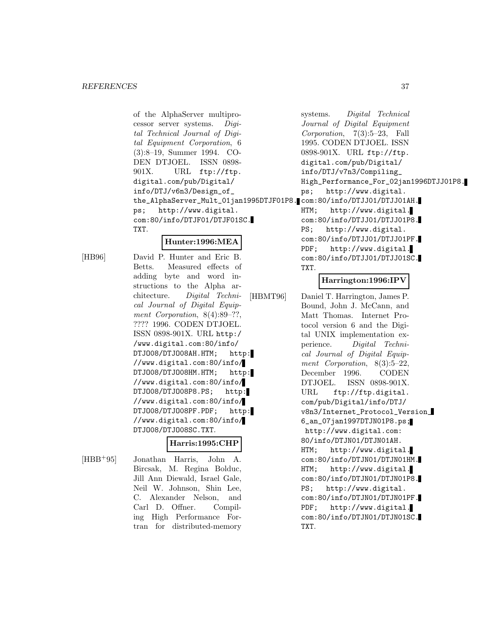of the AlphaServer multiprocessor server systems. Digital Technical Journal of Digital Equipment Corporation, 6 (3):8–19, Summer 1994. CO-DEN DTJOEL. ISSN 0898- 901X. URL ftp://ftp. digital.com/pub/Digital/ info/DTJ/v6n3/Design\_of\_ the\_AlphaServer\_Mult\_01jan1995DTJF01P8. com:80/info/DTJJ01/DTJJ01AH. ps; http://www.digital. com:80/info/DTJF01/DTJF01SC. TXT.

## **Hunter:1996:MEA**

[HB96] David P. Hunter and Eric B. Betts. Measured effects of adding byte and word instructions to the Alpha architecture. Digital Technical Journal of Digital Equipment Corporation, 8(4):89–??, ???? 1996. CODEN DTJOEL. ISSN 0898-901X. URL http:/ /www.digital.com:80/info/ DTJ008/DTJ008AH.HTM; http: //www.digital.com:80/info/ DTJO08/DTJO08HM.HTM; http: //www.digital.com:80/info/ DTJO08/DTJO08P8.PS; http: //www.digital.com:80/info/ DTJO08/DTJO08PF.PDF; http: //www.digital.com:80/info/ DTJO08/DTJO08SC.TXT.

# **Harris:1995:CHP**

ing High Performance Fortran for distributed-memory

[HBB<sup>+</sup>95] Jonathan Harris, John A. Bircsak, M. Regina Bolduc, Jill Ann Diewald, Israel Gale, Neil W. Johnson, Shin Lee, C. Alexander Nelson, and Carl D. Offner. Compilsystems. Digital Technical Journal of Digital Equipment Corporation, 7(3):5–23, Fall 1995. CODEN DTJOEL. ISSN 0898-901X. URL ftp://ftp. digital.com/pub/Digital/ info/DTJ/v7n3/Compiling\_ High\_Performance\_For\_02jan1996DTJJ01P8. ps; http://www.digital. HTM; http://www.digital. com:80/info/DTJJ01/DTJJ01P8. PS; http://www.digital. com:80/info/DTJJ01/DTJJ01PF. PDF; http://www.digital. com:80/info/DTJJ01/DTJJ01SC. TXT.

## **Harrington:1996:IPV**

[HBMT96] Daniel T. Harrington, James P. Bound, John J. McCann, and Matt Thomas. Internet Protocol version 6 and the Digital UNIX implementation experience. Digital Technical Journal of Digital Equipment Corporation, 8(3):5–22, December 1996. CODEN DTJOEL. ISSN 0898-901X. URL ftp://ftp.digital. com/pub/Digital/info/DTJ/ v8n3/Internet\_Protocol\_Version\_ 6\_an\_07jan1997DTJN01P8.ps; http://www.digital.com: 80/info/DTJN01/DTJN01AH. HTM; http://www.digital. com:80/info/DTJN01/DTJN01HM. HTM; http://www.digital. com:80/info/DTJN01/DTJN01P8. PS; http://www.digital. com:80/info/DTJN01/DTJN01PF. PDF; http://www.digital. com:80/info/DTJN01/DTJN01SC. TXT.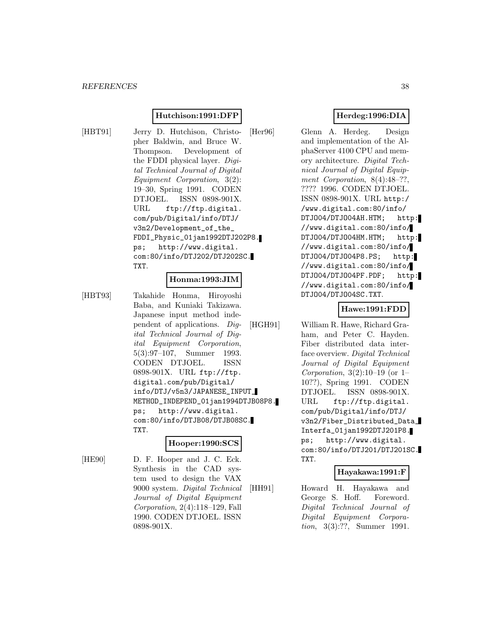#### **Hutchison:1991:DFP**

[HBT91] Jerry D. Hutchison, Christopher Baldwin, and Bruce W. Thompson. Development of the FDDI physical layer. Digital Technical Journal of Digital Equipment Corporation, 3(2): 19–30, Spring 1991. CODEN DTJOEL. ISSN 0898-901X. URL ftp://ftp.digital. com/pub/Digital/info/DTJ/ v3n2/Development\_of\_the\_ FDDI\_Physic\_01jan1992DTJ202P8. ps; http://www.digital. com:80/info/DTJ202/DTJ202SC. TXT.

#### **Honma:1993:JIM**

[HBT93] Takahide Honma, Hiroyoshi Baba, and Kuniaki Takizawa. Japanese input method independent of applications. Digital Technical Journal of Digital Equipment Corporation, 5(3):97–107, Summer 1993. CODEN DTJOEL. ISSN 0898-901X. URL ftp://ftp. digital.com/pub/Digital/ info/DTJ/v5n3/JAPANESE\_INPUT\_ METHOD\_INDEPEND\_01jan1994DTJB08P8. ps; http://www.digital. com:80/info/DTJB08/DTJB08SC. TXT.

#### **Hooper:1990:SCS**

[HE90] D. F. Hooper and J. C. Eck. Synthesis in the CAD system used to design the VAX 9000 system. Digital Technical Journal of Digital Equipment Corporation, 2(4):118–129, Fall 1990. CODEN DTJOEL. ISSN 0898-901X.

# **Herdeg:1996:DIA**

[Her96] Glenn A. Herdeg. Design and implementation of the AlphaServer 4100 CPU and memory architecture. Digital Technical Journal of Digital Equipment Corporation, 8(4):48–??, ???? 1996. CODEN DTJOEL. ISSN 0898-901X. URL http:/ /www.digital.com:80/info/ DTJO04/DTJO04AH.HTM; http: //www.digital.com:80/info/ DTJO04/DTJO04HM.HTM; http: //www.digital.com:80/info/ DTJO04/DTJO04P8.PS; http: //www.digital.com:80/info/ DTJO04/DTJO04PF.PDF; http: //www.digital.com:80/info/ DTJO04/DTJO04SC.TXT.

#### **Hawe:1991:FDD**

[HGH91] William R. Hawe, Richard Graham, and Peter C. Hayden. Fiber distributed data interface overview. Digital Technical Journal of Digital Equipment *Corporation*,  $3(2):10-19$  (or 1-10??), Spring 1991. CODEN DTJOEL. ISSN 0898-901X. URL ftp://ftp.digital. com/pub/Digital/info/DTJ/ v3n2/Fiber\_Distributed\_Data\_ Interfa\_01jan1992DTJ201P8. ps; http://www.digital. com:80/info/DTJ201/DTJ201SC. TXT.

#### **Hayakawa:1991:F**

[HH91] Howard H. Hayakawa and George S. Hoff. Foreword. Digital Technical Journal of Digital Equipment Corporation, 3(3):??, Summer 1991.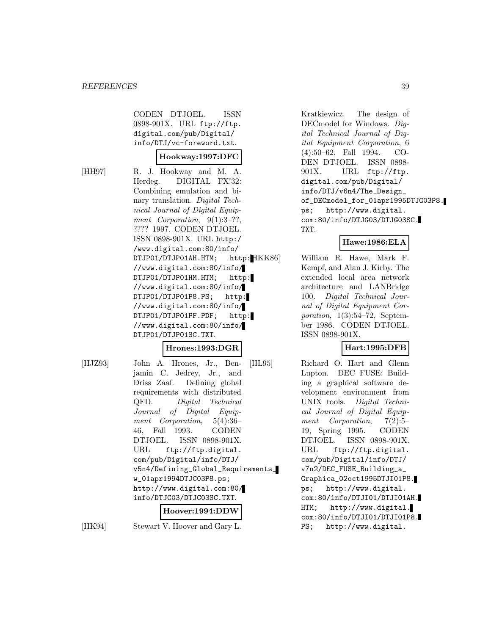CODEN DTJOEL. ISSN 0898-901X. URL ftp://ftp. digital.com/pub/Digital/ info/DTJ/vc-foreword.txt.

#### **Hookway:1997:DFC**

[HH97] R. J. Hookway and M. A. Herdeg. DIGITAL FX!32: Combining emulation and binary translation. Digital Technical Journal of Digital Equipment Corporation, 9(1):3-??, ???? 1997. CODEN DTJOEL. ISSN 0898-901X. URL http:/ /www.digital.com:80/info/ DTJP01/DTJP01AH.HTM; http: HKK86 //www.digital.com:80/info/ DTJP01/DTJP01HM.HTM; http: //www.digital.com:80/info/ DTJP01/DTJP01P8.PS; http: //www.digital.com:80/info/ DTJP01/DTJP01PF.PDF; http: //www.digital.com:80/info/ DTJP01/DTJP01SC.TXT.

## **Hrones:1993:DGR**

[HJZ93] John A. Hrones, Jr., Benjamin C. Jedrey, Jr., and Driss Zaaf. Defining global requirements with distributed QFD. Digital Technical Journal of Digital Equipment Corporation, 5(4):36– 46, Fall 1993. CODEN DTJOEL. ISSN 0898-901X. URL ftp://ftp.digital. com/pub/Digital/info/DTJ/ v5n4/Defining\_Global\_Requirements\_ w\_01apr1994DTJC03P8.ps; http://www.digital.com:80/ info/DTJC03/DTJC03SC.TXT.

#### **Hoover:1994:DDW**

[HK94] Stewart V. Hoover and Gary L.

Kratkiewicz. The design of DECmodel for Windows. Digital Technical Journal of Digital Equipment Corporation, 6 (4):50–62, Fall 1994. CO-DEN DTJOEL. ISSN 0898- 901X. URL ftp://ftp. digital.com/pub/Digital/ info/DTJ/v6n4/The\_Design\_ of\_DECmodel\_for\_01apr1995DTJG03P8. ps; http://www.digital. com:80/info/DTJG03/DTJG03SC. TXT.

#### **Hawe:1986:ELA**

William R. Hawe, Mark F. Kempf, and Alan J. Kirby. The extended local area network architecture and LANBridge 100. Digital Technical Journal of Digital Equipment Corporation,  $1(3):54-72$ , September 1986. CODEN DTJOEL. ISSN 0898-901X.

## **Hart:1995:DFB**

[HL95] Richard O. Hart and Glenn Lupton. DEC FUSE: Building a graphical software development environment from UNIX tools. Digital Technical Journal of Digital Equipment Corporation, 7(2):5– 19, Spring 1995. CODEN DTJOEL. ISSN 0898-901X. URL ftp://ftp.digital. com/pub/Digital/info/DTJ/ v7n2/DEC\_FUSE\_Building\_a\_ Graphica\_02oct1995DTJI01P8. ps; http://www.digital. com:80/info/DTJI01/DTJI01AH. HTM; http://www.digital. com:80/info/DTJI01/DTJI01P8. PS; http://www.digital.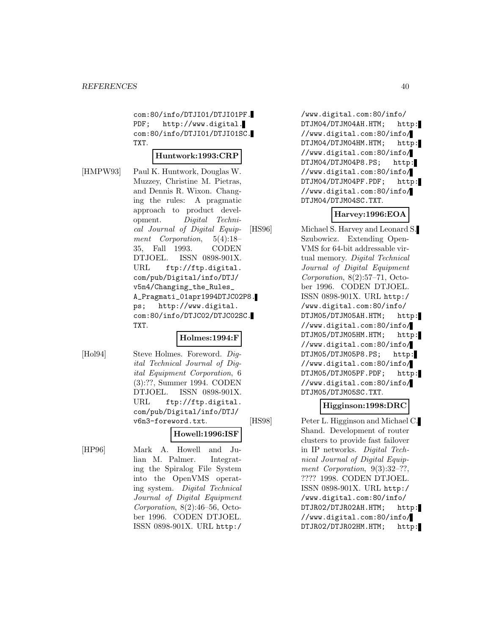com:80/info/DTJI01/DTJI01PF. PDF; http://www.digital. com:80/info/DTJI01/DTJI01SC. TXT.

#### **Huntwork:1993:CRP**

[HMPW93] Paul K. Huntwork, Douglas W. Muzzey, Christine M. Pietras, and Dennis R. Wixon. Changing the rules: A pragmatic approach to product development. Digital Technical Journal of Digital Equipment Corporation, 5(4):18– 35, Fall 1993. CODEN DTJOEL. ISSN 0898-901X. URL ftp://ftp.digital. com/pub/Digital/info/DTJ/ v5n4/Changing\_the\_Rules\_ A\_Pragmati\_01apr1994DTJC02P8. ps; http://www.digital. com:80/info/DTJC02/DTJC02SC. TXT.

## **Holmes:1994:F**

[Hol94] Steve Holmes. Foreword. Digital Technical Journal of Digital Equipment Corporation, 6 (3):??, Summer 1994. CODEN DTJOEL. ISSN 0898-901X. URL ftp://ftp.digital.

com/pub/Digital/info/DTJ/ v6n3-foreword.txt. **Howell:1996:ISF** [HP96] Mark A. Howell and Julian M. Palmer. Integrating the Spiralog File System into the OpenVMS operating system. Digital Technical Journal of Digital Equipment Corporation, 8(2):46–56, Octo-

> ber 1996. CODEN DTJOEL. ISSN 0898-901X. URL http:/

/www.digital.com:80/info/ DTJM04/DTJM04AH.HTM; http: //www.digital.com:80/info/ DTJM04/DTJM04HM.HTM; http: //www.digital.com:80/info/ DTJM04/DTJM04P8.PS; http: //www.digital.com:80/info/ DTJM04/DTJM04PF.PDF; http: //www.digital.com:80/info/ DTJM04/DTJM04SC.TXT.

# **Harvey:1996:EOA**

[HS96] Michael S. Harvey and Leonard S. Szubowicz. Extending Open-VMS for 64-bit addressable virtual memory. Digital Technical Journal of Digital Equipment Corporation, 8(2):57–71, October 1996. CODEN DTJOEL. ISSN 0898-901X. URL http:/ /www.digital.com:80/info/ DTJM05/DTJM05AH.HTM; http: //www.digital.com:80/info/ DTJM05/DTJM05HM.HTM; http: //www.digital.com:80/info/ DTJM05/DTJM05P8.PS; http: //www.digital.com:80/info/ DTJM05/DTJM05PF.PDF; http: //www.digital.com:80/info/ DTJM05/DTJM05SC.TXT.

## **Higginson:1998:DRC**

[HS98] Peter L. Higginson and Michael C. Shand. Development of router clusters to provide fast failover in IP networks. Digital Technical Journal of Digital Equipment Corporation, 9(3):32-??, ???? 1998. CODEN DTJOEL. ISSN 0898-901X. URL http:/ /www.digital.com:80/info/ DTJR02/DTJR02AH.HTM; http: //www.digital.com:80/info/ DTJR02/DTJR02HM.HTM; http: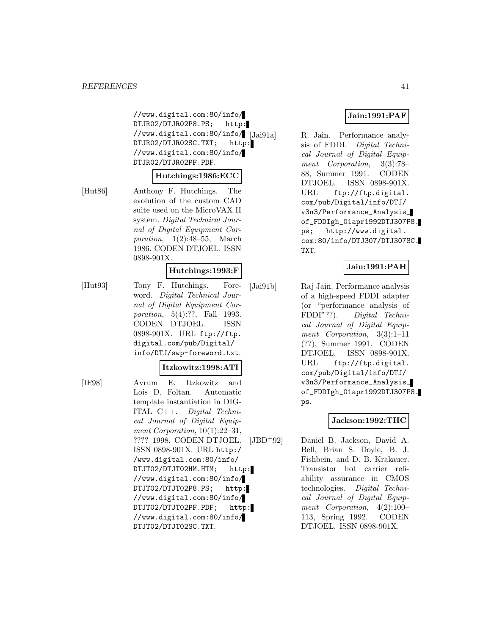//www.digital.com:80/info/ DTJR02/DTJR02P8.PS; http: //www.digital.com:80/info/ DTJR02/DTJR02SC.TXT; http: //www.digital.com:80/info/ DTJR02/DTJR02PF.PDF.

#### **Hutchings:1986:ECC**

[Hut86] Anthony F. Hutchings. The evolution of the custom CAD suite used on the MicroVAX II system. Digital Technical Journal of Digital Equipment Corporation,  $1(2):48-55$ , March 1986. CODEN DTJOEL. ISSN 0898-901X.

#### **Hutchings:1993:F**

[Hut93] Tony F. Hutchings. Foreword. Digital Technical Journal of Digital Equipment Corporation, 5(4):??, Fall 1993. CODEN DTJOEL. ISSN 0898-901X. URL ftp://ftp. digital.com/pub/Digital/ info/DTJ/swp-foreword.txt.

#### **Itzkowitz:1998:ATI**

[IF98] Avrum E. Itzkowitz and Lois D. Foltan. Automatic template instantiation in DIG-ITAL C++. Digital Technical Journal of Digital Equipment Corporation,  $10(1):22-31$ , ???? 1998. CODEN DTJOEL. ISSN 0898-901X. URL http:/ /www.digital.com:80/info/ DTJT02/DTJT02HM.HTM; http: //www.digital.com:80/info/ DTJT02/DTJT02P8.PS; http: //www.digital.com:80/info/ DTJT02/DTJT02PF.PDF; http: //www.digital.com:80/info/ DTJT02/DTJT02SC.TXT.

## **Jain:1991:PAF**

R. Jain. Performance analysis of FDDI. Digital Technical Journal of Digital Equipment Corporation, 3(3):78– 88, Summer 1991. CODEN DTJOEL. ISSN 0898-901X. URL ftp://ftp.digital. com/pub/Digital/info/DTJ/ v3n3/Performance\_Analysis\_ of\_FDDIgh\_01apr1992DTJ307P8. ps; http://www.digital. com:80/info/DTJ307/DTJ307SC. TXT.

# **Jain:1991:PAH**

[Jai91b] Raj Jain. Performance analysis of a high-speed FDDI adapter (or "performance analysis of FDDI"??). Digital Technical Journal of Digital Equipment Corporation, 3(3):1–11 (??), Summer 1991. CODEN DTJOEL. ISSN 0898-901X. URL ftp://ftp.digital. com/pub/Digital/info/DTJ/ v3n3/Performance\_Analysis\_ of\_FDDIgh\_01apr1992DTJ307P8. ps.

#### **Jackson:1992:THC**

[JBD<sup>+</sup>92] Daniel B. Jackson, David A. Bell, Brian S. Doyle, B. J. Fishbein, and D. B. Krakauer. Transistor hot carrier reliability assurance in CMOS technologies. Digital Technical Journal of Digital Equipment Corporation, 4(2):100– 113, Spring 1992. CODEN DTJOEL. ISSN 0898-901X.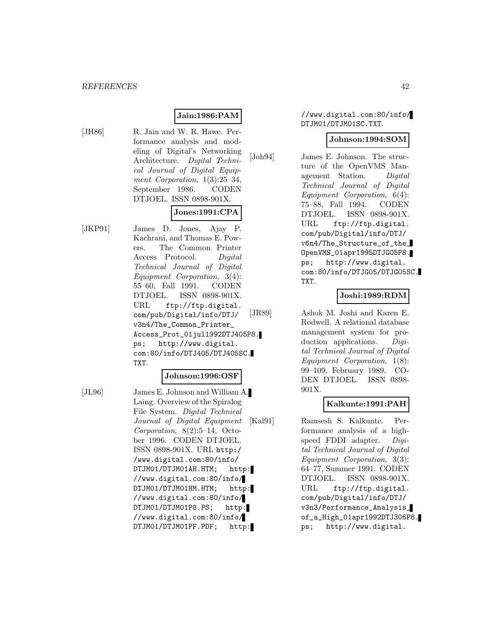# **Jain:1986:PAM**

[JH86] R. Jain and W. R. Hawe. Performance analysis and modeling of Digital's Networking Architecture. Digital Technical Journal of Digital Equipment Corporation,  $1(3):25-34$ , September 1986. CODEN DTJOEL. ISSN 0898-901X.

# **Jones:1991:CPA**

[JKP91] James D. Jones, Ajay P. Kachrani, and Thomas E. Powers. The Common Printer Access Protocol. Digital Technical Journal of Digital Equipment Corporation, 3(4): 55–60, Fall 1991. CODEN DTJOEL. ISSN 0898-901X. URL ftp://ftp.digital. com/pub/Digital/info/DTJ/ v3n4/The\_Common\_Printer\_ Access\_Prot\_01jul1992DTJ405P8. ps; http://www.digital. com:80/info/DTJ405/DTJ405SC. TXT.

#### **Johnson:1996:OSF**

[JL96] James E. Johnson and William A. Laing. Overview of the Spiralog File System. Digital Technical Journal of Digital Equipment Corporation, 8(2):5–14, October 1996. CODEN DTJOEL. ISSN 0898-901X. URL http:/ /www.digital.com:80/info/ DTJM01/DTJM01AH.HTM; http: //www.digital.com:80/info/ DTJM01/DTJM01HM.HTM; http: //www.digital.com:80/info/ DTJM01/DTJM01P8.PS; http: //www.digital.com:80/info/ DTJM01/DTJM01PF.PDF; http:

//www.digital.com:80/info/ DTJM01/DTJM01SC.TXT.

#### **Johnson:1994:SOM**

[Joh94] James E. Johnson. The structure of the OpenVMS Management Station. Digital Technical Journal of Digital Equipment Corporation, 6(4): 75–88, Fall 1994. CODEN DTJOEL. ISSN 0898-901X. URL ftp://ftp.digital. com/pub/Digital/info/DTJ/ v6n4/The\_Structure\_of\_the\_ OpenVMS\_01apr1995DTJG05P8. ps; http://www.digital. com:80/info/DTJG05/DTJG05SC. TXT.

## **Joshi:1989:RDM**

[JR89] Ashok M. Joshi and Karen E. Rodwell. A relational database management system for production applications. *Digi*tal Technical Journal of Digital Equipment Corporation, 1(8): 99–109, February 1989. CO-DEN DTJOEL. ISSN 0898- 901X.

## **Kalkunte:1991:PAH**

[Kal91] Ramsesh S. Kalkunte. Performance analysis of a highspeed FDDI adapter. Digital Technical Journal of Digital Equipment Corporation, 3(3): 64–77, Summer 1991. CODEN DTJOEL. ISSN 0898-901X. URL ftp://ftp.digital. com/pub/Digital/info/DTJ/ v3n3/Performance\_Analysis\_ of\_a\_High\_01apr1992DTJ306P8. ps; http://www.digital.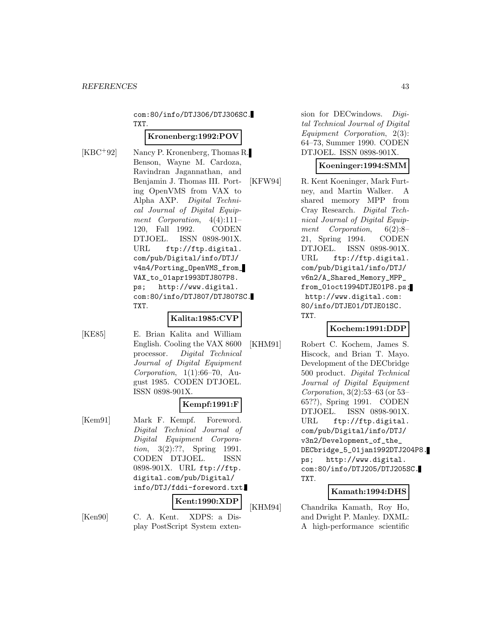com:80/info/DTJ306/DTJ306SC. TXT.

# **Kronenberg:1992:POV**

[KBC<sup>+</sup>92] Nancy P. Kronenberg, Thomas R. Benson, Wayne M. Cardoza, Ravindran Jagannathan, and Benjamin J. Thomas III. Porting OpenVMS from VAX to Alpha AXP. Digital Technical Journal of Digital Equipment Corporation, 4(4):111– 120, Fall 1992. CODEN DTJOEL. ISSN 0898-901X. URL ftp://ftp.digital. com/pub/Digital/info/DTJ/ v4n4/Porting\_OpenVMS\_from\_ VAX\_to\_01apr1993DTJ807P8. ps; http://www.digital. com:80/info/DTJ807/DTJ807SC. TXT.

## **Kalita:1985:CVP**

[KE85] E. Brian Kalita and William English. Cooling the VAX 8600 processor. Digital Technical Journal of Digital Equipment Corporation,  $1(1):66-70$ , August 1985. CODEN DTJOEL. ISSN 0898-901X.

# **Kempf:1991:F**

[Kem91] Mark F. Kempf. Foreword. Digital Technical Journal of Digital Equipment Corporation, 3(2):??, Spring 1991. CODEN DTJOEL. ISSN 0898-901X. URL ftp://ftp. digital.com/pub/Digital/ info/DTJ/fddi-foreword.txt.

**Kent:1990:XDP**

[Ken90] C. A. Kent. XDPS: a Display PostScript System extension for DECwindows. Digital Technical Journal of Digital Equipment Corporation, 2(3): 64–73, Summer 1990. CODEN DTJOEL. ISSN 0898-901X.

# **Koeninger:1994:SMM**

[KFW94] R. Kent Koeninger, Mark Furtney, and Martin Walker. A shared memory MPP from Cray Research. Digital Technical Journal of Digital Equipment Corporation, 6(2):8– 21, Spring 1994. CODEN DTJOEL. ISSN 0898-901X. URL ftp://ftp.digital. com/pub/Digital/info/DTJ/ v6n2/A\_Shared\_Memory\_MPP\_ from\_01oct1994DTJE01P8.ps; http://www.digital.com: 80/info/DTJE01/DTJE01SC. TXT.

# **Kochem:1991:DDP**

[KHM91] Robert C. Kochem, James S. Hiscock, and Brian T. Mayo. Development of the DECbridge 500 product. Digital Technical Journal of Digital Equipment Corporation, 3(2):53–63 (or 53– 65??), Spring 1991. CODEN DTJOEL. ISSN 0898-901X. URL ftp://ftp.digital. com/pub/Digital/info/DTJ/ v3n2/Development\_of\_the\_ DECbridge\_5\_01jan1992DTJ204P8. ps; http://www.digital. com:80/info/DTJ205/DTJ205SC. TXT.

# **Kamath:1994:DHS**

[KHM94] Chandrika Kamath, Roy Ho, and Dwight P. Manley. DXML: A high-performance scientific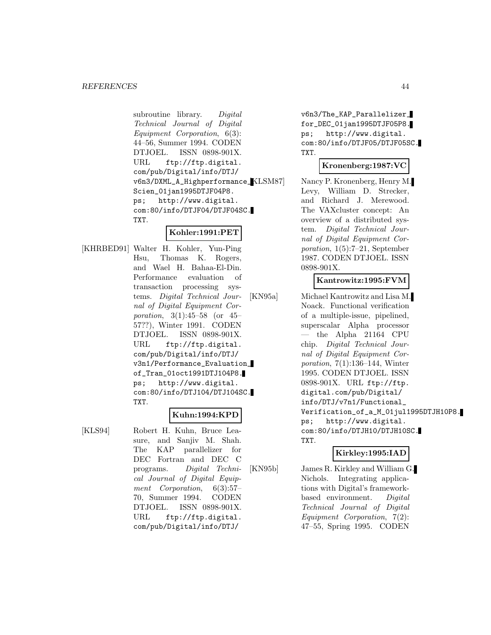subroutine library. Digital Technical Journal of Digital Equipment Corporation, 6(3): 44–56, Summer 1994. CODEN DTJOEL. ISSN 0898-901X. URL ftp://ftp.digital. com/pub/Digital/info/DTJ/ v6n3/DXML\_A\_Highperformance\_ Scien\_01jan1995DTJF04P8. ps; http://www.digital. com:80/info/DTJF04/DTJF04SC. TXT.

# **Kohler:1991:PET**

[KHRBED91] Walter H. Kohler, Yun-Ping Hsu, Thomas K. Rogers, and Wael H. Bahaa-El-Din. Performance evaluation of transaction processing systems. Digital Technical Journal of Digital Equipment Corporation, 3(1):45–58 (or 45– 57??), Winter 1991. CODEN DTJOEL. ISSN 0898-901X. URL ftp://ftp.digital. com/pub/Digital/info/DTJ/ v3n1/Performance\_Evaluation\_ of\_Tran\_01oct1991DTJ104P8. ps; http://www.digital. com:80/info/DTJ104/DTJ104SC. TXT.

# **Kuhn:1994:KPD**

[KLS94] Robert H. Kuhn, Bruce Leasure, and Sanjiv M. Shah. The KAP parallelizer for DEC Fortran and DEC C programs. Digital Technical Journal of Digital Equipment Corporation, 6(3):57– 70, Summer 1994. CODEN DTJOEL. ISSN 0898-901X. URL ftp://ftp.digital. com/pub/Digital/info/DTJ/

v6n3/The\_KAP\_Parallelizer\_ for\_DEC\_01jan1995DTJF05P8. ps; http://www.digital. com:80/info/DTJF05/DTJF05SC. TXT.

# **Kronenberg:1987:VC**

Nancy P. Kronenberg, Henry M. Levy, William D. Strecker, and Richard J. Merewood. The VAXcluster concept: An overview of a distributed system. Digital Technical Journal of Digital Equipment Corporation, 1(5):7–21, September 1987. CODEN DTJOEL. ISSN 0898-901X.

# **Kantrowitz:1995:FVM**

[KN95a] Michael Kantrowitz and Lisa M. Noack. Functional verification of a multiple-issue, pipelined, superscalar Alpha processor  $-$  the Alpha 21164 CPU chip. Digital Technical Journal of Digital Equipment Corporation, 7(1):136–144, Winter 1995. CODEN DTJOEL. ISSN 0898-901X. URL ftp://ftp. digital.com/pub/Digital/ info/DTJ/v7n1/Functional\_ Verification\_of\_a\_M\_01jul1995DTJH10P8. ps; http://www.digital. com:80/info/DTJH10/DTJH10SC. TXT.

# **Kirkley:1995:IAD**

[KN95b] James R. Kirkley and William G. Nichols. Integrating applications with Digital's frameworkbased environment. Digital Technical Journal of Digital Equipment Corporation, 7(2): 47–55, Spring 1995. CODEN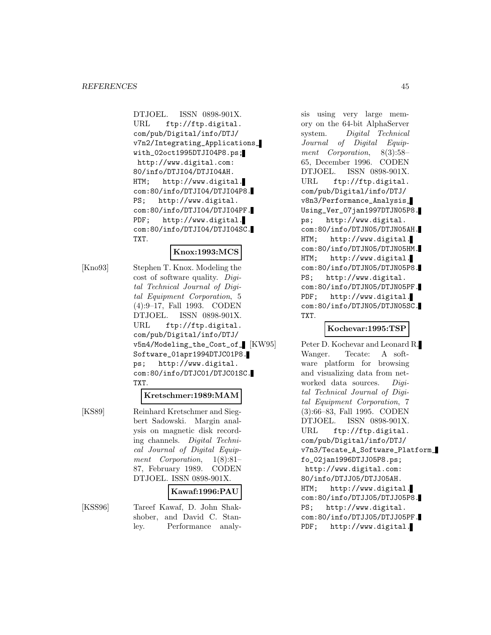DTJOEL. ISSN 0898-901X. URL ftp://ftp.digital. com/pub/Digital/info/DTJ/ v7n2/Integrating\_Applications\_ with\_02oct1995DTJI04P8.ps; http://www.digital.com: 80/info/DTJI04/DTJI04AH. HTM; http://www.digital. com:80/info/DTJI04/DTJI04P8. PS; http://www.digital. com:80/info/DTJI04/DTJI04PF. PDF; http://www.digital. com:80/info/DTJI04/DTJI04SC. TXT.

#### **Knox:1993:MCS**

[Kno93] Stephen T. Knox. Modeling the cost of software quality. Digital Technical Journal of Digital Equipment Corporation, 5 (4):9–17, Fall 1993. CODEN DTJOEL. ISSN 0898-901X. URL ftp://ftp.digital. com/pub/Digital/info/DTJ/ v5n4/Modeling\_the\_Cost\_of\_ [KW95] Software\_01apr1994DTJC01P8. ps; http://www.digital. com:80/info/DTJC01/DTJC01SC. TXT.

#### **Kretschmer:1989:MAM**

[KS89] Reinhard Kretschmer and Siegbert Sadowski. Margin analysis on magnetic disk recording channels. Digital Technical Journal of Digital Equipment Corporation, 1(8):81– 87, February 1989. CODEN DTJOEL. ISSN 0898-901X.

## **Kawaf:1996:PAU**

[KSS96] Tareef Kawaf, D. John Shakshober, and David C. Stanley. Performance analysis using very large memory on the 64-bit AlphaServer system. Digital Technical Journal of Digital Equipment Corporation, 8(3):58– 65, December 1996. CODEN DTJOEL. ISSN 0898-901X. URL ftp://ftp.digital. com/pub/Digital/info/DTJ/ v8n3/Performance\_Analysis\_ Using\_Ver\_07jan1997DTJN05P8. ps; http://www.digital. com:80/info/DTJN05/DTJN05AH. HTM; http://www.digital. com:80/info/DTJN05/DTJN05HM. HTM; http://www.digital. com:80/info/DTJN05/DTJN05P8. PS; http://www.digital. com:80/info/DTJN05/DTJN05PF. PDF; http://www.digital. com:80/info/DTJN05/DTJN05SC. TXT.

## **Kochevar:1995:TSP**

Peter D. Kochevar and Leonard R. Wanger. Tecate: A software platform for browsing and visualizing data from networked data sources. Digital Technical Journal of Digital Equipment Corporation, 7 (3):66–83, Fall 1995. CODEN DTJOEL. ISSN 0898-901X. URL ftp://ftp.digital. com/pub/Digital/info/DTJ/ v7n3/Tecate\_A\_Software\_Platform\_ fo\_02jan1996DTJJ05P8.ps; http://www.digital.com: 80/info/DTJJ05/DTJJ05AH. HTM; http://www.digital. com:80/info/DTJJ05/DTJJ05P8. PS; http://www.digital. com:80/info/DTJJ05/DTJJ05PF. PDF; http://www.digital.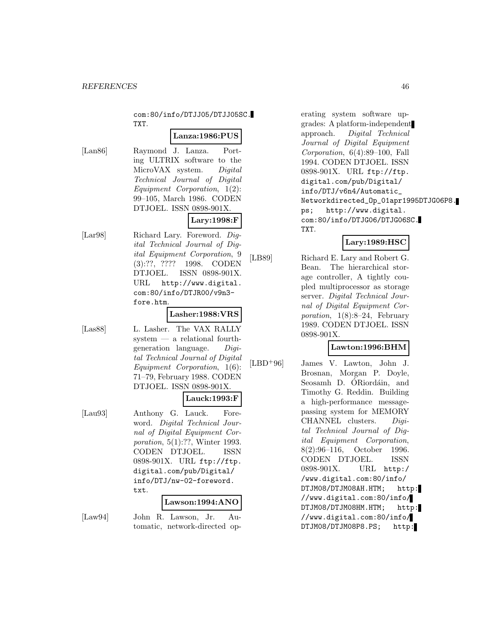com:80/info/DTJJ05/DTJJ05SC. TXT.

#### **Lanza:1986:PUS**

[Lan86] Raymond J. Lanza. Porting ULTRIX software to the MicroVAX system. Digital Technical Journal of Digital Equipment Corporation, 1(2): 99–105, March 1986. CODEN DTJOEL. ISSN 0898-901X.

# **Lary:1998:F**

[Lar98] Richard Lary. Foreword. Digital Technical Journal of Digital Equipment Corporation, 9 (3):??, ???? 1998. CODEN DTJOEL. ISSN 0898-901X.

# fore.htm. **Lasher:1988:VRS**

URL http://www.digital. com:80/info/DTJR00/v9n3-

- [Las88] L. Lasher. The VAX RALLY system — a relational fourthgeneration language. Digital Technical Journal of Digital
	- Equipment Corporation, 1(6): 71–79, February 1988. CODEN DTJOEL. ISSN 0898-901X.

#### **Lauck:1993:F**

[Lau93] Anthony G. Lauck. Foreword. Digital Technical Journal of Digital Equipment Corporation, 5(1):??, Winter 1993. CODEN DTJOEL. ISSN 0898-901X. URL ftp://ftp. digital.com/pub/Digital/ info/DTJ/nw-02-foreword. txt.

#### **Lawson:1994:ANO**

[Law94] John R. Lawson, Jr. Automatic, network-directed operating system software upgrades: A platform-independent approach. Digital Technical Journal of Digital Equipment Corporation, 6(4):89–100, Fall 1994. CODEN DTJOEL. ISSN 0898-901X. URL ftp://ftp. digital.com/pub/Digital/ info/DTJ/v6n4/Automatic\_ Networkdirected\_Op\_01apr1995DTJG06P8. ps; http://www.digital. com:80/info/DTJG06/DTJG06SC. TXT.

# **Lary:1989:HSC**

[LB89] Richard E. Lary and Robert G. Bean. The hierarchical storage controller, A tightly coupled multiprocessor as storage server. Digital Technical Journal of Digital Equipment Corporation,  $1(8):8-24$ , February 1989. CODEN DTJOEL. ISSN 0898-901X.

# **Lawton:1996:BHM**

[LBD<sup>+</sup>96] James V. Lawton, John J. Brosnan, Morgan P. Doyle, Seosamh D. ÓRiordáin, and Timothy G. Reddin. Building a high-performance messagepassing system for MEMORY CHANNEL clusters. Digital Technical Journal of Digital Equipment Corporation, 8(2):96–116, October 1996. CODEN DTJOEL. ISSN 0898-901X. URL http:/ /www.digital.com:80/info/ DTJM08/DTJM08AH.HTM; http: //www.digital.com:80/info/ DTJM08/DTJM08HM.HTM; http: //www.digital.com:80/info/ DTJM08/DTJM08P8.PS; http: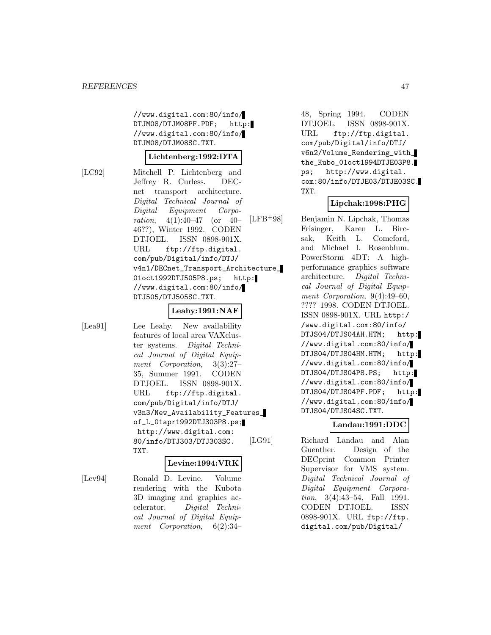//www.digital.com:80/info/ DTJM08/DTJM08PF.PDF; http: //www.digital.com:80/info/ DTJM08/DTJM08SC.TXT.

#### **Lichtenberg:1992:DTA**

[LC92] Mitchell P. Lichtenberg and Jeffrey R. Curless. DECnet transport architecture. Digital Technical Journal of Digital Equipment Corporation, 4(1):40–47 (or 40– 46??), Winter 1992. CODEN DTJOEL. ISSN 0898-901X. URL ftp://ftp.digital. com/pub/Digital/info/DTJ/ v4n1/DECnet\_Transport\_Architecture\_ 01oct1992DTJ505P8.ps; http: //www.digital.com:80/info/ DTJ505/DTJ505SC.TXT.

# **Leahy:1991:NAF**

[Lea91] Lee Leahy. New availability features of local area VAXcluster systems. Digital Technical Journal of Digital Equipment Corporation, 3(3):27– 35, Summer 1991. CODEN DTJOEL. ISSN 0898-901X. URL ftp://ftp.digital. com/pub/Digital/info/DTJ/ v3n3/New\_Availability\_Features\_ of\_L\_01apr1992DTJ303P8.ps; http://www.digital.com: 80/info/DTJ303/DTJ303SC. TXT.

## **Levine:1994:VRK**

[Lev94] Ronald D. Levine. Volume rendering with the Kubota 3D imaging and graphics accelerator. Digital Technical Journal of Digital Equipment Corporation, 6(2):34–

48, Spring 1994. CODEN DTJOEL. ISSN 0898-901X. URL ftp://ftp.digital. com/pub/Digital/info/DTJ/ v6n2/Volume\_Rendering\_with\_ the\_Kubo\_01oct1994DTJE03P8. ps; http://www.digital. com:80/info/DTJE03/DTJE03SC. TXT.

#### **Lipchak:1998:PHG**

[LFB<sup>+</sup>98] Benjamin N. Lipchak, Thomas Frisinger, Karen L. Bircsak, Keith L. Comeford, and Michael I. Rosenblum. PowerStorm 4DT: A highperformance graphics software architecture. Digital Technical Journal of Digital Equipment Corporation, 9(4):49–60, ???? 1998. CODEN DTJOEL. ISSN 0898-901X. URL http:/ /www.digital.com:80/info/ DTJS04/DTJS04AH.HTM; http: //www.digital.com:80/info/ DTJS04/DTJS04HM.HTM; http: //www.digital.com:80/info/ DTJS04/DTJS04P8.PS; http: //www.digital.com:80/info/ DTJS04/DTJS04PF.PDF; http: //www.digital.com:80/info/ DTJS04/DTJS04SC.TXT.

## **Landau:1991:DDC**

[LG91] Richard Landau and Alan Guenther. Design of the DECprint Common Printer Supervisor for VMS system. Digital Technical Journal of Digital Equipment Corporation, 3(4):43–54, Fall 1991. CODEN DTJOEL. ISSN 0898-901X. URL ftp://ftp. digital.com/pub/Digital/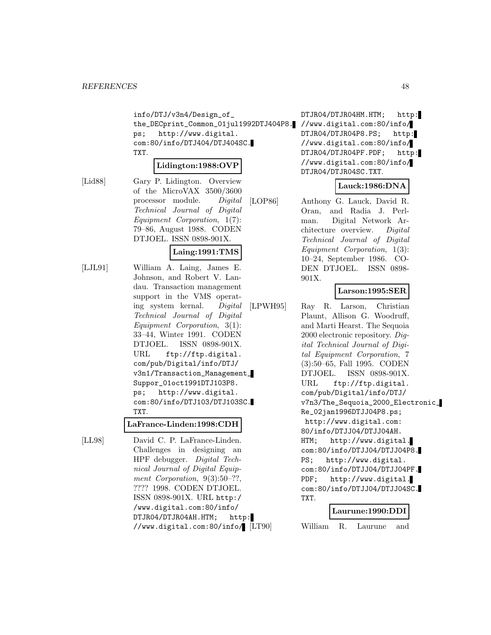info/DTJ/v3n4/Design\_of\_ the\_DECprint\_Common\_01jul1992DTJ404P8. //www.digital.com:80/info/ ps; http://www.digital. com:80/info/DTJ404/DTJ404SC. TXT.

#### **Lidington:1988:OVP**

[Lid88] Gary P. Lidington. Overview of the MicroVAX 3500/3600 processor module. Digital Technical Journal of Digital Equipment Corporation, 1(7): 79–86, August 1988. CODEN DTJOEL. ISSN 0898-901X.

#### **Laing:1991:TMS**

[LJL91] William A. Laing, James E. Johnson, and Robert V. Landau. Transaction management support in the VMS operating system kernal. Digital Technical Journal of Digital Equipment Corporation, 3(1): 33–44, Winter 1991. CODEN DTJOEL. ISSN 0898-901X. URL ftp://ftp.digital. com/pub/Digital/info/DTJ/ v3n1/Transaction\_Management\_ Suppor\_01oct1991DTJ103P8. ps; http://www.digital. com:80/info/DTJ103/DTJ103SC. TXT.

#### **LaFrance-Linden:1998:CDH**

[LL98] David C. P. LaFrance-Linden. Challenges in designing an HPF debugger. Digital Technical Journal of Digital Equipment Corporation,  $9(3):50-$ ??, ???? 1998. CODEN DTJOEL. ISSN 0898-901X. URL http:/ /www.digital.com:80/info/ DTJR04/DTJR04AH.HTM; http: //www.digital.com:80/info/ DTJR04/DTJR04HM.HTM; http: DTJR04/DTJR04P8.PS; http: //www.digital.com:80/info/ DTJR04/DTJR04PF.PDF; http: //www.digital.com:80/info/ DTJR04/DTJR04SC.TXT.

## **Lauck:1986:DNA**

[LOP86] Anthony G. Lauck, David R. Oran, and Radia J. Perlman. Digital Network Architecture overview. Digital Technical Journal of Digital Equipment Corporation, 1(3): 10–24, September 1986. CO-DEN DTJOEL. ISSN 0898- 901X.

# **Larson:1995:SER**

[LPWH95] Ray R. Larson, Christian Plaunt, Allison G. Woodruff, and Marti Hearst. The Sequoia 2000 electronic repository. Digital Technical Journal of Digital Equipment Corporation, 7 (3):50–65, Fall 1995. CODEN DTJOEL. ISSN 0898-901X. URL ftp://ftp.digital. com/pub/Digital/info/DTJ/ v7n3/The\_Sequoia\_2000\_Electronic\_ Re\_02jan1996DTJJ04P8.ps; http://www.digital.com: 80/info/DTJJ04/DTJJ04AH. HTM; http://www.digital. com:80/info/DTJJ04/DTJJ04P8. PS; http://www.digital. com:80/info/DTJJ04/DTJJ04PF. PDF; http://www.digital. com:80/info/DTJJ04/DTJJ04SC. TXT.

#### **Laurune:1990:DDI**

William R. Laurune and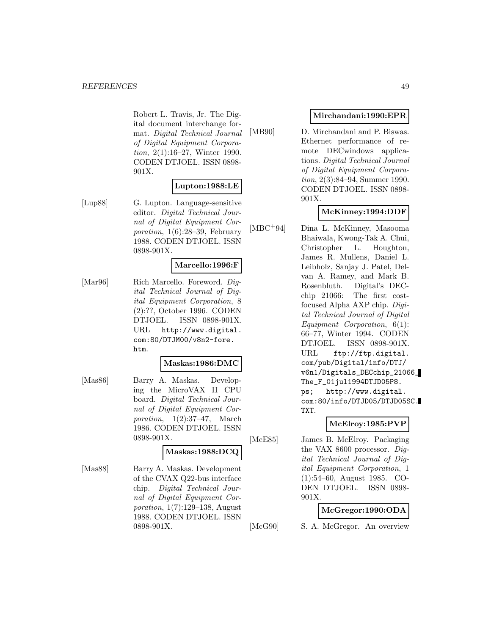Robert L. Travis, Jr. The Digital document interchange format. Digital Technical Journal of Digital Equipment Corporation, 2(1):16–27, Winter 1990. CODEN DTJOEL. ISSN 0898- 901X.

#### **Lupton:1988:LE**

[Lup88] G. Lupton. Language-sensitive editor. Digital Technical Journal of Digital Equipment Corporation, 1(6):28–39, February 1988. CODEN DTJOEL. ISSN 0898-901X.

## **Marcello:1996:F**

[Mar96] Rich Marcello. Foreword. Digital Technical Journal of Digital Equipment Corporation, 8 (2):??, October 1996. CODEN DTJOEL. ISSN 0898-901X. URL http://www.digital. com:80/DTJM00/v8n2-fore. htm.

#### **Maskas:1986:DMC**

[Mas86] Barry A. Maskas. Developing the MicroVAX II CPU board. Digital Technical Journal of Digital Equipment Corporation,  $1(2):37-47$ , March 1986. CODEN DTJOEL. ISSN 0898-901X.

#### **Maskas:1988:DCQ**

[Mas88] Barry A. Maskas. Development of the CVAX Q22-bus interface chip. Digital Technical Journal of Digital Equipment Corporation, 1(7):129–138, August 1988. CODEN DTJOEL. ISSN 0898-901X.

## **Mirchandani:1990:EPR**

[MB90] D. Mirchandani and P. Biswas. Ethernet performance of remote DECwindows applications. Digital Technical Journal of Digital Equipment Corporation, 2(3):84–94, Summer 1990. CODEN DTJOEL. ISSN 0898- 901X.

# **McKinney:1994:DDF**

[MBC<sup>+</sup>94] Dina L. McKinney, Masooma Bhaiwala, Kwong-Tak A. Chui, Christopher L. Houghton, James R. Mullens, Daniel L. Leibholz, Sanjay J. Patel, Delvan A. Ramey, and Mark B. Rosenbluth. Digital's DECchip 21066: The first costfocused Alpha AXP chip. Digital Technical Journal of Digital Equipment Corporation, 6(1): 66–77, Winter 1994. CODEN DTJOEL. ISSN 0898-901X. URL ftp://ftp.digital. com/pub/Digital/info/DTJ/ v6n1/Digitals\_DECchip\_21066\_ The\_F\_01jul1994DTJD05P8. ps; http://www.digital. com:80/info/DTJD05/DTJD05SC. TXT.

# **McElroy:1985:PVP**

[McE85] James B. McElroy. Packaging the VAX 8600 processor. Digital Technical Journal of Digital Equipment Corporation, 1 (1):54–60, August 1985. CO-DEN DTJOEL. ISSN 0898- 901X.

## **McGregor:1990:ODA**

[McG90] S. A. McGregor. An overview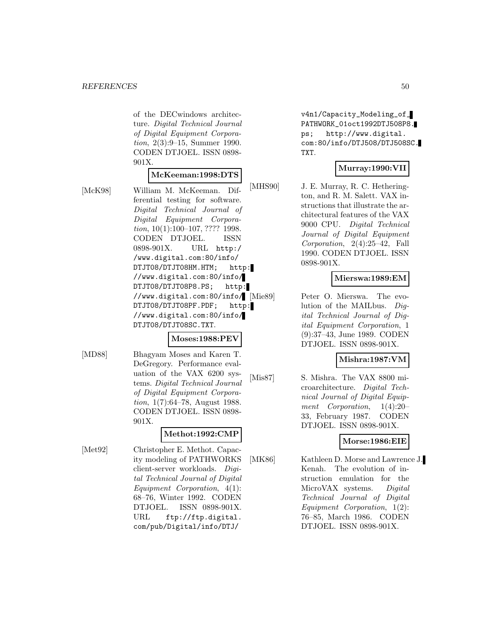of the DECwindows architecture. Digital Technical Journal of Digital Equipment Corporation, 2(3):9–15, Summer 1990. CODEN DTJOEL. ISSN 0898- 901X.

# **McKeeman:1998:DTS**

[McK98] William M. McKeeman. Differential testing for software. Digital Technical Journal of Digital Equipment Corporation, 10(1):100-107, ???? 1998. CODEN DTJOEL. ISSN 0898-901X. URL http:/ /www.digital.com:80/info/ DTJT08/DTJT08HM.HTM; http: //www.digital.com:80/info/ DTJT08/DTJT08P8.PS; http: //www.digital.com:80/info/ DTJT08/DTJT08PF.PDF; http: //www.digital.com:80/info/ DTJT08/DTJT08SC.TXT.

## **Moses:1988:PEV**

[MD88] Bhagyam Moses and Karen T. DeGregory. Performance evaluation of the VAX 6200 systems. Digital Technical Journal of Digital Equipment Corporation, 1(7):64–78, August 1988. CODEN DTJOEL. ISSN 0898- 901X.

## **Methot:1992:CMP**

[Met92] Christopher E. Methot. Capacity modeling of PATHWORKS client-server workloads. Digital Technical Journal of Digital Equipment Corporation, 4(1): 68–76, Winter 1992. CODEN DTJOEL. ISSN 0898-901X. URL ftp://ftp.digital. com/pub/Digital/info/DTJ/

v4n1/Capacity\_Modeling\_of\_ PATHWORK\_01oct1992DTJ508P8. ps; http://www.digital. com:80/info/DTJ508/DTJ508SC. TXT.

## **Murray:1990:VII**

[MHS90] J. E. Murray, R. C. Hetherington, and R. M. Salett. VAX instructions that illustrate the architectural features of the VAX 9000 CPU. Digital Technical Journal of Digital Equipment Corporation, 2(4):25–42, Fall 1990. CODEN DTJOEL. ISSN 0898-901X.

## **Mierswa:1989:EM**

Peter O. Mierswa. The evolution of the MAILbus. Digital Technical Journal of Digital Equipment Corporation, 1 (9):37–43, June 1989. CODEN DTJOEL. ISSN 0898-901X.

#### **Mishra:1987:VM**

[Mis87] S. Mishra. The VAX 8800 microarchitecture. Digital Technical Journal of Digital Equipment Corporation, 1(4):20– 33, February 1987. CODEN DTJOEL. ISSN 0898-901X.

## **Morse:1986:EIE**

[MK86] Kathleen D. Morse and Lawrence J. Kenah. The evolution of instruction emulation for the MicroVAX systems. Digital Technical Journal of Digital Equipment Corporation, 1(2): 76–85, March 1986. CODEN DTJOEL. ISSN 0898-901X.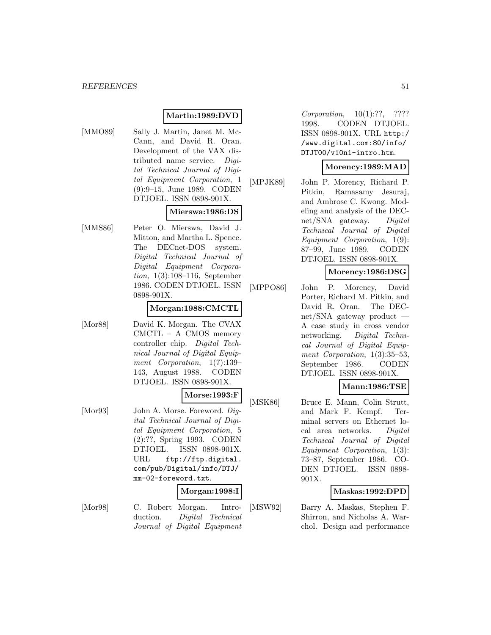# **Martin:1989:DVD**

- 
- [MMO89] Sally J. Martin, Janet M. Mc-Cann, and David R. Oran. Development of the VAX distributed name service. Digital Technical Journal of Digital Equipment Corporation, 1 (9):9–15, June 1989. CODEN DTJOEL. ISSN 0898-901X.

# **Mierswa:1986:DS**

[MMS86] Peter O. Mierswa, David J. Mitton, and Martha L. Spence. The DECnet-DOS system. Digital Technical Journal of Digital Equipment Corporation, 1(3):108–116, September 1986. CODEN DTJOEL. ISSN 0898-901X.

#### **Morgan:1988:CMCTL**

[Mor88] David K. Morgan. The CVAX CMCTL – A CMOS memory controller chip. Digital Technical Journal of Digital Equipment Corporation, 1(7):139– 143, August 1988. CODEN DTJOEL. ISSN 0898-901X.

## **Morse:1993:F**

[Mor93] John A. Morse. Foreword. Diqital Technical Journal of Digital Equipment Corporation, 5 (2):??, Spring 1993. CODEN DTJOEL. ISSN 0898-901X. URL ftp://ftp.digital. com/pub/Digital/info/DTJ/ mm-02-foreword.txt.

#### **Morgan:1998:I**

[Mor98] C. Robert Morgan. Introduction. Digital Technical Journal of Digital Equipment Corporation, 10(1):??, ???? 1998. CODEN DTJOEL. ISSN 0898-901X. URL http:/ /www.digital.com:80/info/ DTJT00/v10n1-intro.htm.

#### **Morency:1989:MAD**

[MPJK89] John P. Morency, Richard P. Pitkin, Ramasamy Jesuraj, and Ambrose C. Kwong. Modeling and analysis of the DECnet/SNA gateway. Digital Technical Journal of Digital Equipment Corporation, 1(9): 87–99, June 1989. CODEN DTJOEL. ISSN 0898-901X.

#### **Morency:1986:DSG**

[MPPO86] John P. Morency, David Porter, Richard M. Pitkin, and David R. Oran. The DECnet/SNA gateway product — A case study in cross vendor networking. Digital Technical Journal of Digital Equipment Corporation, 1(3):35–53, September 1986. CODEN DTJOEL. ISSN 0898-901X.

## **Mann:1986:TSE**

[MSK86] Bruce E. Mann, Colin Strutt, and Mark F. Kempf. Terminal servers on Ethernet local area networks. Digital Technical Journal of Digital Equipment Corporation, 1(3): 73–87, September 1986. CO-DEN DTJOEL. ISSN 0898- 901X.

#### **Maskas:1992:DPD**

[MSW92] Barry A. Maskas, Stephen F. Shirron, and Nicholas A. Warchol. Design and performance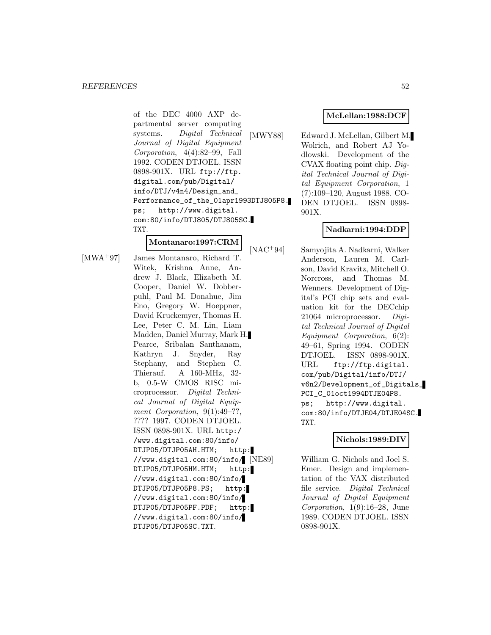of the DEC 4000 AXP departmental server computing systems. Digital Technical Journal of Digital Equipment Corporation, 4(4):82–99, Fall 1992. CODEN DTJOEL. ISSN 0898-901X. URL ftp://ftp. digital.com/pub/Digital/ info/DTJ/v4n4/Design\_and\_ Performance\_of\_the\_01apr1993DTJ805P8. ps; http://www.digital. com:80/info/DTJ805/DTJ805SC. TXT.

## **Montanaro:1997:CRM**

[MWA<sup>+</sup>97] James Montanaro, Richard T. Witek, Krishna Anne, Andrew J. Black, Elizabeth M. Cooper, Daniel W. Dobberpuhl, Paul M. Donahue, Jim Eno, Gregory W. Hoeppner, David Kruckemyer, Thomas H. Lee, Peter C. M. Lin, Liam Madden, Daniel Murray, Mark H. Pearce, Sribalan Santhanam, Kathryn J. Snyder, Ray Stephany, and Stephen C. Thierauf. A 160-MHz, 32 b, 0.5-W CMOS RISC microprocessor. Digital Technical Journal of Digital Equipment Corporation,  $9(1):49-??$ , ???? 1997. CODEN DTJOEL. ISSN 0898-901X. URL http:/ /www.digital.com:80/info/ DTJP05/DTJP05AH.HTM; http: //www.digital.com:80/info/ DTJP05/DTJP05HM.HTM; http: //www.digital.com:80/info/ DTJP05/DTJP05P8.PS; http: //www.digital.com:80/info/ DTJP05/DTJP05PF.PDF; http: //www.digital.com:80/info/ DTJP05/DTJP05SC.TXT.

## **McLellan:1988:DCF**

[MWY88] Edward J. McLellan, Gilbert M. Wolrich, and Robert AJ Yodlowski. Development of the CVAX floating point chip. Digital Technical Journal of Digital Equipment Corporation, 1 (7):109–120, August 1988. CO-DEN DTJOEL. ISSN 0898- 901X.

# **Nadkarni:1994:DDP**

[NAC<sup>+</sup>94] Samyojita A. Nadkarni, Walker Anderson, Lauren M. Carlson, David Kravitz, Mitchell O. Norcross, and Thomas M. Wenners. Development of Digital's PCI chip sets and evaluation kit for the DECchip 21064 microprocessor. Digital Technical Journal of Digital Equipment Corporation, 6(2): 49–61, Spring 1994. CODEN DTJOEL. ISSN 0898-901X. URL ftp://ftp.digital. com/pub/Digital/info/DTJ/ v6n2/Development\_of\_Digitals\_ PCI\_C\_01oct1994DTJE04P8. ps; http://www.digital. com:80/info/DTJE04/DTJE04SC. TXT.

## **Nichols:1989:DIV**

William G. Nichols and Joel S. Emer. Design and implementation of the VAX distributed file service. Digital Technical Journal of Digital Equipment Corporation, 1(9):16–28, June 1989. CODEN DTJOEL. ISSN 0898-901X.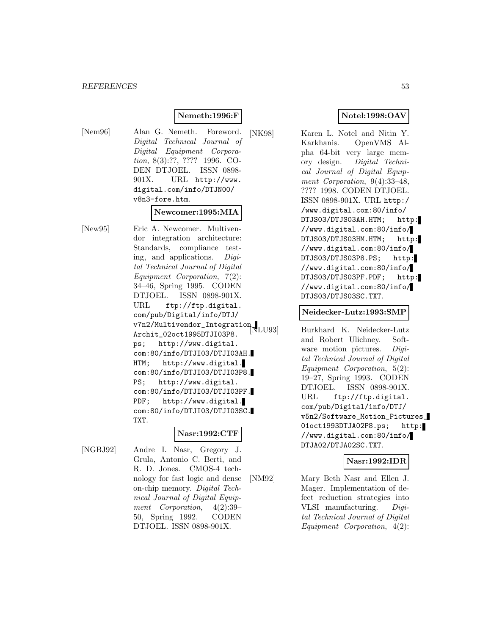## **Nemeth:1996:F**

[Nem96] Alan G. Nemeth. Foreword. Digital Technical Journal of Digital Equipment Corporation, 8(3):??, ???? 1996. CO-DEN DTJOEL. ISSN 0898- 901X. URL http://www. digital.com/info/DTJN00/ v8n3-fore.htm.

#### **Newcomer:1995:MIA**

[New95] Eric A. Newcomer. Multivendor integration architecture: Standards, compliance testing, and applications. Digital Technical Journal of Digital Equipment Corporation, 7(2): 34–46, Spring 1995. CODEN DTJOEL. ISSN 0898-901X. URL ftp://ftp.digital. com/pub/Digital/info/DTJ/ v7n2/Multivendor\_Integration\_ Archit\_02oct1995DTJI03P8. ps; http://www.digital. com:80/info/DTJI03/DTJI03AH. HTM; http://www.digital. com:80/info/DTJI03/DTJI03P8. PS; http://www.digital. com:80/info/DTJI03/DTJI03PF. PDF; http://www.digital. com:80/info/DTJI03/DTJI03SC. TXT.

## **Nasr:1992:CTF**

[NGBJ92] Andre I. Nasr, Gregory J. Grula, Antonio C. Berti, and R. D. Jones. CMOS-4 technology for fast logic and dense on-chip memory. Digital Technical Journal of Digital Equipment Corporation, 4(2):39– 50, Spring 1992. CODEN DTJOEL. ISSN 0898-901X.

## **Notel:1998:OAV**

[NK98] Karen L. Notel and Nitin Y. Karkhanis. OpenVMS Alpha 64-bit very large memory design. Digital Technical Journal of Digital Equipment Corporation, 9(4):33–48, ???? 1998. CODEN DTJOEL. ISSN 0898-901X. URL http:/ /www.digital.com:80/info/ DTJS03/DTJS03AH.HTM; http: //www.digital.com:80/info/ DTJS03/DTJS03HM.HTM; http: //www.digital.com:80/info/ DTJS03/DTJS03P8.PS; http: //www.digital.com:80/info/ DTJS03/DTJS03PF.PDF; http: //www.digital.com:80/info/ DTJS03/DTJS03SC.TXT.

#### **Neidecker-Lutz:1993:SMP**

Burkhard K. Neidecker-Lutz and Robert Ulichney. Software motion pictures. Digital Technical Journal of Digital Equipment Corporation, 5(2): 19–27, Spring 1993. CODEN DTJOEL. ISSN 0898-901X. URL ftp://ftp.digital. com/pub/Digital/info/DTJ/ v5n2/Software\_Motion\_Pictures\_ 01oct1993DTJA02P8.ps; http: //www.digital.com:80/info/ DTJA02/DTJA02SC.TXT.

#### **Nasr:1992:IDR**

[NM92] Mary Beth Nasr and Ellen J. Mager. Implementation of defect reduction strategies into VLSI manufacturing. Digital Technical Journal of Digital Equipment Corporation, 4(2):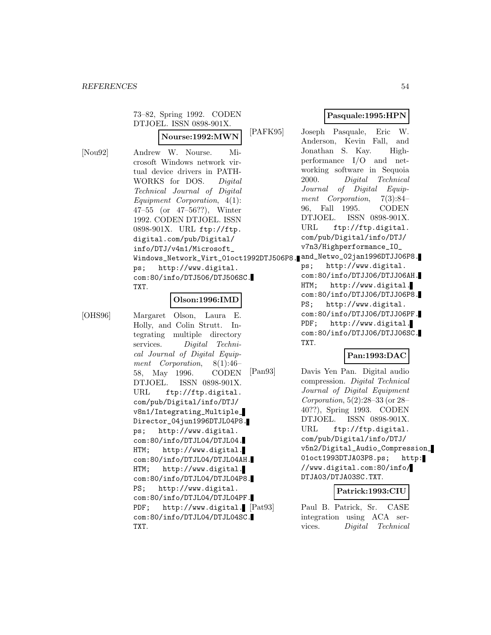|                                | 73-82, Spring 1992. CODEN<br>DTJOEL. ISSN 0898-901X.                                                                                                                                                                                                                                                                                                                                                                                                                                   | $\mathbf{P}$ a                                                                                                                                                                                      |
|--------------------------------|----------------------------------------------------------------------------------------------------------------------------------------------------------------------------------------------------------------------------------------------------------------------------------------------------------------------------------------------------------------------------------------------------------------------------------------------------------------------------------------|-----------------------------------------------------------------------------------------------------------------------------------------------------------------------------------------------------|
|                                | [PAFK95]<br>Nourse:1992:MWN                                                                                                                                                                                                                                                                                                                                                                                                                                                            | Joseph I<br>Anderson.                                                                                                                                                                               |
| $\lbrack \text{Nou92} \rbrack$ | Andrew W. Nourse.<br>Mi-<br>crosoft Windows network vir-<br>tual device drivers in PATH-<br>WORKS for DOS.<br>Diqital<br>Technical Journal of Digital<br>$Equipment$ Corporation, $4(1)$ :<br>47-55 (or $47-56$ ??), Winter<br>1992. CODEN DTJOEL. ISSN<br>0898-901X. URL ftp://ftp.<br>digital.com/pub/Digital/<br>info/DTJ/v4n1/Microsoft_<br>Windows_Network_Virt_01oct1992DTJ506P8. and_Netw<br>ps; http://www.digital.<br>com: 80/info/DTJ506/DTJ506SC.<br>TXT.<br>Olson:1996:IMD | Jonathan<br>performar<br>working<br>2000.<br>Journal<br>ment Co<br>96.<br>Fall<br>DTJOEL.<br>URL<br>$\text{com}/\text{pub}/\text{D}$<br>v7n3/Hig<br>ht<br>ps;<br>com:80/i<br>HTM:<br>h.<br>com:80/i |
|                                |                                                                                                                                                                                                                                                                                                                                                                                                                                                                                        | . הח<br>$h +$                                                                                                                                                                                       |

[OHS96] Margaret Olson, Laura E. Holly, and Colin Strutt. Integrating multiple directory services. Digital Technical Journal of Digital Equipment Corporation, 8(1):46– 58, May 1996. CODEN DTJOEL. ISSN 0898-901X. URL ftp://ftp.digital. com/pub/Digital/info/DTJ/ v8n1/Integrating\_Multiple\_ Director\_04jun1996DTJL04P8. ps; http://www.digital. com:80/info/DTJL04/DTJL04. HTM; http://www.digital. com:80/info/DTJL04/DTJL04AH. HTM; http://www.digital. com:80/info/DTJL04/DTJL04P8. PS; http://www.digital. com:80/info/DTJL04/DTJL04PF. PDF; http://www.digital. [Pat93] com:80/info/DTJL04/DTJL04SC. TXT.

## **Pasquale:1995:HPN**

Pasquale, Eric W. Kevin Fall, and S. Kay. Highnce  $I/O$  and netsoftware in Sequoia Digital Technical  $of$  Digital Equipproporation,  $7(3):84-$ 1995. CODEN ISSN 0898-901X. ftp://ftp.digital. Digital/info/DTJ/ hperformance\_IO\_  $\circ$ \_02jan1996DTJJ06P8.

tp://www.digital. nfo/DTJJ06/DTJJ06AH. ttp://www.digital. nfo/DTJJ06/DTJJ06P8. PS; http://www.digital. com:80/info/DTJJ06/DTJJ06PF. PDF; http://www.digital. com:80/info/DTJJ06/DTJJ06SC. TXT.

#### **Pan:1993:DAC**

[Pan93] Davis Yen Pan. Digital audio compression. Digital Technical Journal of Digital Equipment Corporation, 5(2):28–33 (or 28– 40??), Spring 1993. CODEN DTJOEL. ISSN 0898-901X. URL ftp://ftp.digital. com/pub/Digital/info/DTJ/ v5n2/Digital\_Audio\_Compression\_ 01oct1993DTJA03P8.ps; http: //www.digital.com:80/info/ DTJA03/DTJA03SC.TXT.

## **Patrick:1993:CIU**

Paul B. Patrick, Sr. CASE integration using ACA services. Digital Technical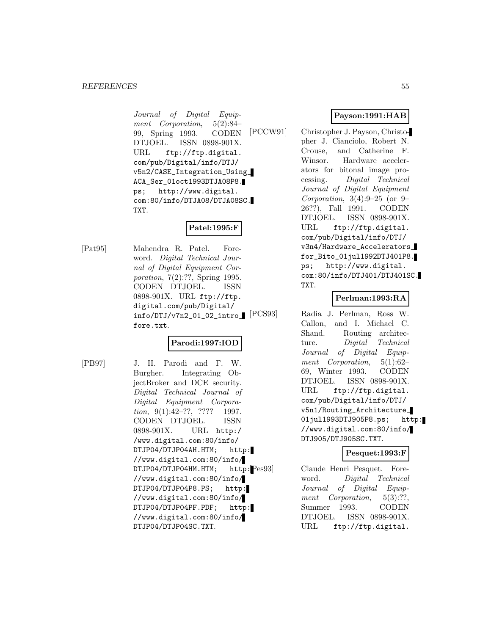Journal of Digital Equipment Corporation, 5(2):84– 99, Spring 1993. CODEN DTJOEL. ISSN 0898-901X. URL ftp://ftp.digital. com/pub/Digital/info/DTJ/ v5n2/CASE\_Integration\_Using\_ ACA\_Ser\_01oct1993DTJA08P8. ps; http://www.digital. com:80/info/DTJA08/DTJA08SC. TXT.

# **Patel:1995:F**

[Pat95] Mahendra R. Patel. Foreword. Digital Technical Journal of Digital Equipment Corporation, 7(2):??, Spring 1995. CODEN DTJOEL. ISSN 0898-901X. URL ftp://ftp. digital.com/pub/Digital/ info/DTJ/v7n2\_01\_02\_intro\_ fore.txt.

# **Parodi:1997:IOD**

[PB97] J. H. Parodi and F. W. Burgher. Integrating ObjectBroker and DCE security. Digital Technical Journal of Digital Equipment Corporation, 9(1):42-??, ???? 1997. CODEN DTJOEL. ISSN 0898-901X. URL http:/ /www.digital.com:80/info/ DTJP04/DTJP04AH.HTM; http: //www.digital.com:80/info/ DTJP04/DTJP04HM.HTM; http:Pes93 //www.digital.com:80/info/ DTJP04/DTJP04P8.PS; http: //www.digital.com:80/info/ DTJP04/DTJP04PF.PDF; http: //www.digital.com:80/info/ DTJP04/DTJP04SC.TXT.

# **Payson:1991:HAB**

[PCCW91] Christopher J. Payson, Christopher J. Cianciolo, Robert N. Crouse, and Catherine F. Winsor. Hardware accelerators for bitonal image processing. Digital Technical Journal of Digital Equipment *Corporation*,  $3(4):9-25$  (or 9-26??), Fall 1991. CODEN DTJOEL. ISSN 0898-901X. URL ftp://ftp.digital. com/pub/Digital/info/DTJ/ v3n4/Hardware\_Accelerators\_ for\_Bito\_01jul1992DTJ401P8. ps; http://www.digital. com:80/info/DTJ401/DTJ401SC. TXT.

# **Perlman:1993:RA**

Radia J. Perlman, Ross W. Callon, and I. Michael C. Shand. Routing architecture. Digital Technical Journal of Digital Equipment Corporation, 5(1):62– 69, Winter 1993. CODEN DTJOEL. ISSN 0898-901X. URL ftp://ftp.digital. com/pub/Digital/info/DTJ/ v5n1/Routing\_Architecture\_ 01jul1993DTJ905P8.ps; http: //www.digital.com:80/info/ DTJ905/DTJ905SC.TXT.

#### **Pesquet:1993:F**

Claude Henri Pesquet. Foreword. Digital Technical Journal of Digital Equipment Corporation, 5(3):??, Summer 1993. CODEN DTJOEL. ISSN 0898-901X. URL ftp://ftp.digital.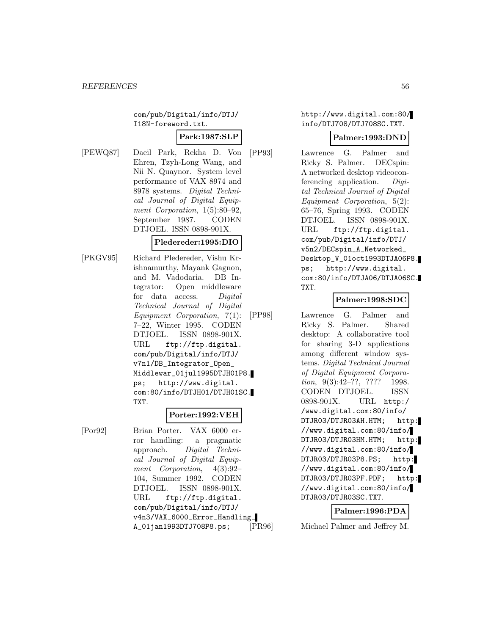com/pub/Digital/info/DTJ/ I18N-foreword.txt.

#### **Park:1987:SLP**

[PEWQ87] Daeil Park, Rekha D. Von Ehren, Tzyh-Long Wang, and Nii N. Quaynor. System level performance of VAX 8974 and 8978 systems. Digital Technical Journal of Digital Equipment Corporation, 1(5):80–92, September 1987. CODEN DTJOEL. ISSN 0898-901X.

## **Pledereder:1995:DIO**

[PKGV95] Richard Pledereder, Vishu Krishnamurthy, Mayank Gagnon, and M. Vadodaria. DB Integrator: Open middleware for data access. Digital Technical Journal of Digital Equipment Corporation, 7(1): 7–22, Winter 1995. CODEN DTJOEL. ISSN 0898-901X. URL ftp://ftp.digital. com/pub/Digital/info/DTJ/ v7n1/DB\_Integrator\_Open\_ Middlewar\_01jul1995DTJH01P8. ps; http://www.digital. com:80/info/DTJH01/DTJH01SC. TXT.

## **Porter:1992:VEH**

[Por92] Brian Porter. VAX 6000 error handling: a pragmatic approach. Digital Technical Journal of Digital Equipment Corporation, 4(3):92– 104, Summer 1992. CODEN DTJOEL. ISSN 0898-901X. URL ftp://ftp.digital. com/pub/Digital/info/DTJ/ v4n3/VAX\_6000\_Error\_Handling\_ A\_01jan1993DTJ708P8.ps;

http://www.digital.com:80/ info/DTJ708/DTJ708SC.TXT.

#### **Palmer:1993:DND**

[PP93] Lawrence G. Palmer and Ricky S. Palmer. DECspin: A networked desktop videoconferencing application. Digital Technical Journal of Digital Equipment Corporation, 5(2): 65–76, Spring 1993. CODEN DTJOEL. ISSN 0898-901X. URL ftp://ftp.digital. com/pub/Digital/info/DTJ/ v5n2/DECspin\_A\_Networked\_ Desktop\_V\_01oct1993DTJA06P8. ps; http://www.digital. com:80/info/DTJA06/DTJA06SC. TXT.

## **Palmer:1998:SDC**

[PP98] Lawrence G. Palmer and Ricky S. Palmer. Shared desktop: A collaborative tool for sharing 3-D applications among different window systems. Digital Technical Journal of Digital Equipment Corporation, 9(3):42–??, ???? 1998. CODEN DTJOEL. ISSN 0898-901X. URL http:/ /www.digital.com:80/info/ DTJR03/DTJR03AH.HTM; http: //www.digital.com:80/info/ DTJR03/DTJR03HM.HTM; http: //www.digital.com:80/info/ DTJR03/DTJR03P8.PS; http: //www.digital.com:80/info/ DTJR03/DTJR03PF.PDF; http: //www.digital.com:80/info/ DTJR03/DTJR03SC.TXT.

#### **Palmer:1996:PDA**

[PR96] Michael Palmer and Jeffrey M.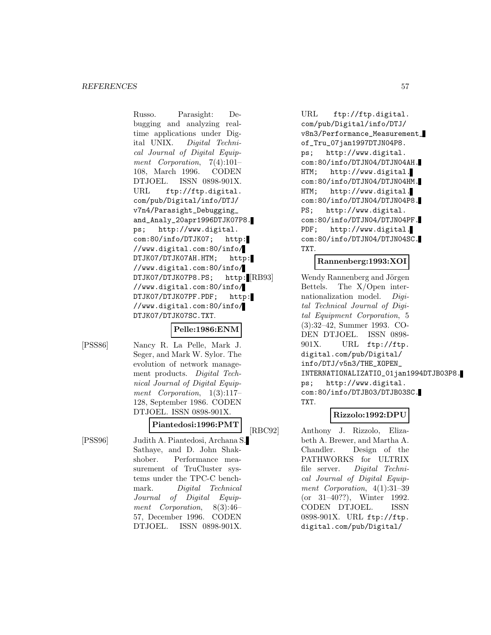Russo. Parasight: Debugging and analyzing realtime applications under Digital UNIX. Digital Technical Journal of Digital Equipment Corporation, 7(4):101– 108, March 1996. CODEN DTJOEL. ISSN 0898-901X. URL ftp://ftp.digital. com/pub/Digital/info/DTJ/ v7n4/Parasight\_Debugging\_ and\_Analy\_20apr1996DTJK07P8. ps; http://www.digital. com:80/info/DTJK07; http: //www.digital.com:80/info/ DTJK07/DTJK07AH.HTM; http: //www.digital.com:80/info/ DTJK07/DTJK07P8.PS; http: RB93 //www.digital.com:80/info/ DTJK07/DTJK07PF.PDF; http: //www.digital.com:80/info/ DTJK07/DTJK07SC.TXT.

## **Pelle:1986:ENM**

[PSS86] Nancy R. La Pelle, Mark J. Seger, and Mark W. Sylor. The evolution of network management products. Digital Technical Journal of Digital Equipment Corporation, 1(3):117– 128, September 1986. CODEN DTJOEL. ISSN 0898-901X.

## **Piantedosi:1996:PMT**

[PSS96] Judith A. Piantedosi, Archana S. Sathaye, and D. John Shakshober. Performance measurement of TruCluster systems under the TPC-C benchmark. Digital Technical Journal of Digital Equipment Corporation, 8(3):46– 57, December 1996. CODEN DTJOEL. ISSN 0898-901X.

URL ftp://ftp.digital. com/pub/Digital/info/DTJ/ v8n3/Performance\_Measurement\_ of\_Tru\_07jan1997DTJN04P8. ps; http://www.digital. com:80/info/DTJN04/DTJN04AH. HTM; http://www.digital. com:80/info/DTJN04/DTJN04HM. HTM; http://www.digital. com:80/info/DTJN04/DTJN04P8. PS; http://www.digital. com:80/info/DTJN04/DTJN04PF. PDF; http://www.digital. com:80/info/DTJN04/DTJN04SC. TXT.

## **Rannenberg:1993:XOI**

Wendy Rannenberg and Jörgen Bettels. The X/Open internationalization model. Digital Technical Journal of Digital Equipment Corporation, 5 (3):32–42, Summer 1993. CO-DEN DTJOEL. ISSN 0898- 901X. URL ftp://ftp. digital.com/pub/Digital/ info/DTJ/v5n3/THE\_XOPEN\_ INTERNATIONALIZATIO\_01jan1994DTJB03P8. ps; http://www.digital. com:80/info/DTJB03/DTJB03SC. TXT.

## **Rizzolo:1992:DPU**

[RBC92] Anthony J. Rizzolo, Elizabeth A. Brewer, and Martha A. Chandler. Design of the PATHWORKS for ULTRIX file server. Digital Technical Journal of Digital Equipment Corporation, 4(1):31–39 (or 31–40??), Winter 1992. CODEN DTJOEL. ISSN 0898-901X. URL ftp://ftp. digital.com/pub/Digital/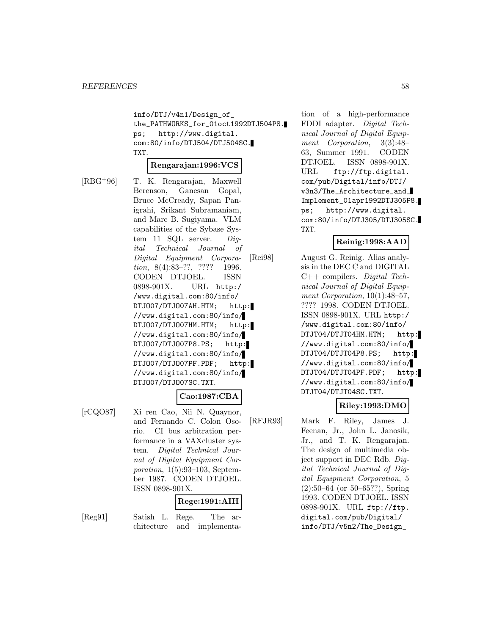info/DTJ/v4n1/Design\_of\_ the\_PATHWORKS\_for\_01oct1992DTJ504P8. ps; http://www.digital. com:80/info/DTJ504/DTJ504SC. TXT.

#### **Rengarajan:1996:VCS**

[RBG<sup>+</sup>96] T. K. Rengarajan, Maxwell Berenson, Ganesan Gopal, Bruce McCready, Sapan Panigrahi, Srikant Subramaniam, and Marc B. Sugiyama. VLM capabilities of the Sybase System 11 SQL server. Digital Technical Journal of Digital Equipment Corporation, 8(4):83–??, ???? 1996. CODEN DTJOEL. ISSN 0898-901X. URL http:/ /www.digital.com:80/info/ DTJO07/DTJO07AH.HTM; http: //www.digital.com:80/info/ DTJO07/DTJO07HM.HTM; http: //www.digital.com:80/info/ DTJO07/DTJO07P8.PS; http: //www.digital.com:80/info/ DTJO07/DTJO07PF.PDF; http: //www.digital.com:80/info/ DTJO07/DTJO07SC.TXT.

## **Cao:1987:CBA**

[rCQO87] Xi ren Cao, Nii N. Quaynor, and Fernando C. Colon Osorio. CI bus arbitration performance in a VAXcluster system. Digital Technical Journal of Digital Equipment Corporation, 1(5):93–103, September 1987. CODEN DTJOEL. ISSN 0898-901X.

# **Rege:1991:AIH**

[Reg91] Satish L. Rege. The architecture and implementation of a high-performance FDDI adapter. Digital Technical Journal of Digital Equipment Corporation, 3(3):48– 63, Summer 1991. CODEN DTJOEL. ISSN 0898-901X. URL ftp://ftp.digital. com/pub/Digital/info/DTJ/ v3n3/The\_Architecture\_and\_ Implement\_01apr1992DTJ305P8. ps; http://www.digital. com:80/info/DTJ305/DTJ305SC. TXT.

# **Reinig:1998:AAD**

[Rei98] August G. Reinig. Alias analysis in the DEC C and DIGITAL C++ compilers. Digital Technical Journal of Digital Equipment Corporation,  $10(1):48-57$ , ???? 1998. CODEN DTJOEL. ISSN 0898-901X. URL http:/ /www.digital.com:80/info/ DTJT04/DTJT04HM.HTM; http: //www.digital.com:80/info/ DTJT04/DTJT04P8.PS; http: //www.digital.com:80/info/ DTJT04/DTJT04PF.PDF; http: //www.digital.com:80/info/ DTJT04/DTJT04SC.TXT.

## **Riley:1993:DMO**

[RFJR93] Mark F. Riley, James J. Feenan, Jr., John L. Janosik, Jr., and T. K. Rengarajan. The design of multimedia object support in DEC Rdb. Digital Technical Journal of Digital Equipment Corporation, 5 (2):50–64 (or 50–65??), Spring 1993. CODEN DTJOEL. ISSN 0898-901X. URL ftp://ftp. digital.com/pub/Digital/ info/DTJ/v5n2/The\_Design\_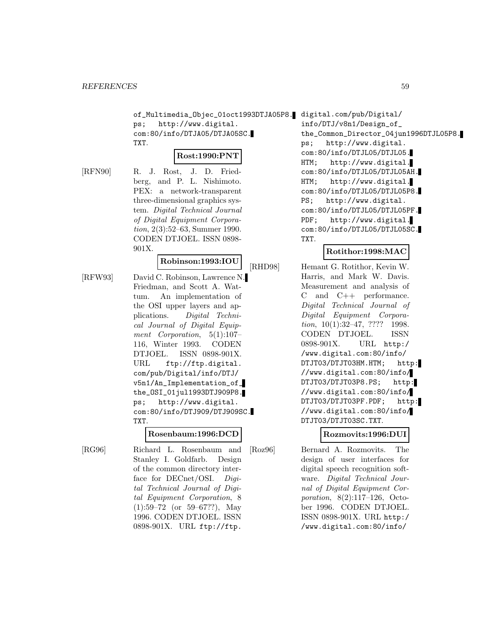of\_Multimedia\_Objec\_01oct1993DTJA05P8. digital.com/pub/Digital/ ps; http://www.digital. com:80/info/DTJA05/DTJA05SC. TXT.

#### **Rost:1990:PNT**

[RFN90] R. J. Rost, J. D. Friedberg, and P. L. Nishimoto. PEX: a network-transparent three-dimensional graphics system. Digital Technical Journal of Digital Equipment Corporation, 2(3):52–63, Summer 1990. CODEN DTJOEL. ISSN 0898- 901X.

#### **Robinson:1993:IOU**

[RFW93] David C. Robinson, Lawrence N. Friedman, and Scott A. Wattum. An implementation of the OSI upper layers and applications. Digital Technical Journal of Digital Equipment Corporation, 5(1):107– 116, Winter 1993. CODEN DTJOEL. ISSN 0898-901X. URL ftp://ftp.digital. com/pub/Digital/info/DTJ/ v5n1/An\_Implementation\_of\_ the\_OSI\_01jul1993DTJ909P8. ps; http://www.digital. com:80/info/DTJ909/DTJ909SC. TXT.

#### **Rosenbaum:1996:DCD**

[RG96] Richard L. Rosenbaum and Stanley I. Goldfarb. Design of the common directory interface for DECnet/OSI. Digital Technical Journal of Digital Equipment Corporation, 8 (1):59–72 (or 59–67??), May 1996. CODEN DTJOEL. ISSN 0898-901X. URL ftp://ftp.

```
info/DTJ/v8n1/Design_of_
the_Common_Director_04jun1996DTJL05P8.
ps; http://www.digital.
com:80/info/DTJL05/DTJL05.
HTM; http://www.digital.
com:80/info/DTJL05/DTJL05AH.
HTM; http://www.digital.
com:80/info/DTJL05/DTJL05P8.
PS; http://www.digital.
com:80/info/DTJL05/DTJL05PF.
PDF; http://www.digital.
com:80/info/DTJL05/DTJL05SC.
TXT.
```
#### **Rotithor:1998:MAC**

[RHD98] Hemant G. Rotithor, Kevin W. Harris, and Mark W. Davis. Measurement and analysis of C and C++ performance. Digital Technical Journal of Digital Equipment Corporation, 10(1):32–47, ???? 1998. CODEN DTJOEL. ISSN 0898-901X. URL http:/ /www.digital.com:80/info/ DTJT03/DTJT03HM.HTM; http: //www.digital.com:80/info/ DTJT03/DTJT03P8.PS; http: //www.digital.com:80/info/ DTJT03/DTJT03PF.PDF; http: //www.digital.com:80/info/ DTJT03/DTJT03SC.TXT.

#### **Rozmovits:1996:DUI**

[Roz96] Bernard A. Rozmovits. The design of user interfaces for digital speech recognition software. Digital Technical Journal of Digital Equipment Corporation, 8(2):117–126, October 1996. CODEN DTJOEL. ISSN 0898-901X. URL http:/ /www.digital.com:80/info/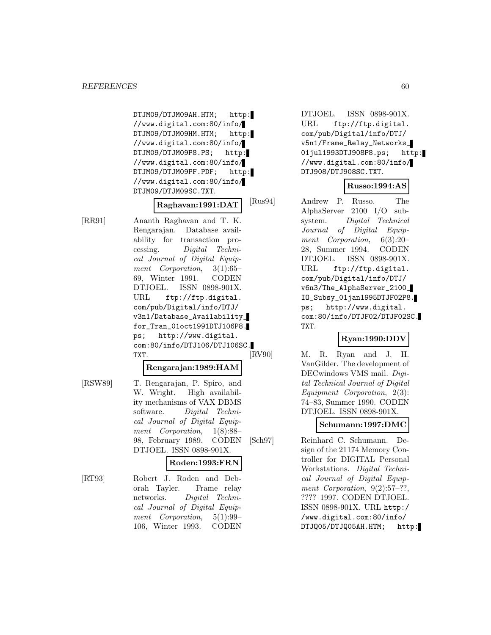DTJM09/DTJM09AH.HTM; http: //www.digital.com:80/info/ DTJM09/DTJM09HM.HTM; http: //www.digital.com:80/info/ DTJM09/DTJM09P8.PS; http: //www.digital.com:80/info/ DTJM09/DTJM09PF.PDF; http: //www.digital.com:80/info/ DTJM09/DTJM09SC.TXT.

# **Raghavan:1991:DAT**

[RR91] Ananth Raghavan and T. K. Rengarajan. Database availability for transaction processing. Digital Technical Journal of Digital Equipment Corporation, 3(1):65– 69, Winter 1991. CODEN DTJOEL. ISSN 0898-901X. URL ftp://ftp.digital. com/pub/Digital/info/DTJ/ v3n1/Database\_Availability\_ for\_Tran\_01oct1991DTJ106P8. ps; http://www.digital. com:80/info/DTJ106/DTJ106SC. TXT.

#### **Rengarajan:1989:HAM**

[RSW89] T. Rengarajan, P. Spiro, and W. Wright. High availability mechanisms of VAX DBMS software. Digital Technical Journal of Digital Equipment Corporation, 1(8):88– 98, February 1989. CODEN DTJOEL. ISSN 0898-901X.

# **Roden:1993:FRN**

[RT93] Robert J. Roden and Deborah Tayler. Frame relay networks. Digital Technical Journal of Digital Equipment Corporation, 5(1):99– 106, Winter 1993. CODEN DTJOEL. ISSN 0898-901X. URL ftp://ftp.digital. com/pub/Digital/info/DTJ/ v5n1/Frame\_Relay\_Networks\_ 01jul1993DTJ908P8.ps; http: //www.digital.com:80/info/ DTJ908/DTJ908SC.TXT.

## **Russo:1994:AS**

[Rus94] Andrew P. Russo. The AlphaServer 2100 I/O subsystem. Digital Technical Journal of Digital Equipment Corporation, 6(3):20– 28, Summer 1994. CODEN DTJOEL. ISSN 0898-901X. URL ftp://ftp.digital. com/pub/Digital/info/DTJ/ v6n3/The\_AlphaServer\_2100\_ IO\_Subsy\_01jan1995DTJF02P8. ps; http://www.digital. com:80/info/DTJF02/DTJF02SC. TXT.

# **Ryan:1990:DDV**

[RV90] M. R. Ryan and J. H. VanGilder. The development of DECwindows VMS mail. Digital Technical Journal of Digital Equipment Corporation, 2(3): 74–83, Summer 1990. CODEN DTJOEL. ISSN 0898-901X.

## **Schumann:1997:DMC**

[Sch97] Reinhard C. Schumann. Design of the 21174 Memory Controller for DIGITAL Personal Workstations. Digital Technical Journal of Digital Equipment Corporation,  $9(2):57-??$ , ???? 1997. CODEN DTJOEL. ISSN 0898-901X. URL http:/ /www.digital.com:80/info/ DTJQ05/DTJQ05AH.HTM; http: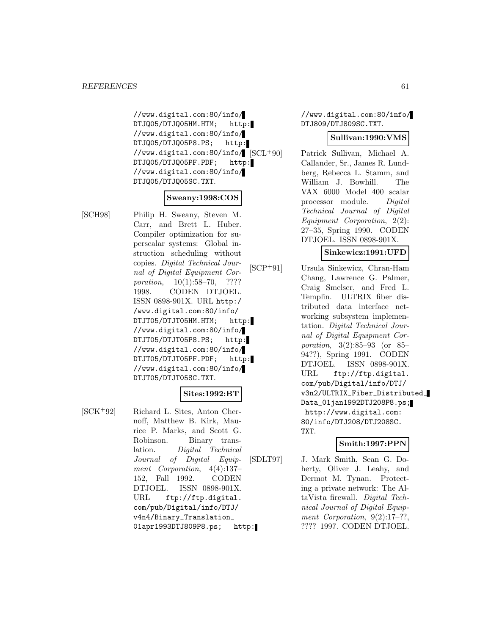//www.digital.com:80/info/ DTJQ05/DTJQ05HM.HTM; http: //www.digital.com:80/info/ DTJQ05/DTJQ05P8.PS; http: //www.digital.com:80/info/  $|SCL+90|$ DTJQ05/DTJQ05PF.PDF; http: //www.digital.com:80/info/ DTJQ05/DTJQ05SC.TXT.

## **Sweany:1998:COS**

[SCH98] Philip H. Sweany, Steven M. Carr, and Brett L. Huber. Compiler optimization for superscalar systems: Global instruction scheduling without copies. Digital Technical Journal of Digital Equipment Corporation, 10(1):58–70, ???? 1998. CODEN DTJOEL. ISSN 0898-901X. URL http:/ /www.digital.com:80/info/ DTJT05/DTJT05HM.HTM; http: //www.digital.com:80/info/ DTJT05/DTJT05P8.PS; http: //www.digital.com:80/info/ DTJT05/DTJT05PF.PDF; http: //www.digital.com:80/info/ DTJT05/DTJT05SC.TXT.

## **Sites:1992:BT**

[SCK<sup>+</sup>92] Richard L. Sites, Anton Chernoff, Matthew B. Kirk, Maurice P. Marks, and Scott G. Robinson. Binary translation. Digital Technical Journal of Digital Equipment Corporation, 4(4):137– 152, Fall 1992. CODEN DTJOEL. ISSN 0898-901X. URL ftp://ftp.digital. com/pub/Digital/info/DTJ/ v4n4/Binary\_Translation\_ 01apr1993DTJ809P8.ps; http: //www.digital.com:80/info/ DTJ809/DTJ809SC.TXT.

#### **Sullivan:1990:VMS**

Patrick Sullivan, Michael A. Callander, Sr., James R. Lundberg, Rebecca L. Stamm, and William J. Bowhill. The VAX 6000 Model 400 scalar processor module. Digital Technical Journal of Digital Equipment Corporation, 2(2): 27–35, Spring 1990. CODEN DTJOEL. ISSN 0898-901X.

#### **Sinkewicz:1991:UFD**

[SCP<sup>+</sup>91] Ursula Sinkewicz, Chran-Ham Chang, Lawrence G. Palmer, Craig Smelser, and Fred L. Templin. ULTRIX fiber distributed data interface networking subsystem implementation. Digital Technical Journal of Digital Equipment Corporation, 3(2):85–93 (or 85– 94??), Spring 1991. CODEN DTJOEL. ISSN 0898-901X. URL ftp://ftp.digital. com/pub/Digital/info/DTJ/ v3n2/ULTRIX\_Fiber\_Distributed\_ Data\_01jan1992DTJ208P8.ps; http://www.digital.com: 80/info/DTJ208/DTJ208SC. TXT.

#### **Smith:1997:PPN**

[SDLT97] J. Mark Smith, Sean G. Doherty, Oliver J. Leahy, and Dermot M. Tynan. Protecting a private network: The AltaVista firewall. Digital Technical Journal of Digital Equipment Corporation,  $9(2):17-?$ ?, ???? 1997. CODEN DTJOEL.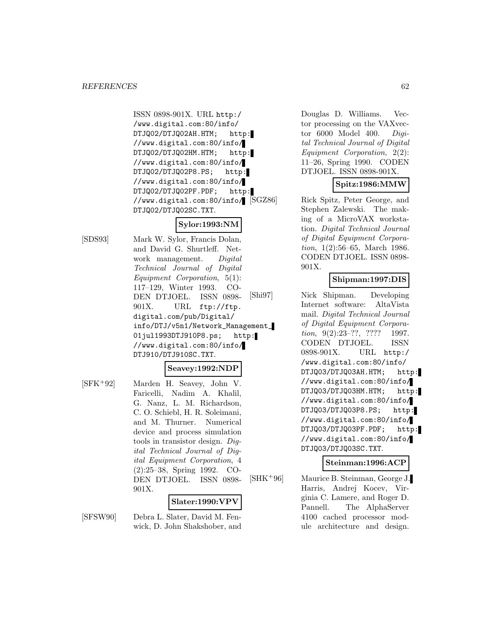ISSN 0898-901X. URL http:/ /www.digital.com:80/info/ DTJQ02/DTJQ02AH.HTM; http: //www.digital.com:80/info/ DTJQ02/DTJQ02HM.HTM; http: //www.digital.com:80/info/ DTJQ02/DTJQ02P8.PS; http: //www.digital.com:80/info/ DTJQ02/DTJQ02PF.PDF; http: //www.digital.com:80/info/ DTJQ02/DTJQ02SC.TXT.

# **Sylor:1993:NM**

[SDS93] Mark W. Sylor, Francis Dolan, and David G. Shurtleff. Network management. Digital Technical Journal of Digital Equipment Corporation, 5(1): 117–129, Winter 1993. CO-DEN DTJOEL. ISSN 0898- 901X. URL ftp://ftp. digital.com/pub/Digital/ info/DTJ/v5n1/Network\_Management\_ 01jul1993DTJ910P8.ps; http: //www.digital.com:80/info/ DTJ910/DTJ910SC.TXT.

#### **Seavey:1992:NDP**

[SFK<sup>+</sup>92] Marden H. Seavey, John V. Faricelli, Nadim A. Khalil, G. Nanz, L. M. Richardson, C. O. Schiebl, H. R. Soleimani, and M. Thurner. Numerical device and process simulation tools in transistor design. Digital Technical Journal of Digital Equipment Corporation, 4 (2):25–38, Spring 1992. CO-DEN DTJOEL. ISSN 0898- 901X.

#### **Slater:1990:VPV**

[SFSW90] Debra L. Slater, David M. Fenwick, D. John Shakshober, and Douglas D. Williams. Vector processing on the VAXvector 6000 Model 400. Digital Technical Journal of Digital Equipment Corporation, 2(2): 11–26, Spring 1990. CODEN DTJOEL. ISSN 0898-901X.

# **Spitz:1986:MMW**

Rick Spitz, Peter George, and Stephen Zalewski. The making of a MicroVAX workstation. Digital Technical Journal of Digital Equipment Corporation, 1(2):56–65, March 1986. CODEN DTJOEL. ISSN 0898- 901X.

## **Shipman:1997:DIS**

[Shi97] Nick Shipman. Developing Internet software: AltaVista mail. Digital Technical Journal of Digital Equipment Corporation, 9(2):23–??, ???? 1997. CODEN DTJOEL. ISSN 0898-901X. URL http:/ /www.digital.com:80/info/ DTJQ03/DTJQ03AH.HTM; http: //www.digital.com:80/info/ DTJQ03/DTJQ03HM.HTM; http: //www.digital.com:80/info/ DTJQ03/DTJQ03P8.PS; http: //www.digital.com:80/info/ DTJQ03/DTJQ03PF.PDF; http: //www.digital.com:80/info/ DTJQ03/DTJQ03SC.TXT.

#### **Steinman:1996:ACP**

[SHK<sup>+</sup>96] Maurice B. Steinman, George J. Harris, Andrej Kocev, Virginia C. Lamere, and Roger D. Pannell. The AlphaServer 4100 cached processor module architecture and design.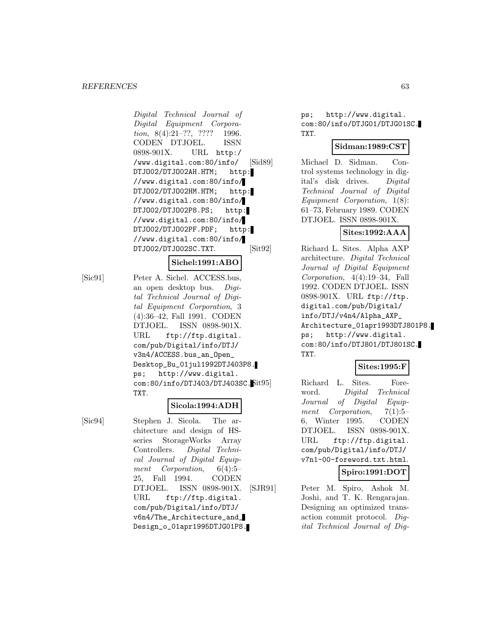#### *REFERENCES* 63

Digital Technical Journal of Digital Equipment Corporation, 8(4):21-??, ???? 1996. CODEN DTJOEL. ISSN 0898-901X. URL http:/ /www.digital.com:80/info/ DTJO02/DTJO02AH.HTM; http: //www.digital.com:80/info/ DTJ002/DTJ002HM.HTM; http: //www.digital.com:80/info/ DTJO02/DTJO02P8.PS; http: //www.digital.com:80/info/ DTJO02/DTJO02PF.PDF; http: //www.digital.com:80/info/ DTJO02/DTJO02SC.TXT.

#### **Sichel:1991:ABO**

[Sic91] Peter A. Sichel. ACCESS.bus, an open desktop bus. Digital Technical Journal of Digital Equipment Corporation, 3 (4):36–42, Fall 1991. CODEN DTJOEL. ISSN 0898-901X. URL ftp://ftp.digital. com/pub/Digital/info/DTJ/ v3n4/ACCESS.bus\_an\_Open\_ Desktop\_Bu\_01jul1992DTJ403P8. ps; http://www.digital. com:80/info/DTJ403/DTJ403SC. TXT.

## **Sicola:1994:ADH**

[Sic94] Stephen J. Sicola. The architecture and design of HSseries StorageWorks Array Controllers. Digital Technical Journal of Digital Equipment Corporation, 6(4):5– 25, Fall 1994. CODEN DTJOEL. ISSN 0898-901X. URL ftp://ftp.digital. com/pub/Digital/info/DTJ/ v6n4/The\_Architecture\_and\_ Design\_o\_01apr1995DTJG01P8. ps; http://www.digital. com:80/info/DTJG01/DTJG01SC. TXT.

#### **Sidman:1989:CST**

[Sid89] Michael D. Sidman. Control systems technology in digital's disk drives. Digital Technical Journal of Digital Equipment Corporation, 1(8): 61–73, February 1989. CODEN DTJOEL. ISSN 0898-901X.

## **Sites:1992:AAA**

[Sit92] Richard L. Sites. Alpha AXP architecture. Digital Technical Journal of Digital Equipment Corporation, 4(4):19–34, Fall 1992. CODEN DTJOEL. ISSN 0898-901X. URL ftp://ftp. digital.com/pub/Digital/ info/DTJ/v4n4/Alpha\_AXP\_ Architecture\_01apr1993DTJ801P8. ps; http://www.digital. com:80/info/DTJ801/DTJ801SC. TXT.

#### **Sites:1995:F**

Richard L. Sites. Foreword. Digital Technical Journal of Digital Equipment Corporation, 7(1):5– 6, Winter 1995. CODEN DTJOEL. ISSN 0898-901X. URL ftp://ftp.digital. com/pub/Digital/info/DTJ/ v7n1-00-foreword.txt.html.

## **Spiro:1991:DOT**

[SJR91] Peter M. Spiro, Ashok M. Joshi, and T. K. Rengarajan. Designing an optimized transaction commit protocol. Digital Technical Journal of Dig-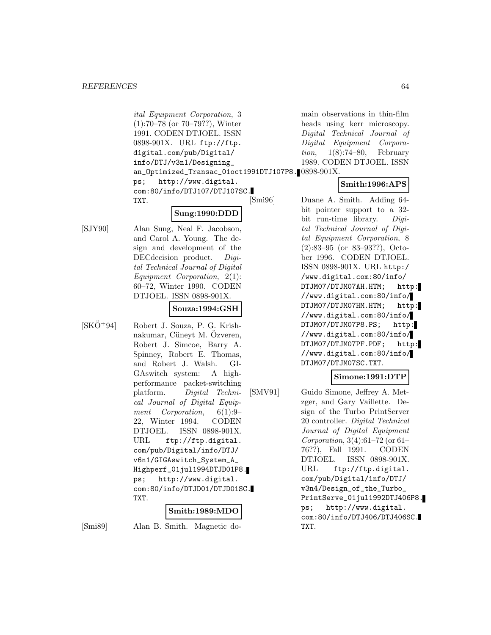ital Equipment Corporation, 3 (1):70–78 (or 70–79??), Winter 1991. CODEN DTJOEL. ISSN 0898-901X. URL ftp://ftp. digital.com/pub/Digital/ info/DTJ/v3n1/Designing\_ an\_Optimized\_Transac\_01oct1991DTJ107P8. 0898-901X. ps; http://www.digital. com:80/info/DTJ107/DTJ107SC. TXT.

# **Sung:1990:DDD**

[SJY90] Alan Sung, Neal F. Jacobson, and Carol A. Young. The design and development of the DEC decision product. Digital Technical Journal of Digital Equipment Corporation, 2(1): 60–72, Winter 1990. CODEN DTJOEL. ISSN 0898-901X.

**Souza:1994:GSH**

 $[SK\ddot{O}^+94]$  Robert J. Souza, P. G. Krishnakumar, Cüneyt M. Ozveren, Robert J. Simcoe, Barry A. Spinney, Robert E. Thomas, and Robert J. Walsh. GI-GAswitch system: A highperformance packet-switching platform. Digital Technical Journal of Digital Equipment Corporation, 6(1):9– 22, Winter 1994. CODEN DTJOEL. ISSN 0898-901X. URL ftp://ftp.digital. com/pub/Digital/info/DTJ/ v6n1/GIGAswitch\_System\_A\_ Highperf\_01jul1994DTJD01P8. ps; http://www.digital. com:80/info/DTJD01/DTJD01SC. TXT.

# **Smith:1989:MDO**

[Smi89] Alan B. Smith. Magnetic do-

main observations in thin-film heads using kerr microscopy. Digital Technical Journal of Digital Equipment Corporation, 1(8):74–80, February 1989. CODEN DTJOEL. ISSN

# **Smith:1996:APS**

[Smi96] Duane A. Smith. Adding 64 bit pointer support to a 32 bit run-time library. Digital Technical Journal of Digital Equipment Corporation, 8 (2):83–95 (or 83–93??), October 1996. CODEN DTJOEL. ISSN 0898-901X. URL http:/ /www.digital.com:80/info/ DTJM07/DTJM07AH.HTM; http: //www.digital.com:80/info/ DTJM07/DTJM07HM.HTM; http: //www.digital.com:80/info/ DTJM07/DTJM07P8.PS; http: //www.digital.com:80/info/ DTJM07/DTJM07PF.PDF; http: //www.digital.com:80/info/ DTJM07/DTJM07SC.TXT.

#### **Simone:1991:DTP**

[SMV91] Guido Simone, Jeffrey A. Metzger, and Gary Vaillette. Design of the Turbo PrintServer 20 controller. Digital Technical Journal of Digital Equipment Corporation, 3(4):61–72 (or 61– 76??), Fall 1991. CODEN DTJOEL. ISSN 0898-901X. URL ftp://ftp.digital. com/pub/Digital/info/DTJ/ v3n4/Design\_of\_the\_Turbo\_ PrintServe\_01jul1992DTJ406P8. ps; http://www.digital. com:80/info/DTJ406/DTJ406SC. TXT.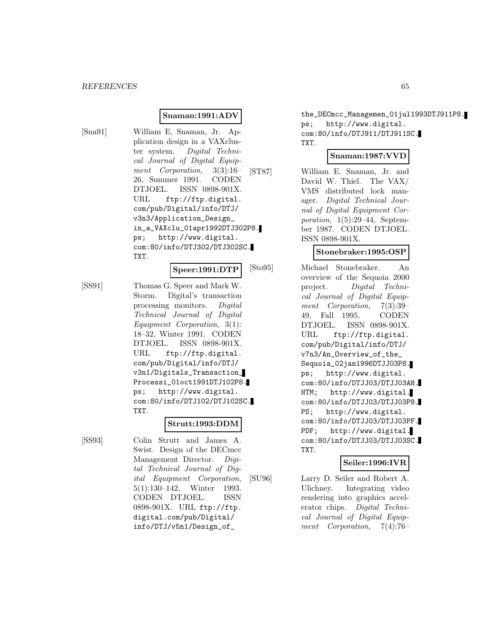#### **Snaman:1991:ADV**

[Sna91] William E. Snaman, Jr. Application design in a VAXcluster system. Digital Technical Journal of Digital Equipment Corporation, 3(3):16– 26, Summer 1991. CODEN DTJOEL. ISSN 0898-901X. URL ftp://ftp.digital. com/pub/Digital/info/DTJ/ v3n3/Application\_Design\_ in\_a\_VAXclu\_01apr1992DTJ302P8. ps; http://www.digital. com:80/info/DTJ302/DTJ302SC. TXT.

**Speer:1991:DTP**

[SS91] Thomas G. Speer and Mark W. Storm. Digital's transaction processing monitors. Digital Technical Journal of Digital Equipment Corporation, 3(1): 18–32, Winter 1991. CODEN DTJOEL. ISSN 0898-901X. URL ftp://ftp.digital. com/pub/Digital/info/DTJ/ v3n1/Digitals\_Transaction\_ Processi\_01oct1991DTJ102P8. ps; http://www.digital. com:80/info/DTJ102/DTJ102SC. TXT.

## **Strutt:1993:DDM**

[SS93] Colin Strutt and James A. Swist. Design of the DECmcc Management Director. Digital Technical Journal of Digital Equipment Corporation, 5(1):130–142, Winter 1993. CODEN DTJOEL. ISSN 0898-901X. URL ftp://ftp. digital.com/pub/Digital/ info/DTJ/v5n1/Design\_of\_

the\_DECmcc\_Managemen\_01jul1993DTJ911P8. ps; http://www.digital. com:80/info/DTJ911/DTJ911SC. TXT.

#### **Snaman:1987:VVD**

[ST87] William E. Snaman, Jr. and David W. Thiel. The VAX/ VMS distributed lock manager. Digital Technical Journal of Digital Equipment Corporation, 1(5):29–44, September 1987. CODEN DTJOEL. ISSN 0898-901X.

## **Stonebraker:1995:OSP**

[Sto95] Michael Stonebraker. An overview of the Sequoia 2000 project. Digital Technical Journal of Digital Equipment Corporation, 7(3):39– 49, Fall 1995. CODEN DTJOEL. ISSN 0898-901X. URL ftp://ftp.digital. com/pub/Digital/info/DTJ/ v7n3/An\_Overview\_of\_the\_ Sequoia\_02jan1996DTJJ03P8. ps; http://www.digital. com:80/info/DTJJ03/DTJJ03AH. HTM; http://www.digital. com:80/info/DTJJ03/DTJJ03P8. PS; http://www.digital. com:80/info/DTJJ03/DTJJ03PF. PDF; http://www.digital. com:80/info/DTJJ03/DTJJ03SC. TXT.

## **Seiler:1996:IVR**

[SU96] Larry D. Seiler and Robert A. Ulichney. Integrating video rendering into graphics accelerator chips. Digital Technical Journal of Digital Equipment Corporation, 7(4):76–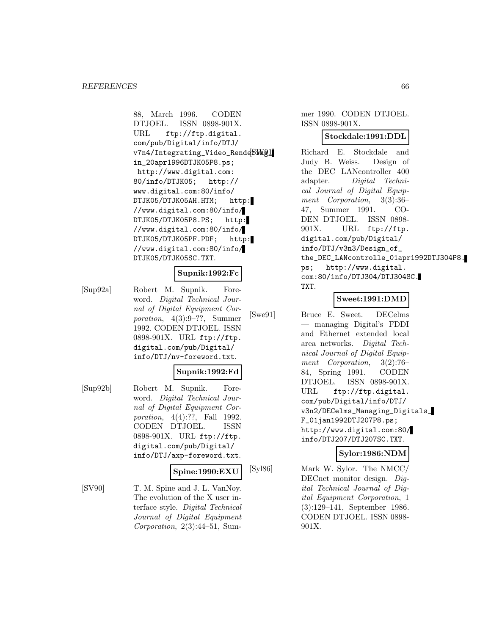88, March 1996. CODEN DTJOEL. ISSN 0898-901X. URL ftp://ftp.digital. com/pub/Digital/info/DTJ/ v7n4/Integrating\_Video\_RendebMg1 in\_20apr1996DTJK05P8.ps; http://www.digital.com: 80/info/DTJK05; http:// www.digital.com:80/info/ DTJK05/DTJK05AH.HTM; http: //www.digital.com:80/info/ DTJK05/DTJK05P8.PS; http: //www.digital.com:80/info/ DTJK05/DTJK05PF.PDF; http: //www.digital.com:80/info/ DTJK05/DTJK05SC.TXT.

#### **Supnik:1992:Fc**

[Sup92a] Robert M. Supnik. Foreword. Digital Technical Journal of Digital Equipment Corporation, 4(3):9–??, Summer 1992. CODEN DTJOEL. ISSN 0898-901X. URL ftp://ftp. digital.com/pub/Digital/ info/DTJ/nv-foreword.txt.

## **Supnik:1992:Fd**

[Sup92b] Robert M. Supnik. Foreword. Digital Technical Journal of Digital Equipment Corporation, 4(4):??, Fall 1992. CODEN DTJOEL. ISSN 0898-901X. URL ftp://ftp. digital.com/pub/Digital/ info/DTJ/axp-foreword.txt.

## **Spine:1990:EXU**

[SV90] T. M. Spine and J. L. VanNoy. The evolution of the X user interface style. Digital Technical Journal of Digital Equipment Corporation, 2(3):44–51, Summer 1990. CODEN DTJOEL. ISSN 0898-901X.

#### **Stockdale:1991:DDL**

Richard E. Stockdale and Judy B. Weiss. Design of the DEC LANcontroller 400 adapter. Digital Technical Journal of Digital Equipment Corporation, 3(3):36– 47, Summer 1991. CO-DEN DTJOEL. ISSN 0898- 901X. URL ftp://ftp. digital.com/pub/Digital/ info/DTJ/v3n3/Design\_of\_ the\_DEC\_LANcontrolle\_01apr1992DTJ304P8. ps; http://www.digital. com:80/info/DTJ304/DTJ304SC. TXT.

# **Sweet:1991:DMD**

[Swe91] Bruce E. Sweet. DECelms — managing Digital's FDDI and Ethernet extended local area networks. Digital Technical Journal of Digital Equipment Corporation, 3(2):76– 84, Spring 1991. CODEN DTJOEL. ISSN 0898-901X. URL ftp://ftp.digital. com/pub/Digital/info/DTJ/ v3n2/DECelms\_Managing\_Digitals\_ F\_01jan1992DTJ207P8.ps; http://www.digital.com:80/ info/DTJ207/DTJ207SC.TXT.

#### **Sylor:1986:NDM**

[Syl86] Mark W. Sylor. The NMCC/ DECnet monitor design. Digital Technical Journal of Digital Equipment Corporation, 1 (3):129–141, September 1986. CODEN DTJOEL. ISSN 0898- 901X.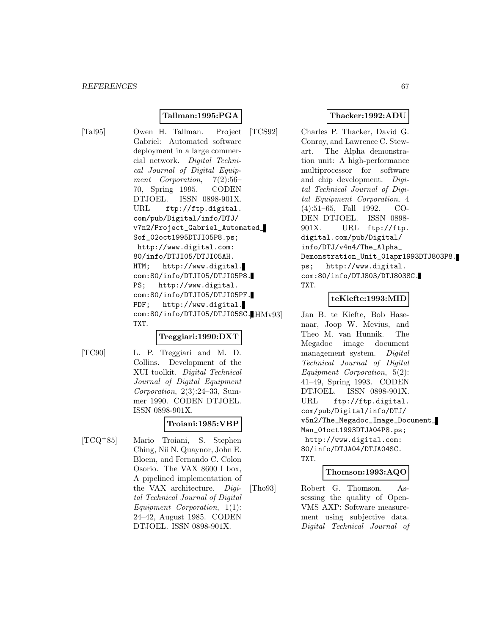# **Tallman:1995:PGA**

[Tal95] Owen H. Tallman. Project Gabriel: Automated software deployment in a large commercial network. Digital Technical Journal of Digital Equipment Corporation, 7(2):56– 70, Spring 1995. CODEN DTJOEL. ISSN 0898-901X. URL ftp://ftp.digital. com/pub/Digital/info/DTJ/ v7n2/Project\_Gabriel\_Automated\_ Sof\_02oct1995DTJI05P8.ps; http://www.digital.com: 80/info/DTJI05/DTJI05AH. HTM; http://www.digital. com:80/info/DTJI05/DTJI05P8. PS; http://www.digital. com:80/info/DTJI05/DTJI05PF. PDF; http://www.digital. com:80/info/DTJI05/DTJI05SC.HHMv93 TXT.

# **Treggiari:1990:DXT**

[TC90] L. P. Treggiari and M. D. Collins. Development of the XUI toolkit. Digital Technical Journal of Digital Equipment Corporation, 2(3):24–33, Summer 1990. CODEN DTJOEL. ISSN 0898-901X.

# **Troiani:1985:VBP**

[TCQ<sup>+</sup>85] Mario Troiani, S. Stephen Ching, Nii N. Quaynor, John E. Bloem, and Fernando C. Colon Osorio. The VAX 8600 I box, A pipelined implementation of the VAX architecture. Digital Technical Journal of Digital Equipment Corporation, 1(1): 24–42, August 1985. CODEN DTJOEL. ISSN 0898-901X.

# **Thacker:1992:ADU**

[TCS92] Charles P. Thacker, David G. Conroy, and Lawrence C. Stewart. The Alpha demonstration unit: A high-performance multiprocessor for software and chip development. Digital Technical Journal of Digital Equipment Corporation, 4 (4):51–65, Fall 1992. CO-DEN DTJOEL. ISSN 0898- 901X. URL ftp://ftp. digital.com/pub/Digital/ info/DTJ/v4n4/The\_Alpha\_ Demonstration\_Unit\_01apr1993DTJ803P8. ps; http://www.digital. com:80/info/DTJ803/DTJ803SC. TXT.

## **teKiefte:1993:MID**

Jan B. te Kiefte, Bob Hasenaar, Joop W. Mevius, and Theo M. van Hunnik. The Megadoc image document management system. Digital Technical Journal of Digital Equipment Corporation, 5(2): 41–49, Spring 1993. CODEN DTJOEL. ISSN 0898-901X. URL ftp://ftp.digital. com/pub/Digital/info/DTJ/ v5n2/The\_Megadoc\_Image\_Document\_ Man\_01oct1993DTJA04P8.ps; http://www.digital.com: 80/info/DTJA04/DTJA04SC. TXT.

## **Thomson:1993:AQO**

[Tho93] Robert G. Thomson. Assessing the quality of Open-VMS AXP: Software measurement using subjective data. Digital Technical Journal of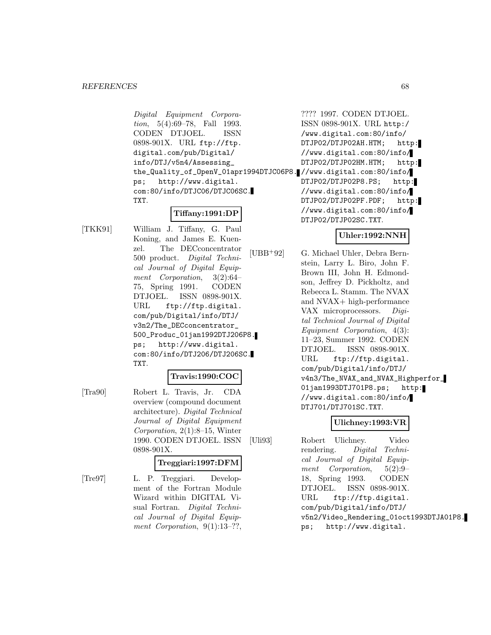Digital Equipment Corporation, 5(4):69–78, Fall 1993. CODEN DTJOEL. ISSN 0898-901X. URL ftp://ftp. digital.com/pub/Digital/ info/DTJ/v5n4/Assessing\_ the\_Quality\_of\_OpenV\_01apr1994DTJC06P8. //www.digital.com:80/info/ ps; http://www.digital. com:80/info/DTJC06/DTJC06SC. TXT.

# **Tiffany:1991:DP**

[TKK91] William J. Tiffany, G. Paul Koning, and James E. Kuenzel. The DECconcentrator 500 product. Digital Technical Journal of Digital Equipment Corporation, 3(2):64– 75, Spring 1991. CODEN DTJOEL. ISSN 0898-901X. URL ftp://ftp.digital. com/pub/Digital/info/DTJ/ v3n2/The\_DECconcentrator\_ 500\_Produc\_01jan1992DTJ206P8. ps; http://www.digital. com:80/info/DTJ206/DTJ206SC. TXT.

#### **Travis:1990:COC**

[Tra90] Robert L. Travis, Jr. CDA overview (compound document architecture). Digital Technical Journal of Digital Equipment Corporation, 2(1):8–15, Winter 1990. CODEN DTJOEL. ISSN 0898-901X.

#### **Treggiari:1997:DFM**

[Tre97] L. P. Treggiari. Development of the Fortran Module Wizard within DIGITAL Visual Fortran. Digital Technical Journal of Digital Equipment Corporation, 9(1):13-??, ???? 1997. CODEN DTJOEL. ISSN 0898-901X. URL http:/ /www.digital.com:80/info/ DTJP02/DTJP02AH.HTM; http: //www.digital.com:80/info/ DTJP02/DTJP02HM.HTM; http: DTJP02/DTJP02P8.PS; http: //www.digital.com:80/info/ DTJP02/DTJP02PF.PDF; http: //www.digital.com:80/info/ DTJP02/DTJP02SC.TXT.

## **Uhler:1992:NNH**

[UBB<sup>+</sup>92] G. Michael Uhler, Debra Bernstein, Larry L. Biro, John F. Brown III, John H. Edmondson, Jeffrey D. Pickholtz, and Rebecca L. Stamm. The NVAX and NVAX+ high-performance VAX microprocessors. Digital Technical Journal of Digital Equipment Corporation, 4(3): 11–23, Summer 1992. CODEN DTJOEL. ISSN 0898-901X. URL ftp://ftp.digital. com/pub/Digital/info/DTJ/ v4n3/The\_NVAX\_and\_NVAX\_Highperfor\_ 01jan1993DTJ701P8.ps; http: //www.digital.com:80/info/ DTJ701/DTJ701SC.TXT.

## **Ulichney:1993:VR**

[Uli93] Robert Ulichney. Video rendering. Digital Technical Journal of Digital Equipment Corporation, 5(2):9– 18, Spring 1993. CODEN DTJOEL. ISSN 0898-901X. URL ftp://ftp.digital. com/pub/Digital/info/DTJ/ v5n2/Video\_Rendering\_01oct1993DTJA01P8. ps; http://www.digital.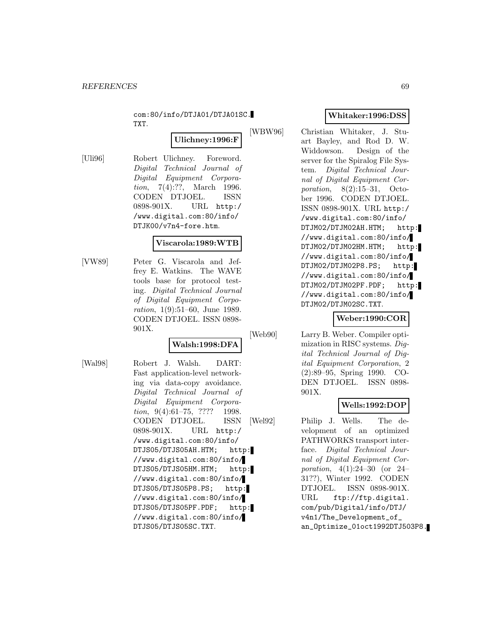com:80/info/DTJA01/DTJA01SC. TXT.

# **Ulichney:1996:F**

[Uli96] Robert Ulichney. Foreword. Digital Technical Journal of Digital Equipment Corporation, 7(4):??, March 1996. CODEN DTJOEL. ISSN 0898-901X. URL http:/ /www.digital.com:80/info/ DTJK00/v7n4-fore.htm.

#### **Viscarola:1989:WTB**

[VW89] Peter G. Viscarola and Jeffrey E. Watkins. The WAVE tools base for protocol testing. Digital Technical Journal of Digital Equipment Corporation, 1(9):51–60, June 1989. CODEN DTJOEL. ISSN 0898- 901X.

# **Walsh:1998:DFA**

[Wal98] Robert J. Walsh. DART: Fast application-level networking via data-copy avoidance. Digital Technical Journal of Digital Equipment Corporation, 9(4):61-75, ???? 1998. CODEN DTJOEL. ISSN 0898-901X. URL http:/ /www.digital.com:80/info/ DTJS05/DTJS05AH.HTM; http: //www.digital.com:80/info/ DTJS05/DTJS05HM.HTM; http: //www.digital.com:80/info/ DTJS05/DTJS05P8.PS; http: //www.digital.com:80/info/ DTJS05/DTJS05PF.PDF; http: //www.digital.com:80/info/ DTJS05/DTJS05SC.TXT.

# **Whitaker:1996:DSS**

[WBW96] Christian Whitaker, J. Stuart Bayley, and Rod D. W. Widdowson. Design of the server for the Spiralog File System. Digital Technical Journal of Digital Equipment Corporation, 8(2):15–31, October 1996. CODEN DTJOEL. ISSN 0898-901X. URL http:/ /www.digital.com:80/info/ DTJM02/DTJM02AH.HTM; http: //www.digital.com:80/info/ DTJM02/DTJM02HM.HTM; http: //www.digital.com:80/info/ DTJM02/DTJM02P8.PS; http: //www.digital.com:80/info/ DTJM02/DTJM02PF.PDF; http: //www.digital.com:80/info/ DTJM02/DTJM02SC.TXT.

## **Weber:1990:COR**

[Web90] Larry B. Weber. Compiler optimization in RISC systems. Digital Technical Journal of Digital Equipment Corporation, 2 (2):89–95, Spring 1990. CO-DEN DTJOEL. ISSN 0898- 901X.

## **Wells:1992:DOP**

[Wel92] Philip J. Wells. The development of an optimized PATHWORKS transport interface. Digital Technical Journal of Digital Equipment Corporation, 4(1):24–30 (or 24– 31??), Winter 1992. CODEN DTJOEL. ISSN 0898-901X. URL ftp://ftp.digital. com/pub/Digital/info/DTJ/ v4n1/The\_Development\_of\_ an\_Optimize\_01oct1992DTJ503P8.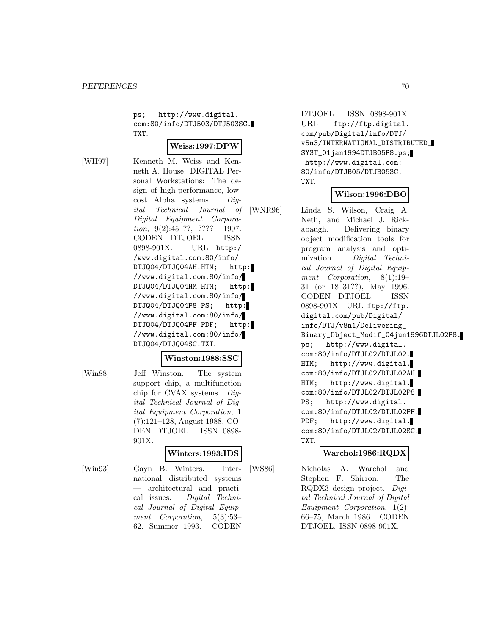ps; http://www.digital. com:80/info/DTJ503/DTJ503SC. TXT.

#### **Weiss:1997:DPW**

[WH97] Kenneth M. Weiss and Kenneth A. House. DIGITAL Personal Workstations: The design of high-performance, lowcost Alpha systems. Digital Technical Journal of Digital Equipment Corporation, 9(2):45-??, ???? 1997. CODEN DTJOEL. ISSN 0898-901X. URL http:/ /www.digital.com:80/info/ DTJQ04/DTJQ04AH.HTM; http: //www.digital.com:80/info/ DTJQ04/DTJQ04HM.HTM; http: //www.digital.com:80/info/ DTJQ04/DTJQ04P8.PS; http: //www.digital.com:80/info/ DTJQ04/DTJQ04PF.PDF; http: //www.digital.com:80/info/ DTJQ04/DTJQ04SC.TXT.

#### **Winston:1988:SSC**

[Win88] Jeff Winston. The system support chip, a multifunction chip for CVAX systems. Digital Technical Journal of Digital Equipment Corporation, 1 (7):121–128, August 1988. CO-DEN DTJOEL. ISSN 0898- 901X.

#### **Winters:1993:IDS**

[Win93] Gayn B. Winters. International distributed systems — architectural and practical issues. Digital Technical Journal of Digital Equipment Corporation, 5(3):53– 62, Summer 1993. CODEN

DTJOEL. ISSN 0898-901X. URL ftp://ftp.digital. com/pub/Digital/info/DTJ/ v5n3/INTERNATIONAL\_DISTRIBUTED\_ SYST\_01jan1994DTJB05P8.ps; http://www.digital.com: 80/info/DTJB05/DTJB05SC. TXT.

#### **Wilson:1996:DBO**

[WNR96] Linda S. Wilson, Craig A. Neth, and Michael J. Rickabaugh. Delivering binary object modification tools for program analysis and optimization. Digital Technical Journal of Digital Equipment Corporation, 8(1):19– 31 (or 18–31??), May 1996. CODEN DTJOEL. ISSN 0898-901X. URL ftp://ftp. digital.com/pub/Digital/ info/DTJ/v8n1/Delivering\_ Binary\_Object\_Modif\_04jun1996DTJL02P8. ps; http://www.digital. com:80/info/DTJL02/DTJL02. HTM; http://www.digital. com:80/info/DTJL02/DTJL02AH. HTM; http://www.digital. com:80/info/DTJL02/DTJL02P8. PS; http://www.digital. com:80/info/DTJL02/DTJL02PF. PDF; http://www.digital. com:80/info/DTJL02/DTJL02SC. TXT.

## **Warchol:1986:RQDX**

[WS86] Nicholas A. Warchol and Stephen F. Shirron. The RQDX3 design project. Digital Technical Journal of Digital Equipment Corporation, 1(2): 66–75, March 1986. CODEN DTJOEL. ISSN 0898-901X.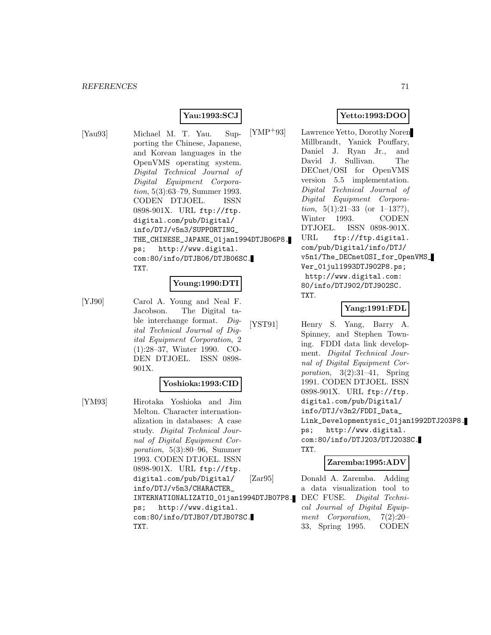## **Yau:1993:SCJ**

[Yau93] Michael M. T. Yau. Supporting the Chinese, Japanese, and Korean languages in the OpenVMS operating system. Digital Technical Journal of Digital Equipment Corporation, 5(3):63–79, Summer 1993. CODEN DTJOEL. ISSN 0898-901X. URL ftp://ftp. digital.com/pub/Digital/ info/DTJ/v5n3/SUPPORTING\_ THE\_CHINESE\_JAPANE\_01jan1994DTJB06P8. ps; http://www.digital. com:80/info/DTJB06/DTJB06SC. TXT.

## **Young:1990:DTI**

[YJ90] Carol A. Young and Neal F. Jacobson. The Digital table interchange format. Digital Technical Journal of Digital Equipment Corporation, 2 (1):28–37, Winter 1990. CO-DEN DTJOEL. ISSN 0898- 901X.

# **Yoshioka:1993:CID**

[YM93] Hirotaka Yoshioka and Jim Melton. Character internationalization in databases: A case study. Digital Technical Journal of Digital Equipment Corporation, 5(3):80–96, Summer 1993. CODEN DTJOEL. ISSN 0898-901X. URL ftp://ftp. digital.com/pub/Digital/ info/DTJ/v5n3/CHARACTER\_ INTERNATIONALIZATIO\_01jan1994DTJB07P8. ps; http://www.digital. com:80/info/DTJB07/DTJB07SC. TXT.

# **Yetto:1993:DOO**

[YMP<sup>+</sup>93] Lawrence Yetto, Dorothy Noren Millbrandt, Yanick Pouffary, Daniel J. Ryan Jr., and David J. Sullivan. The DECnet/OSI for OpenVMS version 5.5 implementation. Digital Technical Journal of Digital Equipment Corpora*tion*,  $5(1):21-33$  (or  $1-13??$ ), Winter 1993. CODEN DTJOEL. ISSN 0898-901X. URL ftp://ftp.digital. com/pub/Digital/info/DTJ/ v5n1/The\_DECnetOSI\_for\_OpenVMS\_ Ver\_01jul1993DTJ902P8.ps; http://www.digital.com: 80/info/DTJ902/DTJ902SC. TXT.

#### **Yang:1991:FDL**

[YST91] Henry S. Yang, Barry A. Spinney, and Stephen Towning. FDDI data link development. Digital Technical Journal of Digital Equipment Corporation,  $3(2):31-41$ , Spring 1991. CODEN DTJOEL. ISSN 0898-901X. URL ftp://ftp. digital.com/pub/Digital/ info/DTJ/v3n2/FDDI\_Data\_ Link\_Developmentysic\_01jan1992DTJ203P8. ps; http://www.digital. com:80/info/DTJ203/DTJ203SC. TXT.

#### **Zaremba:1995:ADV**

[Zar95] Donald A. Zaremba. Adding a data visualization tool to DEC FUSE. Digital Technical Journal of Digital Equipment Corporation, 7(2):20– 33, Spring 1995. CODEN